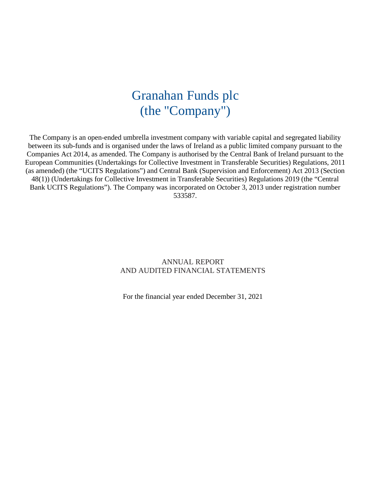## Granahan Funds plc (the "Company")

The Company is an open-ended umbrella investment company with variable capital and segregated liability between its sub-funds and is organised under the laws of Ireland as a public limited company pursuant to the Companies Act 2014, as amended. The Company is authorised by the Central Bank of Ireland pursuant to the European Communities (Undertakings for Collective Investment in Transferable Securities) Regulations, 2011 (as amended) (the "UCITS Regulations") and Central Bank (Supervision and Enforcement) Act 2013 (Section 48(1)) (Undertakings for Collective Investment in Transferable Securities) Regulations 2019 (the "Central Bank UCITS Regulations"). The Company was incorporated on October 3, 2013 under registration number 533587.

## ANNUAL REPORT AND AUDITED FINANCIAL STATEMENTS

For the financial year ended December 31, 2021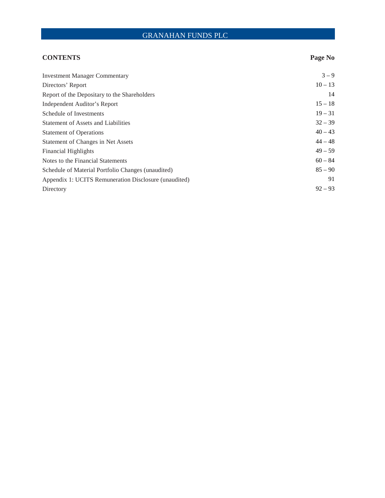| <b>CONTENTS</b>                                       | Page No   |
|-------------------------------------------------------|-----------|
| <b>Investment Manager Commentary</b>                  | $3 - 9$   |
| Directors' Report                                     | $10 - 13$ |
| Report of the Depositary to the Shareholders          | 14        |
| Independent Auditor's Report                          | $15 - 18$ |
| Schedule of Investments                               | $19 - 31$ |
| Statement of Assets and Liabilities                   | $32 - 39$ |
| <b>Statement of Operations</b>                        | $40 - 43$ |
| Statement of Changes in Net Assets                    | $44 - 48$ |
| <b>Financial Highlights</b>                           | $49 - 59$ |
| Notes to the Financial Statements                     | $60 - 84$ |
| Schedule of Material Portfolio Changes (unaudited)    | $85 - 90$ |
| Appendix 1: UCITS Remuneration Disclosure (unaudited) | 91        |
| Directory                                             | $92 - 93$ |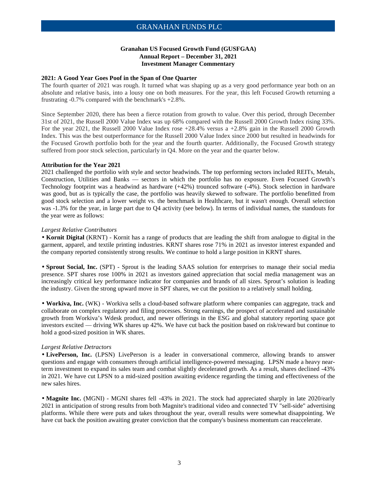#### **Granahan US Focused Growth Fund (GUSFGAA) Annual Report – December 31, 2021 Investment Manager Commentary**

#### **2021: A Good Year Goes Poof in the Span of One Quarter**

The fourth quarter of 2021 was rough. It turned what was shaping up as a very good performance year both on an absolute and relative basis, into a lousy one on both measures. For the year, this left Focused Growth returning a frustrating -0.7% compared with the benchmark's +2.8%.

Since September 2020, there has been a fierce rotation from growth to value. Over this period, through December 31st of 2021, the Russell 2000 Value Index was up 68% compared with the Russell 2000 Growth Index rising 33%. For the year 2021, the Russell 2000 Value Index rose +28.4% versus a +2.8% gain in the Russell 2000 Growth Index. This was the best outperformance for the Russell 2000 Value Index since 2000 but resulted in headwinds for the Focused Growth portfolio both for the year and the fourth quarter. Additionally, the Focused Growth strategy suffered from poor stock selection, particularly in Q4. More on the year and the quarter below.

#### **Attribution for the Year 2021**

2021 challenged the portfolio with style and sector headwinds. The top performing sectors included REITs, Metals, Construction, Utilities and Banks — sectors in which the portfolio has no exposure. Even Focused Growth's Technology footprint was a headwind as hardware (+42%) trounced software (-4%). Stock selection in hardware was good, but as is typically the case, the portfolio was heavily skewed to software. The portfolio benefitted from good stock selection and a lower weight vs. the benchmark in Healthcare, but it wasn't enough. Overall selection was -1.3% for the year, in large part due to Q4 activity (see below). In terms of individual names, the standouts for the year were as follows:

#### *Largest Relative Contributors*

• **Kornit Digital** (KRNT) - Kornit has a range of products that are leading the shift from analogue to digital in the garment, apparel, and textile printing industries. KRNT shares rose 71% in 2021 as investor interest expanded and the company reported consistently strong results. We continue to hold a large position in KRNT shares.

• **Sprout Social, Inc.** (SPT) - Sprout is the leading SAAS solution for enterprises to manage their social media presence. SPT shares rose 100% in 2021 as investors gained appreciation that social media management was an increasingly critical key performance indicator for companies and brands of all sizes. Sprout's solution is leading the industry. Given the strong upward move in SPT shares, we cut the position to a relatively small holding.

• **Workiva, Inc.** (WK) - Workiva sells a cloud-based software platform where companies can aggregate, track and collaborate on complex regulatory and filing processes. Strong earnings, the prospect of accelerated and sustainable growth from Workiva's Wdesk product, and newer offerings in the ESG and global statutory reporting space got investors excited — driving WK shares up 42%. We have cut back the position based on risk/reward but continue to hold a good-sized position in WK shares.

#### *Largest Relative Detractors*

• **LivePerson, Inc.** (LPSN) LivePerson is a leader in conversational commerce, allowing brands to answer questions and engage with consumers through artificial intelligence-powered messaging. LPSN made a heavy nearterm investment to expand its sales team and combat slightly decelerated growth. As a result, shares declined -43% in 2021. We have cut LPSN to a mid-sized position awaiting evidence regarding the timing and effectiveness of the new sales hires.

• **Magnite Inc.** (MGNI) - MGNI shares fell -43% in 2021. The stock had appreciated sharply in late 2020/early 2021 in anticipation of strong results from both Magnite's traditional video and connected TV "sell-side" advertising platforms. While there were puts and takes throughout the year, overall results were somewhat disappointing. We have cut back the position awaiting greater conviction that the company's business momentum can reaccelerate.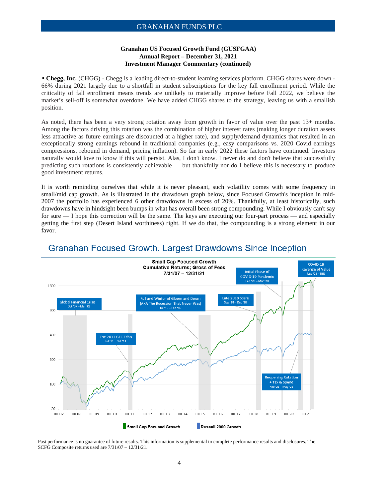#### **Granahan US Focused Growth Fund (GUSFGAA) Annual Report – December 31, 2021 Investment Manager Commentary (continued)**

• **Chegg, Inc.** (CHGG) - Chegg is a leading direct-to-student learning services platform. CHGG shares were down - 66% during 2021 largely due to a shortfall in student subscriptions for the key fall enrollment period. While the criticality of fall enrollment means trends are unlikely to materially improve before Fall 2022, we believe the market's sell-off is somewhat overdone. We have added CHGG shares to the strategy, leaving us with a smallish position.

As noted, there has been a very strong rotation away from growth in favor of value over the past 13+ months. Among the factors driving this rotation was the combination of higher interest rates (making longer duration assets less attractive as future earnings are discounted at a higher rate), and supply/demand dynamics that resulted in an exceptionally strong earnings rebound in traditional companies (e.g., easy comparisons vs. 2020 Covid earnings compressions, rebound in demand, pricing inflation). So far in early 2022 these factors have continued. Investors naturally would love to know if this will persist. Alas, I don't know. I never do and don't believe that successfully predicting such rotations is consistently achievable — but thankfully nor do I believe this is necessary to produce good investment returns.

It is worth reminding ourselves that while it is never pleasant, such volatility comes with some frequency in small/mid cap growth. As is illustrated in the drawdown graph below, since Focused Growth's inception in mid-2007 the portfolio has experienced 6 other drawdowns in excess of 20%. Thankfully, at least historically, such drawdowns have in hindsight been bumps in what has overall been strong compounding. While I obviously can't say for sure — I hope this correction will be the same. The keys are executing our four-part process — and especially getting the first step (Desert Island worthiness) right. If we do that, the compounding is a strong element in our favor.



## **Granahan Focused Growth: Largest Drawdowns Since Inception**

Past performance is no guarantee of future results. This information is supplemental to complete performance results and disclosures. The SCFG Composite returns used are 7/31/07 – 12/31/21.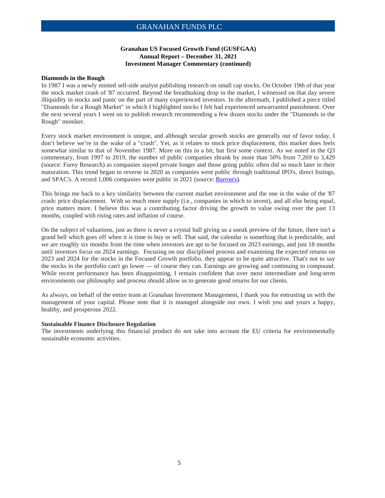#### **Granahan US Focused Growth Fund (GUSFGAA) Annual Report – December 31, 2021 Investment Manager Commentary (continued)**

#### **Diamonds in the Rough**

In 1987 I was a newly minted sell-side analyst publishing research on small cap stocks. On October 19th of that year the stock market crash of '87 occurred. Beyond the breathtaking drop in the market, I witnessed on that day severe illiquidity in stocks and panic on the part of many experienced investors. In the aftermath, I published a piece titled "Diamonds for a Rough Market" in which I highlighted stocks I felt had experienced unwarranted punishment. Over the next several years I went on to publish research recommending a few dozen stocks under the "Diamonds in the Rough" moniker.

Every stock market environment is unique, and although secular growth stocks are generally out of favor today, I don't believe we're in the wake of a "crash". Yet, as it relates to stock price displacement, this market does feels somewhat similar to that of November 1987. More on this in a bit, but first some context. As we noted in the Q3 commentary, from 1997 to 2019, the number of public companies shrank by more than 50% from 7,269 to 3,429 (source: Furey Research) as companies stayed private longer and those going public often did so much later in their maturation. This trend began to reverse in 2020 as companies went public through traditional IPO's, direct listings, and SPAC's. A record 1,006 companies went public in 2021 (source: Barron's).

This brings me back to a key similarity between the current market environment and the one in the wake of the '87 crash: price displacement. With so much more supply (i.e., companies in which to invest), and all else being equal, price matters more. I believe this was a contributing factor driving the growth to value swing over the past 13 months, coupled with rising rates and inflation of course.

On the subject of valuations, just as there is never a crystal ball giving us a sneak preview of the future, there isn't a grand bell which goes off when it is time to buy or sell. That said, the calendar is something that is predictable, and we are roughly six months from the time when investors are apt to be focused on 2023 earnings, and just 18 months until investors focus on 2024 earnings. Focusing on our disciplined process and examining the expected returns on 2023 and 2024 for the stocks in the Focused Growth portfolio, they appear to be quite attractive. That's not to say the stocks in the portfolio can't go lower — of course they can. Earnings are growing and continuing to compound. While recent performance has been disappointing, I remain confident that over most intermediate and long-term environments our philosophy and process should allow us to generate good returns for our clients.

As always, on behalf of the entire team at Granahan Investment Management, I thank you for entrusting us with the management of your capital. Please note that it is managed alongside our own. I wish you and yours a happy, healthy, and prosperous 2022.

#### **Sustainable Finance Disclosure Regulation**

The investments underlying this financial product do not take into account the EU criteria for environmentally sustainable economic activities.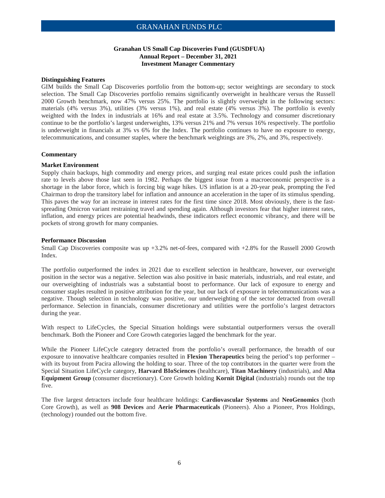#### **Granahan US Small Cap Discoveries Fund (GUSDFUA) Annual Report – December 31, 2021 Investment Manager Commentary**

#### **Distinguishing Features**

GIM builds the Small Cap Discoveries portfolio from the bottom-up; sector weightings are secondary to stock selection. The Small Cap Discoveries portfolio remains significantly overweight in healthcare versus the Russell 2000 Growth benchmark, now 47% versus 25%. The portfolio is slightly overweight in the following sectors: materials (4% versus 3%), utilities (3% versus 1%), and real estate (4% versus 3%). The portfolio is evenly weighted with the Index in industrials at 16% and real estate at 3.5%. Technology and consumer discretionary continue to be the portfolio's largest underweights, 13% versus 21% and 7% versus 16% respectively. The portfolio is underweight in financials at 3% vs 6% for the Index. The portfolio continues to have no exposure to energy, telecommunications, and consumer staples, where the benchmark weightings are 3%, 2%, and 3%, respectively.

#### **Commentary**

#### **Market Environment**

Supply chain backups, high commodity and energy prices, and surging real estate prices could push the inflation rate to levels above those last seen in 1982. Perhaps the biggest issue from a macroeconomic perspective is a shortage in the labor force, which is forcing big wage hikes. US inflation is at a 20-year peak, prompting the Fed Chairman to drop the transitory label for inflation and announce an acceleration in the taper of its stimulus spending. This paves the way for an increase in interest rates for the first time since 2018. Most obviously, there is the fastspreading Omicron variant restraining travel and spending again. Although investors fear that higher interest rates, inflation, and energy prices are potential headwinds, these indicators reflect economic vibrancy, and there will be pockets of strong growth for many companies.

#### **Performance Discussion**

Small Cap Discoveries composite was up +3.2% net-of-fees, compared with +2.8% for the Russell 2000 Growth Index.

The portfolio outperformed the index in 2021 due to excellent selection in healthcare, however, our overweight position in the sector was a negative. Selection was also positive in basic materials, industrials, and real estate, and our overweighting of industrials was a substantial boost to performance. Our lack of exposure to energy and consumer staples resulted in positive attribution for the year, but our lack of exposure in telecommunications was a negative. Though selection in technology was positive, our underweighting of the sector detracted from overall performance. Selection in financials, consumer discretionary and utilities were the portfolio's largest detractors during the year.

With respect to LifeCycles, the Special Situation holdings were substantial outperformers versus the overall benchmark. Both the Pioneer and Core Growth categories lagged the benchmark for the year.

While the Pioneer LifeCycle category detracted from the portfolio's overall performance, the breadth of our exposure to innovative healthcare companies resulted in **Flexion Therapeutics** being the period's top performer – with its buyout from Pacira allowing the holding to soar. Three of the top contributors in the quarter were from the Special Situation LifeCycle category, **Harvard BIoSciences** (healthcare), **Titan Machinery** (industrials), and **Alta Equipment Group** (consumer discretionary). Core Growth holding **Kornit Digital** (industrials) rounds out the top five.

The five largest detractors include four healthcare holdings: **Cardiovascular Systems** and **NeoGenomics** (both Core Growth), as well as **908 Devices** and **Aerie Pharmaceuticals** (Pioneers). Also a Pioneer, Pros Holdings, (technology) rounded out the bottom five.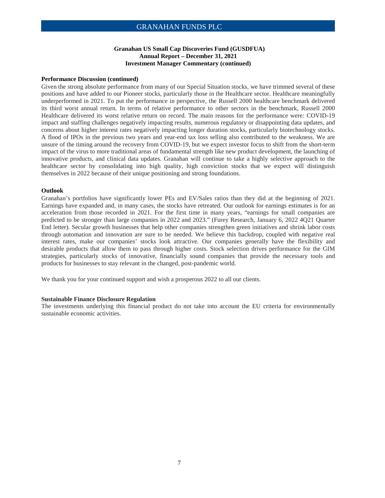#### **Granahan US Small Cap Discoveries Fund (GUSDFUA) Annual Report – December 31, 2021 Investment Manager Commentary (continued)**

#### **Performance Discussion (continued)**

Given the strong absolute performance from many of our Special Situation stocks, we have trimmed several of these positions and have added to our Pioneer stocks, particularly those in the Healthcare sector. Healthcare meaningfully underperformed in 2021. To put the performance in perspective, the Russell 2000 healthcare benchmark delivered its third worst annual return. In terms of relative performance to other sectors in the benchmark, Russell 2000 Healthcare delivered its worst relative return on record. The main reasons for the performance were: COVID-19 impact and staffing challenges negatively impacting results, numerous regulatory or disappointing data updates, and concerns about higher interest rates negatively impacting longer duration stocks, particularly biotechnology stocks. A flood of IPOs in the previous two years and year-end tax loss selling also contributed to the weakness. We are unsure of the timing around the recovery from COVID-19, but we expect investor focus to shift from the short-term impact of the virus to more traditional areas of fundamental strength like new product development, the launching of innovative products, and clinical data updates. Granahan will continue to take a highly selective approach to the healthcare sector by consolidating into high quality, high conviction stocks that we expect will distinguish themselves in 2022 because of their unique positioning and strong foundations.

#### **Outlook**

Granahan's portfolios have significantly lower PEs and EV/Sales ratios than they did at the beginning of 2021. Earnings have expanded and, in many cases, the stocks have retreated. Our outlook for earnings estimates is for an acceleration from those recorded in 2021. For the first time in many years, "earnings for small companies are predicted to be stronger than large companies in 2022 and 2023." (Furey Research, January 6, 2022 4Q21 Quarter End letter). Secular growth businesses that help other companies strengthen green initiatives and shrink labor costs through automation and innovation are sure to be needed. We believe this backdrop, coupled with negative real interest rates, make our companies' stocks look attractive. Our companies generally have the flexibility and desirable products that allow them to pass through higher costs. Stock selection drives performance for the GIM strategies, particularly stocks of innovative, financially sound companies that provide the necessary tools and products for businesses to stay relevant in the changed, post-pandemic world.

We thank you for your continued support and wish a prosperous 2022 to all our clients.

#### **Sustainable Finance Disclosure Regulation**

The investments underlying this financial product do not take into account the EU criteria for environmentally sustainable economic activities.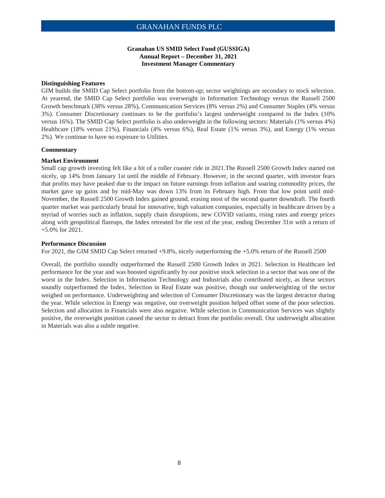#### **Granahan US SMID Select Fund (GUSSIGA) Annual Report – December 31, 2021 Investment Manager Commentary**

#### **Distinguishing Features**

GIM builds the SMID Cap Select portfolio from the bottom-up; sector weightings are secondary to stock selection. At yearend, the SMID Cap Select portfolio was overweight in Information Technology versus the Russell 2500 Growth benchmark (38% versus 28%), Communication Services (8% versus 2%) and Consumer Staples (4% versus 3%). Consumer Discretionary continues to be the portfolio's largest underweight compared to the Index (10% versus 16%). The SMID Cap Select portfolio is also underweight in the following sectors: Materials (1% versus 4%) Healthcare (18% versus 21%), Financials (4% versus 6%), Real Estate (1% versus 3%), and Energy (1% versus 2%). We continue to have no exposure to Utilities.

#### **Commentary**

#### **Market Environment**

Small cap growth investing felt like a bit of a roller coaster ride in 2021.The Russell 2500 Growth Index started out nicely, up 14% from January 1st until the middle of February. However, in the second quarter, with investor fears that profits may have peaked due to the impact on future earnings from inflation and soaring commodity prices, the market gave up gains and by mid-May was down 13% from its February high. From that low point until mid-November, the Russell 2500 Growth Index gained ground, erasing most of the second quarter downdraft. The fourth quarter market was particularly brutal for innovative, high valuation companies, especially in healthcare driven by a myriad of worries such as inflation, supply chain disruptions, new COVID variants, rising rates and energy prices along with geopolitical flareups, the Index retreated for the rest of the year, ending December 31st with a return of +5.0% for 2021.

#### **Performance Discussion**

For 2021, the GIM SMID Cap Select returned +9.8%, nicely outperforming the +5.0% return of the Russell 2500

Overall, the portfolio soundly outperformed the Russell 2500 Growth Index in 2021. Selection in Healthcare led performance for the year and was boosted significantly by our positive stock selection in a sector that was one of the worst in the Index. Selection in Information Technology and Industrials also contributed nicely, as these sectors soundly outperformed the Index. Selection in Real Estate was positive, though our underweighting of the sector weighed on performance. Underweighting and selection of Consumer Discretionary was the largest detractor during the year. While selection in Energy was negative, our overweight position helped offset some of the poor selection. Selection and allocation in Financials were also negative. While selection in Communication Services was slightly positive, the overweight position caused the sector to detract from the portfolio overall. Our underweight allocation in Materials was also a subtle negative.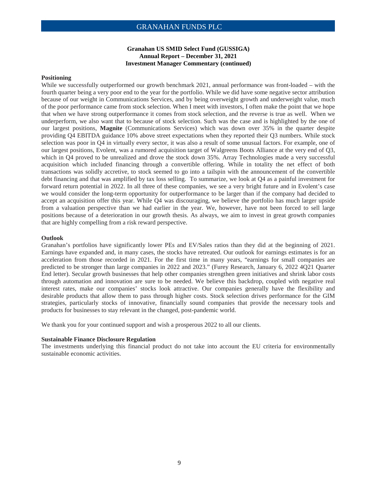#### **Granahan US SMID Select Fund (GUSSIGA) Annual Report – December 31, 2021 Investment Manager Commentary (continued)**

#### **Positioning**

While we successfully outperformed our growth benchmark 2021, annual performance was front-loaded – with the fourth quarter being a very poor end to the year for the portfolio. While we did have some negative sector attribution because of our weight in Communications Services, and by being overweight growth and underweight value, much of the poor performance came from stock selection. When I meet with investors, I often make the point that we hope that when we have strong outperformance it comes from stock selection, and the reverse is true as well. When we underperform, we also want that to because of stock selection. Such was the case and is highlighted by the one of our largest positions, **Magnite** (Communications Services) which was down over 35% in the quarter despite providing Q4 EBITDA guidance 10% above street expectations when they reported their Q3 numbers. While stock selection was poor in Q4 in virtually every sector, it was also a result of some unusual factors. For example, one of our largest positions, Evolent, was a rumored acquisition target of Walgreens Boots Alliance at the very end of Q3, which in Q4 proved to be unrealized and drove the stock down 35%. Array Technologies made a very successful acquisition which included financing through a convertible offering. While in totality the net effect of both transactions was solidly accretive, to stock seemed to go into a tailspin with the announcement of the convertible debt financing and that was amplified by tax loss selling. To summarize, we look at Q4 as a painful investment for forward return potential in 2022. In all three of these companies, we see a very bright future and in Evolent's case we would consider the long-term opportunity for outperformance to be larger than if the company had decided to accept an acquisition offer this year. While Q4 was discouraging, we believe the portfolio has much larger upside from a valuation perspective than we had earlier in the year. We, however, have not been forced to sell large positions because of a deterioration in our growth thesis. As always, we aim to invest in great growth companies that are highly compelling from a risk reward perspective.

#### **Outlook**

Granahan's portfolios have significantly lower PEs and EV/Sales ratios than they did at the beginning of 2021. Earnings have expanded and, in many cases, the stocks have retreated. Our outlook for earnings estimates is for an acceleration from those recorded in 2021. For the first time in many years, "earnings for small companies are predicted to be stronger than large companies in 2022 and 2023." (Furey Research, January 6, 2022 4Q21 Quarter End letter). Secular growth businesses that help other companies strengthen green initiatives and shrink labor costs through automation and innovation are sure to be needed. We believe this backdrop, coupled with negative real interest rates, make our companies' stocks look attractive. Our companies generally have the flexibility and desirable products that allow them to pass through higher costs. Stock selection drives performance for the GIM strategies, particularly stocks of innovative, financially sound companies that provide the necessary tools and products for businesses to stay relevant in the changed, post-pandemic world.

We thank you for your continued support and wish a prosperous 2022 to all our clients.

#### **Sustainable Finance Disclosure Regulation**

The investments underlying this financial product do not take into account the EU criteria for environmentally sustainable economic activities.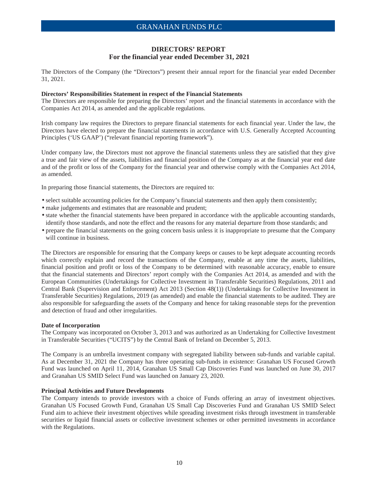#### **DIRECTORS' REPORT For the financial year ended December 31, 2021**

The Directors of the Company (the "Directors") present their annual report for the financial year ended December 31, 2021.

#### **Directors' Responsibilities Statement in respect of the Financial Statements**

The Directors are responsible for preparing the Directors' report and the financial statements in accordance with the Companies Act 2014, as amended and the applicable regulations.

Irish company law requires the Directors to prepare financial statements for each financial year. Under the law, the Directors have elected to prepare the financial statements in accordance with U.S. Generally Accepted Accounting Principles ('US GAAP') ("relevant financial reporting framework").

Under company law, the Directors must not approve the financial statements unless they are satisfied that they give a true and fair view of the assets, liabilities and financial position of the Company as at the financial year end date and of the profit or loss of the Company for the financial year and otherwise comply with the Companies Act 2014, as amended.

In preparing those financial statements, the Directors are required to:

- select suitable accounting policies for the Company's financial statements and then apply them consistently;
- make judgements and estimates that are reasonable and prudent;
- state whether the financial statements have been prepared in accordance with the applicable accounting standards, identify those standards, and note the effect and the reasons for any material departure from those standards; and
- prepare the financial statements on the going concern basis unless it is inappropriate to presume that the Company will continue in business.

The Directors are responsible for ensuring that the Company keeps or causes to be kept adequate accounting records which correctly explain and record the transactions of the Company, enable at any time the assets, liabilities, financial position and profit or loss of the Company to be determined with reasonable accuracy, enable to ensure that the financial statements and Directors' report comply with the Companies Act 2014, as amended and with the European Communities (Undertakings for Collective Investment in Transferable Securities) Regulations, 2011 and Central Bank (Supervision and Enforcement) Act 2013 (Section 48(1)) (Undertakings for Collective Investment in Transferable Securities) Regulations, 2019 (as amended) and enable the financial statements to be audited. They are also responsible for safeguarding the assets of the Company and hence for taking reasonable steps for the prevention and detection of fraud and other irregularities.

#### **Date of Incorporation**

The Company was incorporated on October 3, 2013 and was authorized as an Undertaking for Collective Investment in Transferable Securities ("UCITS") by the Central Bank of Ireland on December 5, 2013.

The Company is an umbrella investment company with segregated liability between sub-funds and variable capital. As at December 31, 2021 the Company has three operating sub-funds in existence: Granahan US Focused Growth Fund was launched on April 11, 2014, Granahan US Small Cap Discoveries Fund was launched on June 30, 2017 and Granahan US SMID Select Fund was launched on January 23, 2020.

#### **Principal Activities and Future Developments**

The Company intends to provide investors with a choice of Funds offering an array of investment objectives. Granahan US Focused Growth Fund, Granahan US Small Cap Discoveries Fund and Granahan US SMID Select Fund aim to achieve their investment objectives while spreading investment risks through investment in transferable securities or liquid financial assets or collective investment schemes or other permitted investments in accordance with the Regulations.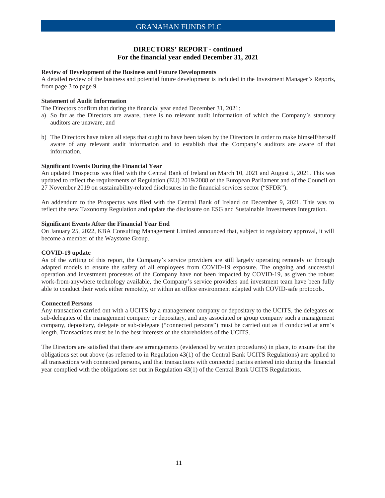#### **DIRECTORS' REPORT - continued For the financial year ended December 31, 2021**

#### **Review of Development of the Business and Future Developments**

A detailed review of the business and potential future development is included in the Investment Manager's Reports, from page 3 to page 9.

#### **Statement of Audit Information**

The Directors confirm that during the financial year ended December 31, 2021:

- a) So far as the Directors are aware, there is no relevant audit information of which the Company's statutory auditors are unaware, and
- b) The Directors have taken all steps that ought to have been taken by the Directors in order to make himself/herself aware of any relevant audit information and to establish that the Company's auditors are aware of that information.

#### **Significant Events During the Financial Year**

An updated Prospectus was filed with the Central Bank of Ireland on March 10, 2021 and August 5, 2021. This was updated to reflect the requirements of Regulation (EU) 2019/2088 of the European Parliament and of the Council on 27 November 2019 on sustainability-related disclosures in the financial services sector ("SFDR").

An addendum to the Prospectus was filed with the Central Bank of Ireland on December 9, 2021. This was to reflect the new Taxonomy Regulation and update the disclosure on ESG and Sustainable Investments Integration.

#### **Significant Events After the Financial Year End**

On January 25, 2022, KBA Consulting Management Limited announced that, subject to regulatory approval, it will become a member of the Waystone Group.

#### **COVID-19 update**

As of the writing of this report, the Company's service providers are still largely operating remotely or through adapted models to ensure the safety of all employees from COVID-19 exposure. The ongoing and successful operation and investment processes of the Company have not been impacted by COVID-19, as given the robust work-from-anywhere technology available, the Company's service providers and investment team have been fully able to conduct their work either remotely, or within an office environment adapted with COVID-safe protocols.

#### **Connected Persons**

Any transaction carried out with a UCITS by a management company or depositary to the UCITS, the delegates or sub-delegates of the management company or depositary, and any associated or group company such a management company, depositary, delegate or sub-delegate ("connected persons") must be carried out as if conducted at arm's length. Transactions must be in the best interests of the shareholders of the UCITS.

The Directors are satisfied that there are arrangements (evidenced by written procedures) in place, to ensure that the obligations set out above (as referred to in Regulation 43(1) of the Central Bank UCITS Regulations) are applied to all transactions with connected persons, and that transactions with connected parties entered into during the financial year complied with the obligations set out in Regulation 43(1) of the Central Bank UCITS Regulations.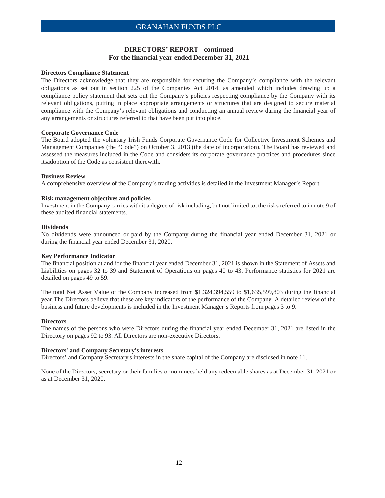#### **DIRECTORS' REPORT - continued For the financial year ended December 31, 2021**

#### **Directors Compliance Statement**

The Directors acknowledge that they are responsible for securing the Company's compliance with the relevant obligations as set out in section 225 of the Companies Act 2014, as amended which includes drawing up a compliance policy statement that sets out the Company's policies respecting compliance by the Company with its relevant obligations, putting in place appropriate arrangements or structures that are designed to secure material compliance with the Company's relevant obligations and conducting an annual review during the financial year of any arrangements or structures referred to that have been put into place.

#### **Corporate Governance Code**

The Board adopted the voluntary Irish Funds Corporate Governance Code for Collective Investment Schemes and Management Companies (the "Code") on October 3, 2013 (the date of incorporation). The Board has reviewed and assessed the measures included in the Code and considers its corporate governance practices and procedures since its adoption of the Code as consistent therewith.

#### **Business Review**

A comprehensive overview of the Company's trading activities is detailed in the Investment Manager's Report.

#### **Risk management objectives and policies**

Investment in the Company carries with it a degree of risk including, but not limited to, the risks referred to in note 9 of these audited financial statements.

#### **Dividends**

No dividends were announced or paid by the Company during the financial year ended December 31, 2021 or during the financial year ended December 31, 2020.

#### **Key Performance Indicator**

The financial position at and for the financial year ended December 31, 2021 is shown in the Statement of Assets and Liabilities on pages 32 to 39 and Statement of Operations on pages 40 to 43. Performance statistics for 2021 are detailed on pages 49 to 59.

The total Net Asset Value of the Company increased from \$1,324,394,559 to \$1,635,599,803 during the financial year. The Directors believe that these are key indicators of the performance of the Company. A detailed review of the business and future developments is included in the Investment Manager's Reports from pages 3 to 9.

#### **Directors**

The names of the persons who were Directors during the financial year ended December 31, 2021 are listed in the Directory on pages 92 to 93. All Directors are non-executive Directors.

#### **Directors' and Company Secretary's interests**

Directors' and Company Secretary's interests in the share capital of the Company are disclosed in note 11.

None of the Directors, secretary or their families or nominees held any redeemable shares as at December 31, 2021 or as at December 31, 2020.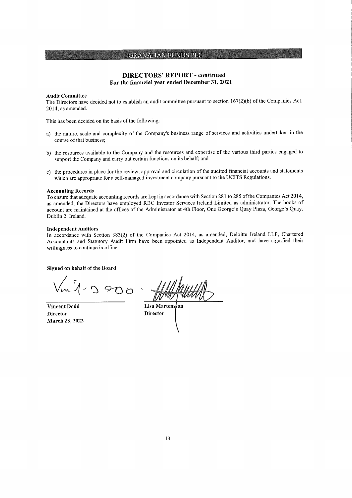#### **DIRECTORS' REPORT - continued** For the financial year ended December 31, 2021

#### **Audit Committee**

The Directors have decided not to establish an audit committee pursuant to section 167(2)(b) of the Companies Act, 2014, as amended.

This has been decided on the basis of the following:

- a) the nature, scale and complexity of the Company's business range of services and activities undertaken in the course of that business;
- b) the resources available to the Company and the resources and expertise of the various third parties engaged to support the Company and carry out certain functions on its behalf; and
- c) the procedures in place for the review, approval and circulation of the audited financial accounts and statements which are appropriate for a self-managed investment company pursuant to the UCITS Regulations.

#### **Accounting Records**

To ensure that adequate accounting records are kept in accordance with Section 281 to 285 of the Companies Act 2014, as amended, the Directors have employed RBC Investor Services Ireland Limited as administrator. The books of account are maintained at the offices of the Administrator at 4th Floor, One George's Quay Plaza, George's Quay, Dublin 2, Ireland.

#### **Independent Auditors**

In accordance with Section 383(2) of the Companies Act 2014, as amended, Deloitte Ireland LLP, Chartered Accountants and Statutory Audit Firm have been appointed as Independent Auditor, and have signified their willingness to continue in office.

Signed on behalf of the Board

**Vincent Dodd Director** March 23, 2022

Lisa Martensson **Director**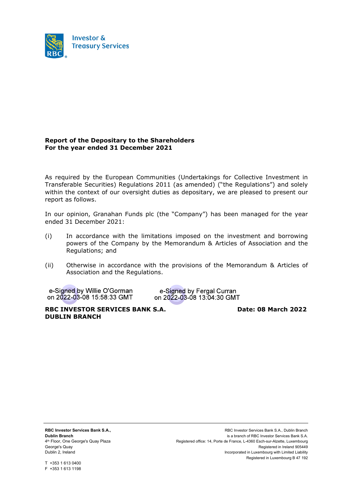

## Report of the Depositary to the Shareholders For the year ended 31 December 2021

As required by the European Communities (Undertakings for Collective Investment in Transferable Securities) Regulations 2011 (as amended) ("the Regulations") and solely within the context of our oversight duties as depositary, we are pleased to present our report as follows.

In our opinion, Granahan Funds plc (the "Company") has been managed for the year ended 31 December 2021:

- (i) In accordance with the limitations imposed on the investment and borrowing powers of the Company by the Memorandum & Articles of Association and the Regulations; and
- (ii) Otherwise in accordance with the provisions of the Memorandum & Articles of Association and the Regulations.

e-Signed by Willie O'Gorman on 2022-03-08 15:58:33 GMT

e-Signed by Fergal Curran on 2022-03-08 13:04:30 GMT

RBC INVESTOR SERVICES BANK S.A. Date: 08 March 2022 DUBLIN BRANCH

RBC Investor Services Bank S.A., Dublin Branch 4 th Floor, One George's Quay Plaza George's Quay Dublin 2, Ireland

RBC Investor Services Bank S.A., Dublin Branch is a branch of RBC Investor Services Bank S.A. Registered office: 14, Porte de France, L-4360 Esch-sur-Alzette, Luxembourg Registered in Ireland 905449 Incorporated in Luxembourg with Limited Liability Registered in Luxembourg B 47 192

T +353 1 613 0400 F +353 1 613 1198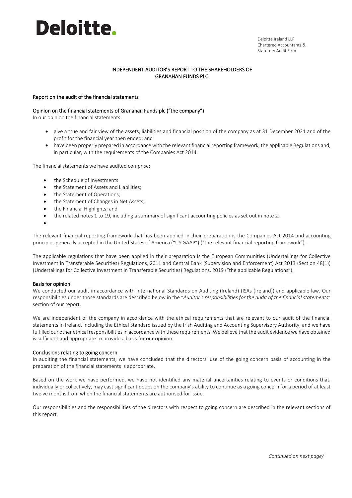# **Deloitte.**

Deloitte Ireland LLP Chartered Accountants & Statutory Audit Firm

#### **INDEPENDENT AUDITOR'S REPORT TO THE SHAREHOLDERS OF GRANAHAN FUNDS PLC**

#### **Report on the audit of the financial statements**

#### **Opinion on the financial statements of Granahan Funds plc ("the company")**

In our opinion the financial statements:

- give a true and fair view of the assets, liabilities and financial position of the company as at 31 December 2021 and of the profit for the financial year then ended; and
- have been properly prepared in accordance with the relevant financial reporting framework, the applicable Regulations and, in particular, with the requirements of the Companies Act 2014.

The financial statements we have audited comprise:

- the Schedule of Investments
- the Statement of Assets and Liabilities;
- the Statement of Operations;
- the Statement of Changes in Net Assets;
- the Financial Highlights; and
- the related notes 1 to 19, including a summary of significant accounting policies as set out in note 2.

 $\bullet$ 

The relevant financial reporting framework that has been applied in their preparation is the Companies Act 2014 and accounting principles generally accepted in the United States of America ("US GAAP") ("the relevant financial reporting framework").

The applicable regulations that have been applied in their preparation is the European Communities (Undertakings for Collective Investment in Transferable Securities) Regulations, 2011 and Central Bank (Supervision and Enforcement) Act 2013 (Section 48(1)) (Undertakings for Collective Investment in Transferable Securities) Regulations, 2019 ("the applicable Regulations").

#### **Basis for opinion**

We conducted our audit in accordance with International Standards on Auditing (Ireland) (ISAs (Ireland)) and applicable law. Our responsibilities under those standards are described below in the "*Auditor's responsibilities for the audit of the financial statements*" section of our report.

We are independent of the company in accordance with the ethical requirements that are relevant to our audit of the financial statements in Ireland, including the Ethical Standard issued by the Irish Auditing and Accounting Supervisory Authority, and we have fulfilled our other ethical responsibilities in accordance with these requirements. We believe that the audit evidence we have obtained is sufficient and appropriate to provide a basis for our opinion.

#### **Conclusions relating to going concern**

In auditing the financial statements, we have concluded that the directors' use of the going concern basis of accounting in the preparation of the financial statements is appropriate.

Based on the work we have performed, we have not identified any material uncertainties relating to events or conditions that, individually or collectively, may cast significant doubt on the company's ability to continue as a going concern for a period of at least twelve months from when the financial statements are authorised for issue.

Our responsibilities and the responsibilities of the directors with respect to going concern are described in the relevant sections of this report.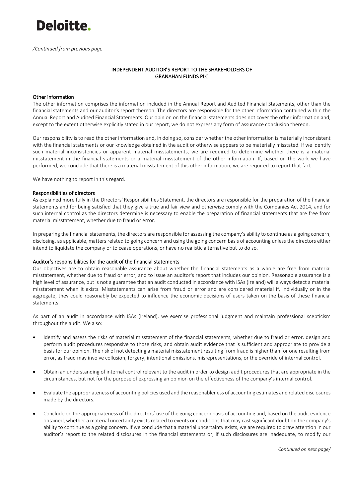

*/Continued from previous page*

#### **INDEPENDENT AUDITOR'S REPORT TO THE SHAREHOLDERS OF GRANAHAN FUNDS PLC**

#### **Other information**

The other information comprises the information included in the Annual Report and Audited Financial Statements, other than the financial statements and our auditor's report thereon. The directors are responsible for the other information contained within the Annual Report and Audited Financial Statements. Our opinion on the financial statements does not cover the other information and, except to the extent otherwise explicitly stated in our report, we do not express any form of assurance conclusion thereon.

Our responsibility is to read the other information and, in doing so, consider whether the other information is materially inconsistent with the financial statements or our knowledge obtained in the audit or otherwise appears to be materially misstated. If we identify such material inconsistencies or apparent material misstatements, we are required to determine whether there is a material misstatement in the financial statements or a material misstatement of the other information. If, based on the work we have performed, we conclude that there is a material misstatement of this other information, we are required to report that fact.

We have nothing to report in this regard.

#### **Responsibilities of directors**

As explained more fully in the Directors' Responsibilities Statement, the directors are responsible for the preparation of the financial statements and for being satisfied that they give a true and fair view and otherwise comply with the Companies Act 2014, and for such internal control as the directors determine is necessary to enable the preparation of financial statements that are free from material misstatement, whether due to fraud or error.

In preparing the financial statements, the directors are responsible for assessing the company's ability to continue as a going concern, disclosing, as applicable, matters related to going concern and using the going concern basis of accounting unless the directors either intend to liquidate the company or to cease operations, or have no realistic alternative but to do so.

#### **Auditor's responsibilities for the audit of the financial statements**

Our objectives are to obtain reasonable assurance about whether the financial statements as a whole are free from material misstatement, whether due to fraud or error, and to issue an auditor's report that includes our opinion. Reasonable assurance is a high level of assurance, but is not a guarantee that an audit conducted in accordance with ISAs (Ireland) will always detect a material misstatement when it exists. Misstatements can arise from fraud or error and are considered material if, individually or in the aggregate, they could reasonably be expected to influence the economic decisions of users taken on the basis of these financial statements.

As part of an audit in accordance with ISAs (Ireland), we exercise professional judgment and maintain professional scepticism throughout the audit. We also:

- Identify and assess the risks of material misstatement of the financial statements, whether due to fraud or error, design and perform audit procedures responsive to those risks, and obtain audit evidence that is sufficient and appropriate to provide a basis for our opinion. The risk of not detecting a material misstatement resulting from fraud is higher than for one resulting from error, as fraud may involve collusion, forgery, intentional omissions, misrepresentations, or the override of internal control.
- Obtain an understanding of internal control relevant to the audit in order to design audit procedures that are appropriate in the circumstances, but not for the purpose of expressing an opinion on the effectiveness of the company's internal control.
- Evaluate the appropriateness of accounting policies used and the reasonableness of accounting estimates and related disclosures made by the directors.
- Conclude on the appropriateness of the directors' use of the going concern basis of accounting and, based on the audit evidence obtained, whether a material uncertainty exists related to events or conditions that may cast significant doubt on the company's ability to continue as a going concern. If we conclude that a material uncertainty exists, we are required to draw attention in our auditor's report to the related disclosures in the financial statements or, if such disclosures are inadequate, to modify our

*Continued on next page/*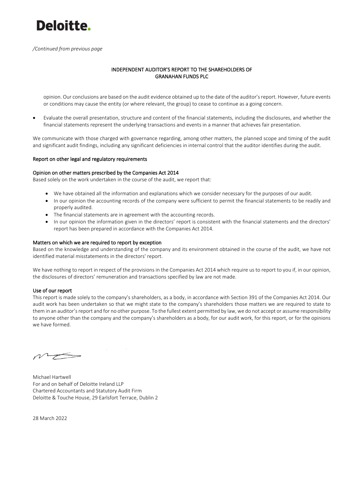## Deloitte.

*/Continued from previous page*

#### **INDEPENDENT AUDITOR'S REPORT TO THE SHAREHOLDERS OF GRANAHAN FUNDS PLC**

opinion. Our conclusions are based on the audit evidence obtained up to the date of the auditor's report. However, future events or conditions may cause the entity (or where relevant, the group) to cease to continue as a going concern.

 Evaluate the overall presentation, structure and content of the financial statements, including the disclosures, and whether the financial statements represent the underlying transactions and events in a manner that achieves fair presentation.

We communicate with those charged with governance regarding, among other matters, the planned scope and timing of the audit and significant audit findings, including any significant deficiencies in internal control that the auditor identifies during the audit.

#### **Report on other legal and regulatory requirements**

#### **Opinion on other matters prescribed by the Companies Act 2014**

Based solely on the work undertaken in the course of the audit, we report that:

- We have obtained all the information and explanations which we consider necessary for the purposes of our audit.
- In our opinion the accounting records of the company were sufficient to permit the financial statements to be readily and properly audited.
- The financial statements are in agreement with the accounting records.
- In our opinion the information given in the directors' report is consistent with the financial statements and the directors' report has been prepared in accordance with the Companies Act 2014.

#### **Matters on which we are required to report by exception**

Based on the knowledge and understanding of the company and its environment obtained in the course of the audit, we have not identified material misstatements in the directors' report.

We have nothing to report in respect of the provisions in the Companies Act 2014 which require us to report to you if, in our opinion, the disclosures of directors' remuneration and transactions specified by law are not made.

#### **Use of our report**

This report is made solely to the company's shareholders, as a body, in accordance with Section 391 of the Companies Act 2014. Our audit work has been undertaken so that we might state to the company's shareholders those matters we are required to state to them in an auditor's report and for no other purpose. To the fullest extent permitted by law, we do not accept or assume responsibility to anyone other than the company and the company's shareholders as a body, for our audit work, for this report, or for the opinions we have formed.

 $\sqrt{ }$ 

Michael Hartwell For and on behalf of Deloitte Ireland LLP Chartered Accountants and Statutory Audit Firm Deloitte & Touche House, 29 Earlsfort Terrace, Dublin 2

28 March 2022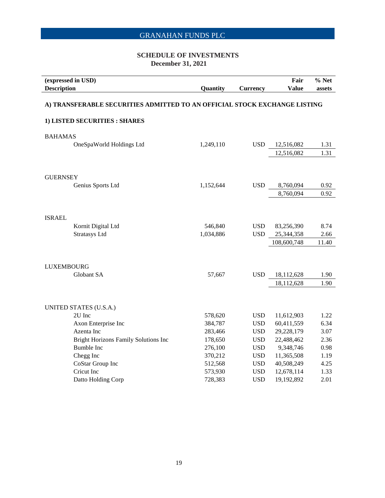## **SCHEDULE OF INVESTMENTS December 31, 2021**

| <b>Description</b> | (expressed in USD)                                                        | Quantity             | <b>Currency</b>          | Fair<br><b>Value</b>     | % Net<br>assets |
|--------------------|---------------------------------------------------------------------------|----------------------|--------------------------|--------------------------|-----------------|
|                    | A) TRANSFERABLE SECURITIES ADMITTED TO AN OFFICIAL STOCK EXCHANGE LISTING |                      |                          |                          |                 |
|                    | 1) LISTED SECURITIES : SHARES                                             |                      |                          |                          |                 |
| <b>BAHAMAS</b>     |                                                                           |                      |                          |                          |                 |
|                    | OneSpaWorld Holdings Ltd                                                  | 1,249,110            | <b>USD</b>               | 12,516,082               | 1.31            |
|                    |                                                                           |                      |                          | 12,516,082               | 1.31            |
|                    |                                                                           |                      |                          |                          |                 |
| <b>GUERNSEY</b>    |                                                                           |                      |                          |                          |                 |
|                    | Genius Sports Ltd                                                         | 1,152,644            | <b>USD</b>               | 8,760,094                | 0.92            |
|                    |                                                                           |                      |                          | 8,760,094                | 0.92            |
|                    |                                                                           |                      |                          |                          |                 |
| <b>ISRAEL</b>      |                                                                           |                      |                          |                          |                 |
|                    | Kornit Digital Ltd<br>Stratasys Ltd                                       | 546,840<br>1,034,886 | <b>USD</b><br><b>USD</b> | 83,256,390<br>25,344,358 | 8.74<br>2.66    |
|                    |                                                                           |                      |                          | 108,600,748              | 11.40           |
|                    |                                                                           |                      |                          |                          |                 |
| <b>LUXEMBOURG</b>  |                                                                           |                      |                          |                          |                 |
|                    | Globant SA                                                                | 57,667               | <b>USD</b>               | 18,112,628               | 1.90            |
|                    |                                                                           |                      |                          | 18,112,628               | 1.90            |
|                    | <b>UNITED STATES (U.S.A.)</b>                                             |                      |                          |                          |                 |
|                    | 2U Inc                                                                    | 578,620              | <b>USD</b>               | 11,612,903               | 1.22            |
|                    | Axon Enterprise Inc                                                       | 384,787              | <b>USD</b>               | 60,411,559               | 6.34            |
|                    | Azenta Inc                                                                | 283,466              | <b>USD</b>               | 29,228,179               | 3.07            |
|                    | Bright Horizons Family Solutions Inc                                      | 178,650              | <b>USD</b>               | 22,488,462               | 2.36            |
|                    | <b>Bumble Inc</b>                                                         | 276,100              | <b>USD</b>               | 9,348,746                | 0.98            |
|                    | Chegg Inc                                                                 | 370,212              | <b>USD</b>               | 11,365,508               | 1.19            |
|                    | CoStar Group Inc                                                          | 512,568              | $_{\rm USD}$             | 40,508,249               | 4.25            |
|                    | Cricut Inc                                                                | 573,930              | <b>USD</b>               | 12,678,114               | 1.33            |
|                    | Datto Holding Corp                                                        | 728,383              | <b>USD</b>               | 19,192,892               | 2.01            |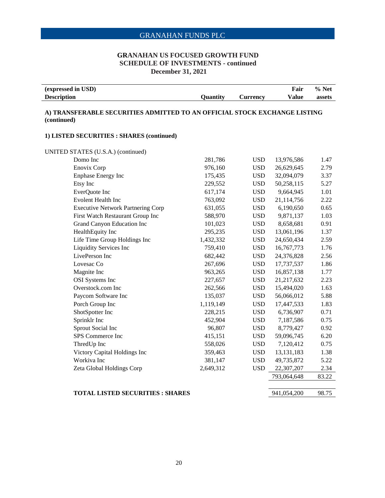## **GRANAHAN US FOCUSED GROWTH FUND SCHEDULE OF INVESTMENTS - continued December 31, 2021**

| (expressed in USD) |          |                 | Fair  | % Net  |
|--------------------|----------|-----------------|-------|--------|
| <b>Description</b> | Ouantitv | <b>Currency</b> | Value | assets |

#### **A) TRANSFERABLE SECURITIES ADMITTED TO AN OFFICIAL STOCK EXCHANGE LISTING (continued)**

#### **1) LISTED SECURITIES : SHARES (continued)**

UNITED STATES (U.S.A.) (continued)

| Domo Inc                                 | 281,786   | <b>USD</b> | 13,976,586   | 1.47  |
|------------------------------------------|-----------|------------|--------------|-------|
| Enovix Corp                              | 976,160   | <b>USD</b> | 26,629,645   | 2.79  |
| Enphase Energy Inc                       | 175,435   | <b>USD</b> | 32,094,079   | 3.37  |
| Etsy Inc                                 | 229,552   | <b>USD</b> | 50,258,115   | 5.27  |
| EverQuote Inc                            | 617,174   | <b>USD</b> | 9,664,945    | 1.01  |
| Evolent Health Inc                       | 763,092   | <b>USD</b> | 21,114,756   | 2.22  |
| <b>Executive Network Partnering Corp</b> | 631,055   | <b>USD</b> | 6,190,650    | 0.65  |
| First Watch Restaurant Group Inc         | 588,970   | <b>USD</b> | 9,871,137    | 1.03  |
| Grand Canyon Education Inc               | 101,023   | <b>USD</b> | 8,658,681    | 0.91  |
| HealthEquity Inc                         | 295,235   | <b>USD</b> | 13,061,196   | 1.37  |
| Life Time Group Holdings Inc             | 1,432,332 | <b>USD</b> | 24,650,434   | 2.59  |
| <b>Liquidity Services Inc</b>            | 759,410   | <b>USD</b> | 16,767,773   | 1.76  |
| LivePerson Inc                           | 682,442   | <b>USD</b> | 24,376,828   | 2.56  |
| Lovesac Co                               | 267,696   | <b>USD</b> | 17,737,537   | 1.86  |
| Magnite Inc                              | 963,265   | <b>USD</b> | 16,857,138   | 1.77  |
| <b>OSI</b> Systems Inc                   | 227,657   | <b>USD</b> | 21,217,632   | 2.23  |
| Overstock.com Inc                        | 262,566   | <b>USD</b> | 15,494,020   | 1.63  |
| Paycom Software Inc                      | 135,037   | <b>USD</b> | 56,066,012   | 5.88  |
| Porch Group Inc                          | 1,119,149 | <b>USD</b> | 17,447,533   | 1.83  |
| ShotSpotter Inc                          | 228,215   | <b>USD</b> | 6,736,907    | 0.71  |
| Sprinklr Inc                             | 452,904   | <b>USD</b> | 7,187,586    | 0.75  |
| Sprout Social Inc                        | 96,807    | <b>USD</b> | 8,779,427    | 0.92  |
| SPS Commerce Inc                         | 415,151   | <b>USD</b> | 59,096,745   | 6.20  |
| ThredUp Inc                              | 558,026   | <b>USD</b> | 7,120,412    | 0.75  |
| Victory Capital Holdings Inc             | 359,463   | USD.       | 13, 131, 183 | 1.38  |
| Workiva Inc                              | 381,147   | <b>USD</b> | 49,735,872   | 5.22  |
| Zeta Global Holdings Corp                | 2,649,312 | <b>USD</b> | 22,307,207   | 2.34  |
|                                          |           |            | 793.064.648  | 83.22 |

#### **TOTAL LISTED SECURITIES : SHARES** 941,054,200 98.75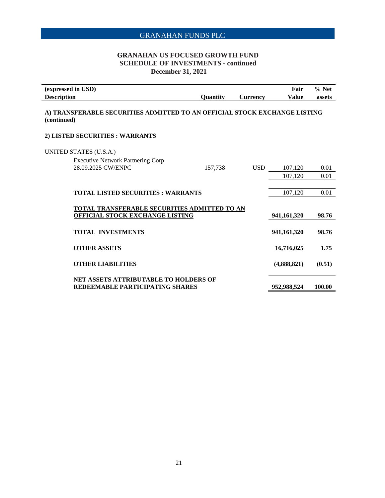## **GRANAHAN US FOCUSED GROWTH FUND SCHEDULE OF INVESTMENTS - continued December 31, 2021**

| (expressed in USD)                                                                       |                 |                 | Fair         | $%$ Net |
|------------------------------------------------------------------------------------------|-----------------|-----------------|--------------|---------|
| <b>Description</b>                                                                       | <b>Ouantity</b> | <b>Currency</b> | <b>Value</b> | assets  |
| A) TRANSFERABLE SECURITIES ADMITTED TO AN OFFICIAL STOCK EXCHANGE LISTING<br>(continued) |                 |                 |              |         |
| 2) LISTED SECURITIES : WARRANTS                                                          |                 |                 |              |         |
| UNITED STATES (U.S.A.)                                                                   |                 |                 |              |         |
| <b>Executive Network Partnering Corp</b><br>28.09.2025 CW/ENPC                           | 157,738         | <b>USD</b>      | 107,120      | 0.01    |
|                                                                                          |                 |                 | 107,120      | 0.01    |
|                                                                                          |                 |                 |              |         |
| <b>TOTAL LISTED SECURITIES : WARRANTS</b>                                                |                 |                 | 107,120      | 0.01    |
| TOTAL TRANSFERABLE SECURITIES ADMITTED TO AN                                             |                 |                 |              |         |
| <b>OFFICIAL STOCK EXCHANGE LISTING</b>                                                   |                 |                 | 941,161,320  | 98.76   |
| <b>TOTAL INVESTMENTS</b>                                                                 |                 |                 | 941,161,320  | 98.76   |
| <b>OTHER ASSETS</b>                                                                      |                 |                 | 16,716,025   | 1.75    |
| <b>OTHER LIABILITIES</b>                                                                 |                 |                 | (4,888,821)  | (0.51)  |
| <b>NET ASSETS ATTRIBUTABLE TO HOLDERS OF</b><br>REDEEMABLE PARTICIPATING SHARES          |                 |                 | 952,988,524  | 100.00  |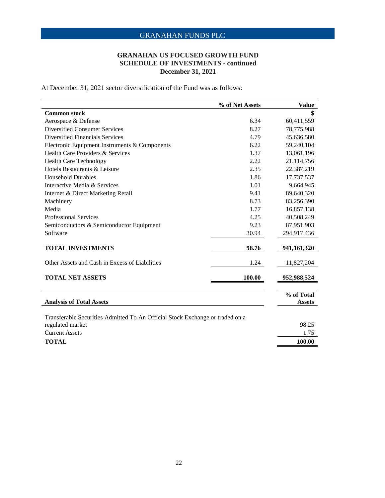## **GRANAHAN US FOCUSED GROWTH FUND SCHEDULE OF INVESTMENTS - continued December 31, 2021**

At December 31, 2021 sector diversification of the Fund was as follows:

|                                                                               | % of Net Assets | <b>Value</b>  |
|-------------------------------------------------------------------------------|-----------------|---------------|
| <b>Common stock</b>                                                           |                 | \$            |
| Aerospace & Defense                                                           | 6.34            | 60,411,559    |
| Diversified Consumer Services                                                 | 8.27            | 78,775,988    |
| Diversified Financials Services                                               | 4.79            | 45,636,580    |
| Electronic Equipment Instruments & Components                                 | 6.22            | 59,240,104    |
| Health Care Providers & Services                                              | 1.37            | 13,061,196    |
| <b>Health Care Technology</b>                                                 | 2.22            | 21,114,756    |
| Hotels Restaurants & Leisure                                                  | 2.35            | 22,387,219    |
| <b>Household Durables</b>                                                     | 1.86            | 17,737,537    |
| Interactive Media & Services                                                  | 1.01            | 9,664,945     |
| Internet & Direct Marketing Retail                                            | 9.41            | 89,640,320    |
| Machinery                                                                     | 8.73            | 83,256,390    |
| Media                                                                         | 1.77            | 16,857,138    |
| <b>Professional Services</b>                                                  | 4.25            | 40,508,249    |
| Semiconductors & Semiconductor Equipment                                      | 9.23            | 87,951,903    |
| Software                                                                      | 30.94           | 294,917,436   |
| <b>TOTAL INVESTMENTS</b>                                                      | 98.76           | 941, 161, 320 |
| Other Assets and Cash in Excess of Liabilities                                | 1.24            | 11,827,204    |
| <b>TOTAL NET ASSETS</b>                                                       | 100.00          | 952,988,524   |
|                                                                               |                 | % of Total    |
| <b>Analysis of Total Assets</b>                                               |                 | <b>Assets</b> |
| Transferable Securities Admitted To An Official Stock Exchange or traded on a |                 |               |
| regulated market                                                              |                 | 98.25         |
| <b>Current Assets</b>                                                         |                 | 1.75          |
| <b>TOTAL</b>                                                                  |                 | 100.00        |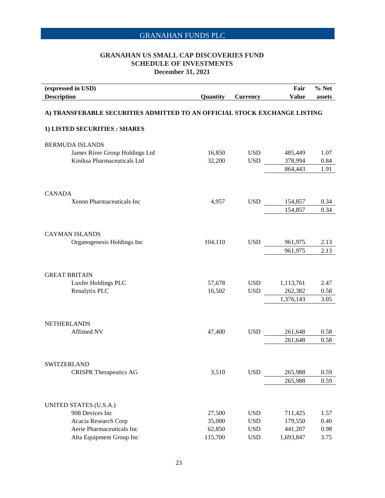## **GRANAHAN US SMALL CAP DISCOVERIES FUND SCHEDULE OF INVESTMENTS December 31, 2021**

| (expressed in USD)                                                        |          |                 | Fair               | % Net        |
|---------------------------------------------------------------------------|----------|-----------------|--------------------|--------------|
| <b>Description</b>                                                        | Quantity | <b>Currency</b> | <b>Value</b>       | assets       |
| A) TRANSFERABLE SECURITIES ADMITTED TO AN OFFICIAL STOCK EXCHANGE LISTING |          |                 |                    |              |
| 1) LISTED SECURITIES : SHARES                                             |          |                 |                    |              |
| <b>BERMUDA ISLANDS</b>                                                    |          |                 |                    |              |
| James River Group Holdings Ltd                                            | 16,850   | <b>USD</b>      | 485,449            | 1.07         |
| Kiniksa Pharmaceuticals Ltd                                               | 32,200   | <b>USD</b>      | 378,994            | 0.84         |
|                                                                           |          |                 | 864,443            | 1.91         |
|                                                                           |          |                 |                    |              |
| <b>CANADA</b>                                                             |          |                 |                    |              |
| Xenon Pharmaceuticals Inc                                                 | 4,957    | <b>USD</b>      | 154,857<br>154,857 | 0.34<br>0.34 |
|                                                                           |          |                 |                    |              |
| <b>CAYMAN ISLANDS</b>                                                     |          |                 |                    |              |
| Organogenesis Holdings Inc                                                | 104,110  | <b>USD</b>      | 961,975            | 2.13         |
|                                                                           |          |                 | 961,975            | 2.13         |
|                                                                           |          |                 |                    |              |
| <b>GREAT BRITAIN</b>                                                      |          |                 |                    |              |
| Luxfer Holdings PLC                                                       | 57,678   | <b>USD</b>      | 1,113,761          | 2.47         |
| Renalytix PLC                                                             | 16,502   | <b>USD</b>      | 262,382            | 0.58         |
|                                                                           |          |                 | 1,376,143          | 3.05         |
| <b>NETHERLANDS</b>                                                        |          |                 |                    |              |
| Affimed NV                                                                | 47,400   | <b>USD</b>      | 261,648            | 0.58         |
|                                                                           |          |                 | 261,648            | 0.58         |
|                                                                           |          |                 |                    |              |
| SWITZERLAND                                                               |          |                 |                    |              |
| <b>CRISPR Therapeutics AG</b>                                             | 3,510    | <b>USD</b>      | 265,988            | 0.59         |
|                                                                           |          |                 | 265,988            | 0.59         |
|                                                                           |          |                 |                    |              |
| UNITED STATES (U.S.A.)<br>908 Devices Inc                                 | 27,500   | <b>USD</b>      |                    | 1.57         |
| Acacia Research Corp                                                      | 35,000   | <b>USD</b>      | 711,425<br>179,550 | 0.40         |
| Aerie Pharmaceuticals Inc                                                 | 62,850   | <b>USD</b>      | 441,207            | 0.98         |
| Alta Equipment Group Inc                                                  | 115,700  | <b>USD</b>      | 1,693,847          | 3.75         |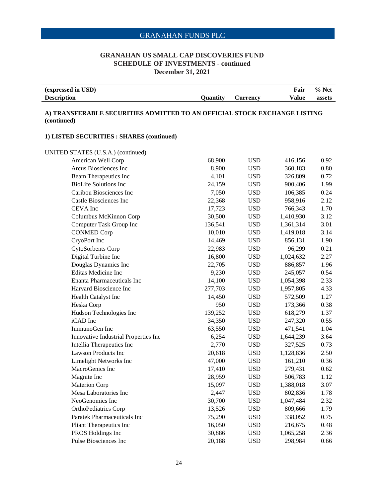## **GRANAHAN US SMALL CAP DISCOVERIES FUND SCHEDULE OF INVESTMENTS - continued December 31, 2021**

| (expressed in USD) |                 |                 | Fair  | $%$ Net |
|--------------------|-----------------|-----------------|-------|---------|
| <b>Description</b> | <b>Ouantity</b> | <b>Currencv</b> | Value | assets  |

#### **A) TRANSFERABLE SECURITIES ADMITTED TO AN OFFICIAL STOCK EXCHANGE LISTING (continued)**

#### **1) LISTED SECURITIES : SHARES (continued)**

| UNITED STATES (U.S.A.) (continued)   |         |            |           |      |
|--------------------------------------|---------|------------|-----------|------|
| American Well Corp                   | 68,900  | <b>USD</b> | 416,156   | 0.92 |
| Arcus Biosciences Inc                | 8,900   | <b>USD</b> | 360,183   | 0.80 |
| Beam Therapeutics Inc                | 4,101   | <b>USD</b> | 326,809   | 0.72 |
| <b>BioLife Solutions Inc</b>         | 24,159  | <b>USD</b> | 900,406   | 1.99 |
| Caribou Biosciences Inc              | 7,050   | <b>USD</b> | 106,385   | 0.24 |
| <b>Castle Biosciences Inc</b>        | 22,368  | <b>USD</b> | 958,916   | 2.12 |
| CEVA Inc                             | 17,723  | <b>USD</b> | 766,343   | 1.70 |
| Columbus McKinnon Corp               | 30,500  | <b>USD</b> | 1,410,930 | 3.12 |
| Computer Task Group Inc              | 136,541 | <b>USD</b> | 1,361,314 | 3.01 |
| <b>CONMED Corp</b>                   | 10,010  | <b>USD</b> | 1,419,018 | 3.14 |
| CryoPort Inc                         | 14,469  | <b>USD</b> | 856,131   | 1.90 |
| CytoSorbents Corp                    | 22,983  | <b>USD</b> | 96,299    | 0.21 |
| Digital Turbine Inc                  | 16,800  | <b>USD</b> | 1,024,632 | 2.27 |
| Douglas Dynamics Inc                 | 22,705  | <b>USD</b> | 886,857   | 1.96 |
| Editas Medicine Inc                  | 9,230   | <b>USD</b> | 245,057   | 0.54 |
| <b>Enanta Pharmaceuticals Inc</b>    | 14,100  | <b>USD</b> | 1,054,398 | 2.33 |
| Harvard Bioscience Inc               | 277,703 | <b>USD</b> | 1,957,805 | 4.33 |
| Health Catalyst Inc                  | 14,450  | <b>USD</b> | 572,509   | 1.27 |
| Heska Corp                           | 950     | <b>USD</b> | 173,366   | 0.38 |
| Hudson Technologies Inc              | 139,252 | <b>USD</b> | 618,279   | 1.37 |
| iCAD Inc                             | 34,350  | <b>USD</b> | 247,320   | 0.55 |
| ImmunoGen Inc                        | 63,550  | <b>USD</b> | 471,541   | 1.04 |
| Innovative Industrial Properties Inc | 6,254   | <b>USD</b> | 1,644,239 | 3.64 |
| Intellia Therapeutics Inc            | 2,770   | <b>USD</b> | 327,525   | 0.73 |
| <b>Lawson Products Inc</b>           | 20,618  | <b>USD</b> | 1,128,836 | 2.50 |
| Limelight Networks Inc               | 47,000  | <b>USD</b> | 161,210   | 0.36 |
| MacroGenics Inc                      | 17,410  | <b>USD</b> | 279,431   | 0.62 |
| Magnite Inc                          | 28,959  | <b>USD</b> | 506,783   | 1.12 |
| Materion Corp                        | 15,097  | <b>USD</b> | 1,388,018 | 3.07 |
| Mesa Laboratories Inc                | 2,447   | <b>USD</b> | 802,836   | 1.78 |
| NeoGenomics Inc                      | 30,700  | <b>USD</b> | 1,047,484 | 2.32 |
| OrthoPediatrics Corp                 | 13,526  | <b>USD</b> | 809,666   | 1.79 |
| <b>Paratek Pharmaceuticals Inc</b>   | 75,290  | <b>USD</b> | 338,052   | 0.75 |
| Pliant Therapeutics Inc              | 16,050  | <b>USD</b> | 216,675   | 0.48 |
| PROS Holdings Inc                    | 30,886  | <b>USD</b> | 1,065,258 | 2.36 |
| Pulse Biosciences Inc                | 20,188  | <b>USD</b> | 298,984   | 0.66 |
|                                      |         |            |           |      |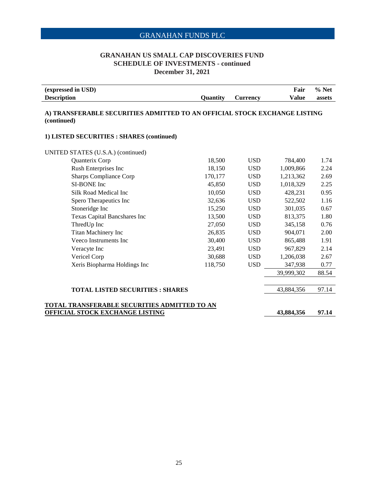## **GRANAHAN US SMALL CAP DISCOVERIES FUND SCHEDULE OF INVESTMENTS - continued December 31, 2021**

| (expressed in USD) |                 |          | Fair  | % Net  |
|--------------------|-----------------|----------|-------|--------|
| <b>Description</b> | <b>Ouantity</b> | Currency | Value | assets |

#### **A) TRANSFERABLE SECURITIES ADMITTED TO AN OFFICIAL STOCK EXCHANGE LISTING (continued)**

#### **1) LISTED SECURITIES : SHARES (continued)**

| UNITED STATES (U.S.A.) (continued)                                                     |         |            |            |       |
|----------------------------------------------------------------------------------------|---------|------------|------------|-------|
| Quanterix Corp                                                                         | 18,500  | <b>USD</b> | 784,400    | 1.74  |
| Rush Enterprises Inc                                                                   | 18,150  | <b>USD</b> | 1,009,866  | 2.24  |
| <b>Sharps Compliance Corp</b>                                                          | 170,177 | <b>USD</b> | 1,213,362  | 2.69  |
| SI-BONE Inc                                                                            | 45,850  | <b>USD</b> | 1,018,329  | 2.25  |
| Silk Road Medical Inc                                                                  | 10,050  | <b>USD</b> | 428,231    | 0.95  |
| Spero Therapeutics Inc                                                                 | 32,636  | <b>USD</b> | 522,502    | 1.16  |
| Stoneridge Inc                                                                         | 15,250  | <b>USD</b> | 301,035    | 0.67  |
| Texas Capital Bancshares Inc                                                           | 13,500  | <b>USD</b> | 813,375    | 1.80  |
| ThredUp Inc                                                                            | 27,050  | <b>USD</b> | 345,158    | 0.76  |
| Titan Machinery Inc                                                                    | 26,835  | <b>USD</b> | 904,071    | 2.00  |
| Veeco Instruments Inc                                                                  | 30,400  | <b>USD</b> | 865,488    | 1.91  |
| Veracyte Inc                                                                           | 23,491  | <b>USD</b> | 967,829    | 2.14  |
| Vericel Corp                                                                           | 30,688  | <b>USD</b> | 1,206,038  | 2.67  |
| Xeris Biopharma Holdings Inc                                                           | 118,750 | <b>USD</b> | 347,938    | 0.77  |
|                                                                                        |         |            | 39,999,302 | 88.54 |
|                                                                                        |         |            |            |       |
| <b>TOTAL LISTED SECURITIES : SHARES</b>                                                |         |            | 43,884,356 | 97.14 |
|                                                                                        |         |            |            |       |
| TOTAL TRANSFERABLE SECURITIES ADMITTED TO AN<br><b>OFFICIAL STOCK EXCHANGE LISTING</b> |         |            | 43,884,356 | 97.14 |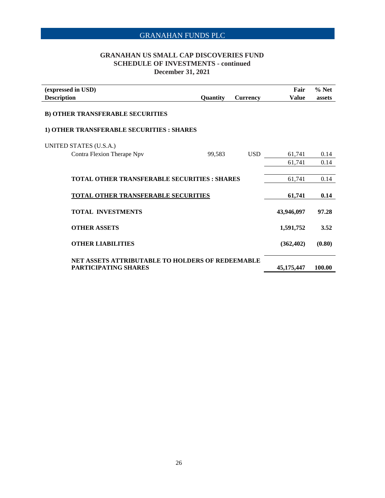## **GRANAHAN US SMALL CAP DISCOVERIES FUND SCHEDULE OF INVESTMENTS - continued December 31, 2021**

| (expressed in USD)<br><b>Description</b>                                 | Quantity | <b>Currency</b> | Fair<br><b>Value</b> | $%$ Net<br>assets |
|--------------------------------------------------------------------------|----------|-----------------|----------------------|-------------------|
| <b>B) OTHER TRANSFERABLE SECURITIES</b>                                  |          |                 |                      |                   |
| 1) OTHER TRANSFERABLE SECURITIES : SHARES                                |          |                 |                      |                   |
| UNITED STATES (U.S.A.)                                                   |          |                 |                      |                   |
| Contra Flexion Therape Npv                                               | 99,583   | <b>USD</b>      | 61,741               | 0.14              |
|                                                                          |          |                 | 61,741               | 0.14              |
|                                                                          |          |                 |                      |                   |
| <b>TOTAL OTHER TRANSFERABLE SECURITIES : SHARES</b>                      |          |                 | 61,741               | 0.14              |
| <b>TOTAL OTHER TRANSFERABLE SECURITIES</b>                               |          |                 | 61,741               | 0.14              |
| <b>TOTAL INVESTMENTS</b>                                                 |          |                 | 43,946,097           | 97.28             |
| <b>OTHER ASSETS</b>                                                      |          |                 | 1,591,752            | 3.52              |
| <b>OTHER LIABILITIES</b>                                                 |          |                 | (362, 402)           | (0.80)            |
| NET ASSETS ATTRIBUTABLE TO HOLDERS OF REDEEMABLE<br>PARTICIPATING SHARES |          |                 | 45,175,447           | 100.00            |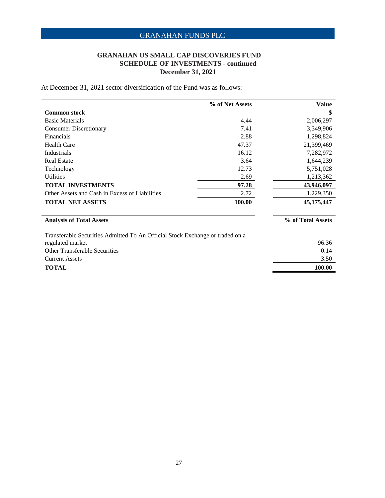## **GRANAHAN US SMALL CAP DISCOVERIES FUND SCHEDULE OF INVESTMENTS - continued December 31, 2021**

At December 31, 2021 sector diversification of the Fund was as follows:

|                                                                                                                                           | % of Net Assets | <b>Value</b>      |
|-------------------------------------------------------------------------------------------------------------------------------------------|-----------------|-------------------|
| <b>Common stock</b>                                                                                                                       |                 | \$                |
| <b>Basic Materials</b>                                                                                                                    | 4.44            | 2,006,297         |
| <b>Consumer Discretionary</b>                                                                                                             | 7.41            | 3,349,906         |
| Financials                                                                                                                                | 2.88            | 1,298,824         |
| <b>Health Care</b>                                                                                                                        | 47.37           | 21,399,469        |
| Industrials                                                                                                                               | 16.12           | 7,282,972         |
| <b>Real Estate</b>                                                                                                                        | 3.64            | 1,644,239         |
| Technology                                                                                                                                | 12.73           | 5,751,028         |
| <b>Utilities</b>                                                                                                                          | 2.69            | 1,213,362         |
| <b>TOTAL INVESTMENTS</b>                                                                                                                  | 97.28           | 43,946,097        |
| Other Assets and Cash in Excess of Liabilities                                                                                            | 2.72            | 1,229,350         |
| <b>TOTAL NET ASSETS</b>                                                                                                                   | 100.00          | 45, 175, 447      |
| <b>Analysis of Total Assets</b>                                                                                                           |                 | % of Total Assets |
| Transferable Securities Admitted To An Official Stock Exchange or traded on a<br>regulated market<br><b>Other Transferable Securities</b> |                 | 96.36<br>0.14     |
| <b>Current Assets</b>                                                                                                                     |                 | 3.50              |
| <b>TOTAL</b>                                                                                                                              |                 | 100.00            |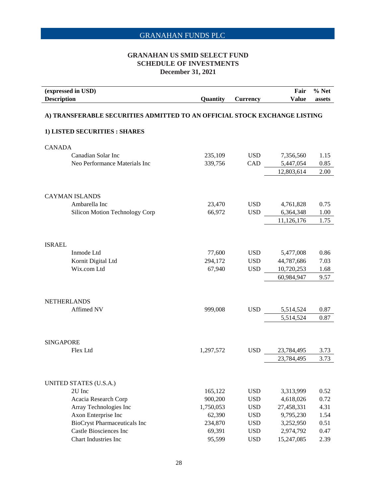## **GRANAHAN US SMID SELECT FUND SCHEDULE OF INVESTMENTS December 31, 2021**

| (expressed in USD)<br><b>Description</b> |                                                                           | Quantity  | <b>Currency</b> | Fair<br><b>Value</b> | % Net<br>assets |
|------------------------------------------|---------------------------------------------------------------------------|-----------|-----------------|----------------------|-----------------|
|                                          | A) TRANSFERABLE SECURITIES ADMITTED TO AN OFFICIAL STOCK EXCHANGE LISTING |           |                 |                      |                 |
|                                          | 1) LISTED SECURITIES : SHARES                                             |           |                 |                      |                 |
| <b>CANADA</b>                            |                                                                           |           |                 |                      |                 |
|                                          | Canadian Solar Inc                                                        | 235,109   | <b>USD</b>      | 7,356,560            | 1.15            |
|                                          | Neo Performance Materials Inc                                             | 339,756   | CAD             | 5,447,054            | 0.85            |
|                                          |                                                                           |           |                 | 12,803,614           | 2.00            |
| <b>CAYMAN ISLANDS</b>                    |                                                                           |           |                 |                      |                 |
|                                          | Ambarella Inc                                                             | 23,470    | <b>USD</b>      | 4,761,828            | 0.75            |
|                                          | Silicon Motion Technology Corp                                            | 66,972    | <b>USD</b>      | 6,364,348            | 1.00            |
|                                          |                                                                           |           |                 | 11,126,176           | 1.75            |
| <b>ISRAEL</b>                            |                                                                           |           |                 |                      |                 |
|                                          | Inmode Ltd                                                                | 77,600    | <b>USD</b>      | 5,477,008            | 0.86            |
|                                          | Kornit Digital Ltd                                                        | 294,172   | <b>USD</b>      | 44,787,686           | 7.03            |
|                                          | Wix.com Ltd                                                               | 67,940    | <b>USD</b>      | 10,720,253           | 1.68            |
|                                          |                                                                           |           |                 | 60,984,947           | 9.57            |
|                                          |                                                                           |           |                 |                      |                 |
| <b>NETHERLANDS</b>                       |                                                                           |           |                 |                      |                 |
|                                          | Affimed NV                                                                | 999,008   | <b>USD</b>      | 5,514,524            | 0.87            |
|                                          |                                                                           |           |                 | 5,514,524            | 0.87            |
| <b>SINGAPORE</b>                         |                                                                           |           |                 |                      |                 |
|                                          | Flex Ltd                                                                  | 1,297,572 | <b>USD</b>      | 23,784,495           | 3.73            |
|                                          |                                                                           |           |                 | 23,784,495           | 3.73            |
| UNITED STATES (U.S.A.)                   |                                                                           |           |                 |                      |                 |
| 2U Inc                                   |                                                                           | 165,122   | <b>USD</b>      | 3,313,999            | 0.52            |
|                                          | Acacia Research Corp                                                      | 900,200   | <b>USD</b>      | 4,618,026            | 0.72            |
|                                          | Array Technologies Inc                                                    | 1,750,053 | <b>USD</b>      | 27,458,331           | 4.31            |
|                                          | Axon Enterprise Inc                                                       | 62,390    | <b>USD</b>      | 9,795,230            | 1.54            |
|                                          | <b>BioCryst Pharmaceuticals Inc</b>                                       | 234,870   | <b>USD</b>      | 3,252,950            | 0.51            |
|                                          | Castle Biosciences Inc                                                    | 69,391    | <b>USD</b>      | 2,974,792            | 0.47            |
|                                          | Chart Industries Inc                                                      | 95,599    | <b>USD</b>      | 15,247,085           | 2.39            |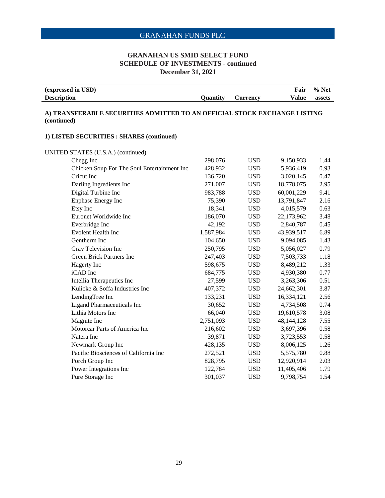## **GRANAHAN US SMID SELECT FUND SCHEDULE OF INVESTMENTS - continued December 31, 2021**

| (expressed in USD) |                 |          | Fair  | % Net  |
|--------------------|-----------------|----------|-------|--------|
| <b>Description</b> | <b>Ouantity</b> | Currency | Value | assets |

#### **A) TRANSFERABLE SECURITIES ADMITTED TO AN OFFICIAL STOCK EXCHANGE LISTING (continued)**

#### **1) LISTED SECURITIES : SHARES (continued)**

UNITED STATES (U.S.A.) (continued)

| Chicken Soup For The Soul Entertainment Inc<br>Cricut Inc | 428,932<br>136,720      | <b>USD</b> | 5,936,419    | 0.93 |
|-----------------------------------------------------------|-------------------------|------------|--------------|------|
|                                                           |                         |            |              |      |
|                                                           |                         | <b>USD</b> | 3,020,145    | 0.47 |
|                                                           | 271,007                 | <b>USD</b> | 18,778,075   | 2.95 |
| Digital Turbine Inc                                       | 983,788                 | <b>USD</b> | 60,001,229   | 9.41 |
| Enphase Energy Inc                                        | 75,390                  | <b>USD</b> | 13,791,847   | 2.16 |
| Etsy Inc                                                  | 18,341                  | <b>USD</b> | 4,015,579    | 0.63 |
| Euronet Worldwide Inc                                     | 186,070                 | <b>USD</b> | 22,173,962   | 3.48 |
| Everbridge Inc                                            | 42,192                  | <b>USD</b> | 2,840,787    | 0.45 |
| Evolent Health Inc                                        | 1,587,984               | <b>USD</b> | 43,939,517   | 6.89 |
| Gentherm Inc                                              | 104,650                 | <b>USD</b> | 9,094,085    | 1.43 |
| Gray Television Inc                                       | 250,795                 | <b>USD</b> | 5,056,027    | 0.79 |
| Green Brick Partners Inc                                  | 247,403                 | <b>USD</b> | 7,503,733    | 1.18 |
| Hagerty Inc                                               | 598,675                 | <b>USD</b> | 8,489,212    | 1.33 |
| iCAD Inc                                                  | 684,775                 | <b>USD</b> | 4,930,380    | 0.77 |
| Intellia Therapeutics Inc                                 | 27,599                  | <b>USD</b> | 3,263,306    | 0.51 |
| Kulicke & Soffa Industries Inc                            | 407,372                 | <b>USD</b> | 24,662,301   | 3.87 |
| LendingTree Inc                                           | 133,231                 | <b>USD</b> | 16,334,121   | 2.56 |
| <b>Ligand Pharmaceuticals Inc</b>                         | 30,652                  | <b>USD</b> | 4,734,508    | 0.74 |
| Lithia Motors Inc                                         | 66,040                  | <b>USD</b> | 19,610,578   | 3.08 |
| Magnite Inc                                               | 2,751,093               | <b>USD</b> | 48, 144, 128 | 7.55 |
| Motorcar Parts of America Inc                             | 216,602                 | <b>USD</b> | 3,697,396    | 0.58 |
| Natera Inc                                                | 39,871                  | <b>USD</b> | 3,723,553    | 0.58 |
| Newmark Group Inc                                         | 428,135                 | <b>USD</b> | 8,006,125    | 1.26 |
| Pacific Biosciences of California Inc                     | 272,521                 | <b>USD</b> | 5,575,780    | 0.88 |
| Porch Group Inc                                           | 828,795                 | <b>USD</b> | 12,920,914   | 2.03 |
| Power Integrations Inc                                    | 122,784                 | <b>USD</b> | 11,405,406   | 1.79 |
| Pure Storage Inc                                          | 301,037                 | <b>USD</b> | 9,798,754    | 1.54 |
|                                                           | Darling Ingredients Inc |            |              |      |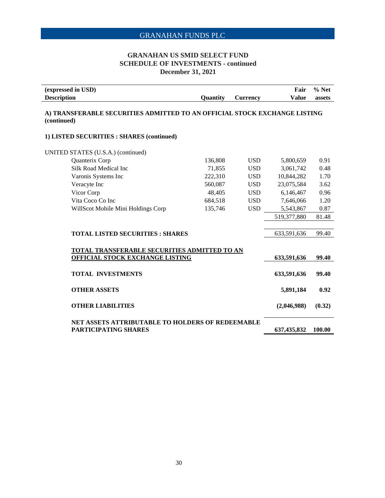## **GRANAHAN US SMID SELECT FUND SCHEDULE OF INVESTMENTS - continued December 31, 2021**

| (expressed in USD)<br><b>Description</b>                                                 | Quantity | <b>Currency</b> | Fair<br><b>Value</b> | $%$ Net<br>assets |
|------------------------------------------------------------------------------------------|----------|-----------------|----------------------|-------------------|
| A) TRANSFERABLE SECURITIES ADMITTED TO AN OFFICIAL STOCK EXCHANGE LISTING<br>(continued) |          |                 |                      |                   |
| 1) LISTED SECURITIES : SHARES (continued)                                                |          |                 |                      |                   |
| UNITED STATES (U.S.A.) (continued)                                                       |          |                 |                      |                   |
| Quanterix Corp                                                                           | 136,808  | <b>USD</b>      | 5,800,659            | 0.91              |
| Silk Road Medical Inc                                                                    | 71,855   | <b>USD</b>      | 3,061,742            | 0.48              |
| Varonis Systems Inc                                                                      | 222,310  | <b>USD</b>      | 10,844,282           | 1.70              |
| Veracyte Inc                                                                             | 560,087  | <b>USD</b>      | 23,075,584           | 3.62              |
| Vicor Corp                                                                               | 48,405   | <b>USD</b>      | 6,146,467            | 0.96              |
| Vita Coco Co Inc                                                                         | 684,518  | <b>USD</b>      | 7,646,066            | 1.20              |
| WillScot Mobile Mini Holdings Corp                                                       | 135,746  | <b>USD</b>      | 5,543,867            | 0.87              |
|                                                                                          |          |                 | 519,377,880          | 81.48             |
|                                                                                          |          |                 |                      |                   |
| <b>TOTAL LISTED SECURITIES : SHARES</b>                                                  |          |                 | 633,591,636          | 99.40             |
|                                                                                          |          |                 |                      |                   |
| TOTAL TRANSFERABLE SECURITIES ADMITTED TO AN                                             |          |                 |                      |                   |
| OFFICIAL STOCK EXCHANGE LISTING                                                          |          |                 | 633,591,636          | 99.40             |
| <b>TOTAL INVESTMENTS</b>                                                                 |          |                 | 633,591,636          | 99.40             |
|                                                                                          |          |                 |                      |                   |
| <b>OTHER ASSETS</b>                                                                      |          |                 | 5,891,184            | 0.92              |
| <b>OTHER LIABILITIES</b>                                                                 |          |                 | (2,046,988)          | (0.32)            |
| NET ASSETS ATTRIBUTABLE TO HOLDERS OF REDEEMABLE<br>PARTICIPATING SHARES                 |          |                 | 637,435,832          | 100.00            |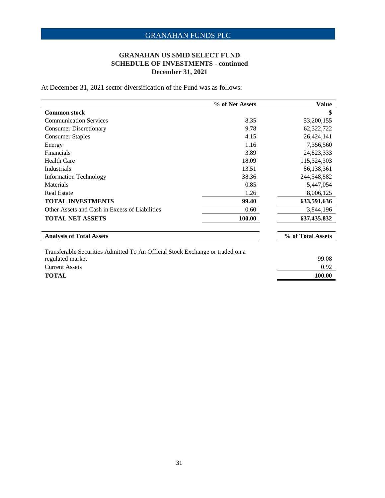## **GRANAHAN US SMID SELECT FUND SCHEDULE OF INVESTMENTS - continued December 31, 2021**

At December 31, 2021 sector diversification of the Fund was as follows:

|                                                                               | % of Net Assets | <b>Value</b>      |
|-------------------------------------------------------------------------------|-----------------|-------------------|
| <b>Common stock</b>                                                           |                 | \$                |
| <b>Communication Services</b>                                                 | 8.35            | 53,200,155        |
| <b>Consumer Discretionary</b>                                                 | 9.78            | 62,322,722        |
| <b>Consumer Staples</b>                                                       | 4.15            | 26,424,141        |
| Energy                                                                        | 1.16            | 7,356,560         |
| Financials                                                                    | 3.89            | 24,823,333        |
| Health Care                                                                   | 18.09           | 115,324,303       |
| <b>Industrials</b>                                                            | 13.51           | 86,138,361        |
| <b>Information Technology</b>                                                 | 38.36           | 244,548,882       |
| Materials                                                                     | 0.85            | 5,447,054         |
| <b>Real Estate</b>                                                            | 1.26            | 8,006,125         |
| <b>TOTAL INVESTMENTS</b>                                                      | 99.40           | 633,591,636       |
| Other Assets and Cash in Excess of Liabilities                                | 0.60            | 3,844,196         |
| <b>TOTAL NET ASSETS</b>                                                       | 100.00          | 637,435,832       |
| <b>Analysis of Total Assets</b>                                               |                 | % of Total Assets |
|                                                                               |                 |                   |
| Transferable Securities Admitted To An Official Stock Exchange or traded on a |                 |                   |
| regulated market                                                              |                 | 99.08             |
| <b>Current Assets</b>                                                         |                 | 0.92              |
| <b>TOTAL</b>                                                                  |                 | 100.00            |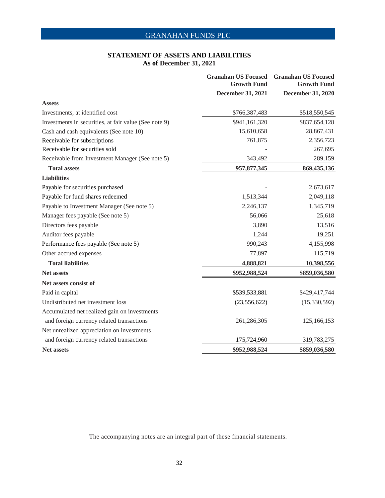## **STATEMENT OF ASSETS AND LIABILITIES As of December 31, 2021**

|                                                       | <b>Granahan US Focused</b><br><b>Growth Fund</b> | <b>Granahan US Focused</b><br><b>Growth Fund</b> |
|-------------------------------------------------------|--------------------------------------------------|--------------------------------------------------|
|                                                       | <b>December 31, 2021</b>                         | December 31, 2020                                |
| <b>Assets</b>                                         |                                                  |                                                  |
| Investments, at identified cost                       | \$766,387,483                                    | \$518,550,545                                    |
| Investments in securities, at fair value (See note 9) | \$941,161,320                                    | \$837,654,128                                    |
| Cash and cash equivalents (See note 10)               | 15,610,658                                       | 28,867,431                                       |
| Receivable for subscriptions                          | 761,875                                          | 2,356,723                                        |
| Receivable for securities sold                        |                                                  | 267,695                                          |
| Receivable from Investment Manager (See note 5)       | 343,492                                          | 289,159                                          |
| <b>Total assets</b>                                   | 957,877,345                                      | 869, 435, 136                                    |
| <b>Liabilities</b>                                    |                                                  |                                                  |
| Payable for securities purchased                      |                                                  | 2,673,617                                        |
| Payable for fund shares redeemed                      | 1,513,344                                        | 2,049,118                                        |
| Payable to Investment Manager (See note 5)            | 2,246,137                                        | 1,345,719                                        |
| Manager fees payable (See note 5)                     | 56,066                                           | 25,618                                           |
| Directors fees payable                                | 3,890                                            | 13,516                                           |
| Auditor fees payable                                  | 1,244                                            | 19,251                                           |
| Performance fees payable (See note 5)                 | 990,243                                          | 4,155,998                                        |
| Other accrued expenses                                | 77,897                                           | 115,719                                          |
| <b>Total liabilities</b>                              | 4,888,821                                        | 10,398,556                                       |
| <b>Net assets</b>                                     | \$952,988,524                                    | \$859,036,580                                    |
| Net assets consist of                                 |                                                  |                                                  |
| Paid in capital                                       | \$539,533,881                                    | \$429,417,744                                    |
| Undistributed net investment loss                     | (23, 556, 622)                                   | (15,330,592)                                     |
| Accumulated net realized gain on investments          |                                                  |                                                  |
| and foreign currency related transactions             | 261,286,305                                      | 125,166,153                                      |
| Net unrealized appreciation on investments            |                                                  |                                                  |
| and foreign currency related transactions             | 175,724,960                                      | 319,783,275                                      |
| <b>Net assets</b>                                     | \$952,988,524                                    | \$859,036,580                                    |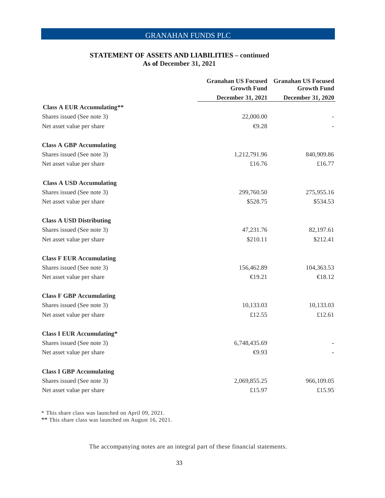## **STATEMENT OF ASSETS AND LIABILITIES – continued As of December 31, 2021**

|                                   | <b>Granahan US Focused Granahan US Focused</b><br><b>Growth Fund</b> | <b>Growth Fund</b> |
|-----------------------------------|----------------------------------------------------------------------|--------------------|
|                                   | <b>December 31, 2021</b>                                             | December 31, 2020  |
| <b>Class A EUR Accumulating**</b> |                                                                      |                    |
| Shares issued (See note 3)        | 22,000.00                                                            |                    |
| Net asset value per share         | €9.28                                                                |                    |
| <b>Class A GBP Accumulating</b>   |                                                                      |                    |
| Shares issued (See note 3)        | 1,212,791.96                                                         | 840,909.86         |
| Net asset value per share         | £16.76                                                               | £16.77             |
| <b>Class A USD Accumulating</b>   |                                                                      |                    |
| Shares issued (See note 3)        | 299,760.50                                                           | 275,955.16         |
| Net asset value per share         | \$528.75                                                             | \$534.53           |
| <b>Class A USD Distributing</b>   |                                                                      |                    |
| Shares issued (See note 3)        | 47,231.76                                                            | 82,197.61          |
| Net asset value per share         | \$210.11                                                             | \$212.41           |
| <b>Class F EUR Accumulating</b>   |                                                                      |                    |
| Shares issued (See note 3)        | 156,462.89                                                           | 104,363.53         |
| Net asset value per share         | €19.21                                                               | €18.12             |
| <b>Class F GBP Accumulating</b>   |                                                                      |                    |
| Shares issued (See note 3)        | 10,133.03                                                            | 10,133.03          |
| Net asset value per share         | £12.55                                                               | £12.61             |
| <b>Class I EUR Accumulating*</b>  |                                                                      |                    |
| Shares issued (See note 3)        | 6,748,435.69                                                         |                    |
| Net asset value per share         | €9.93                                                                |                    |
| <b>Class I GBP Accumulating</b>   |                                                                      |                    |
| Shares issued (See note 3)        | 2,069,855.25                                                         | 966,109.05         |
| Net asset value per share         | £15.97                                                               | £15.95             |

\* This share class was launched on April 09, 2021.

\*\* This share class was launched on August 16, 2021.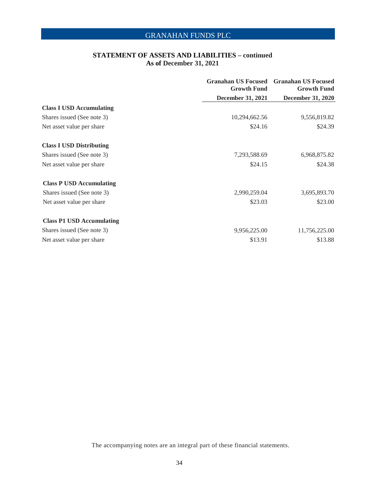## **STATEMENT OF ASSETS AND LIABILITIES – continued As of December 31, 2021**

|                                  | <b>Granahan US Focused</b><br><b>Growth Fund</b> | <b>Granahan US Focused</b><br><b>Growth Fund</b> |  |
|----------------------------------|--------------------------------------------------|--------------------------------------------------|--|
|                                  | <b>December 31, 2021</b>                         | <b>December 31, 2020</b>                         |  |
| <b>Class I USD Accumulating</b>  |                                                  |                                                  |  |
| Shares issued (See note 3)       | 10,294,662.56                                    | 9,556,819.82                                     |  |
| Net asset value per share        | \$24.16                                          | \$24.39                                          |  |
| <b>Class I USD Distributing</b>  |                                                  |                                                  |  |
| Shares issued (See note 3)       | 7,293,588.69                                     | 6,968,875.82                                     |  |
| Net asset value per share        | \$24.15                                          | \$24.38                                          |  |
| <b>Class P USD Accumulating</b>  |                                                  |                                                  |  |
| Shares issued (See note 3)       | 2,990,259.04                                     | 3,695,893.70                                     |  |
| Net asset value per share        | \$23.03                                          | \$23.00                                          |  |
| <b>Class P1 USD Accumulating</b> |                                                  |                                                  |  |
| Shares issued (See note 3)       | 9,956,225.00                                     | 11,756,225.00                                    |  |
| Net asset value per share        | \$13.91                                          | \$13.88                                          |  |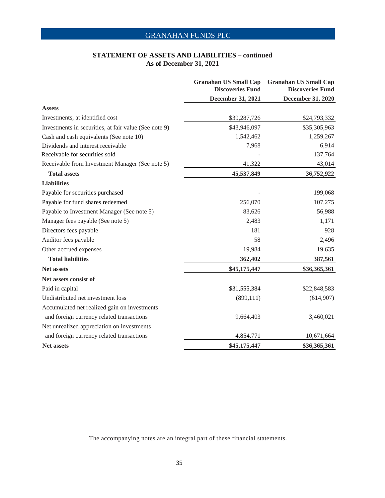## **STATEMENT OF ASSETS AND LIABILITIES – continued As of December 31, 2021**

|                                                       | <b>Granahan US Small Cap</b><br><b>Discoveries Fund</b> | <b>Granahan US Small Cap</b><br><b>Discoveries Fund</b> |
|-------------------------------------------------------|---------------------------------------------------------|---------------------------------------------------------|
|                                                       | December 31, 2021                                       | <b>December 31, 2020</b>                                |
| <b>Assets</b>                                         |                                                         |                                                         |
| Investments, at identified cost                       | \$39,287,726                                            | \$24,793,332                                            |
| Investments in securities, at fair value (See note 9) | \$43,946,097                                            | \$35,305,963                                            |
| Cash and cash equivalents (See note 10)               | 1,542,462                                               | 1,259,267                                               |
| Dividends and interest receivable                     | 7,968                                                   | 6,914                                                   |
| Receivable for securities sold                        |                                                         | 137,764                                                 |
| Receivable from Investment Manager (See note 5)       | 41,322                                                  | 43,014                                                  |
| <b>Total assets</b>                                   | 45,537,849                                              | 36,752,922                                              |
| <b>Liabilities</b>                                    |                                                         |                                                         |
| Payable for securities purchased                      |                                                         | 199,068                                                 |
| Payable for fund shares redeemed                      | 256,070                                                 | 107,275                                                 |
| Payable to Investment Manager (See note 5)            | 83,626                                                  | 56,988                                                  |
| Manager fees payable (See note 5)                     | 2,483                                                   | 1,171                                                   |
| Directors fees payable                                | 181                                                     | 928                                                     |
| Auditor fees payable                                  | 58                                                      | 2,496                                                   |
| Other accrued expenses                                | 19,984                                                  | 19,635                                                  |
| <b>Total liabilities</b>                              | 362,402                                                 | 387,561                                                 |
| <b>Net assets</b>                                     | \$45,175,447                                            | \$36,365,361                                            |
| Net assets consist of                                 |                                                         |                                                         |
| Paid in capital                                       | \$31,555,384                                            | \$22,848,583                                            |
| Undistributed net investment loss                     | (899, 111)                                              | (614,907)                                               |
| Accumulated net realized gain on investments          |                                                         |                                                         |
| and foreign currency related transactions             | 9,664,403                                               | 3,460,021                                               |
| Net unrealized appreciation on investments            |                                                         |                                                         |
| and foreign currency related transactions             | 4,854,771                                               | 10,671,664                                              |
| <b>Net assets</b>                                     | \$45,175,447                                            | \$36,365,361                                            |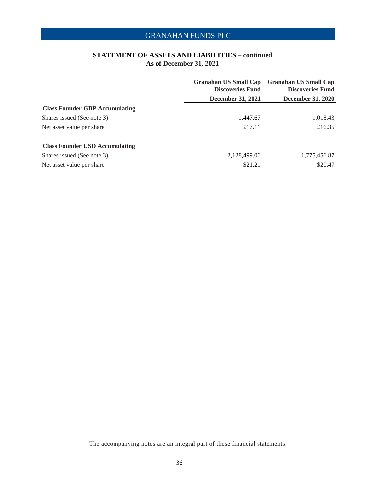## **STATEMENT OF ASSETS AND LIABILITIES – continued As of December 31, 2021**

|                                       | <b>Granahan US Small Cap</b><br><b>Discoveries Fund</b> | <b>Granahan US Small Cap</b><br><b>Discoveries Fund</b> |
|---------------------------------------|---------------------------------------------------------|---------------------------------------------------------|
|                                       | <b>December 31, 2021</b>                                | <b>December 31, 2020</b>                                |
| <b>Class Founder GBP Accumulating</b> |                                                         |                                                         |
| Shares issued (See note 3)            | 1,447.67                                                | 1,018.43                                                |
| Net asset value per share             | £17.11                                                  | £16.35                                                  |
| <b>Class Founder USD Accumulating</b> |                                                         |                                                         |
| Shares issued (See note 3)            | 2,128,499.06                                            | 1,775,456.87                                            |
| Net asset value per share             | \$21.21                                                 | \$20.47                                                 |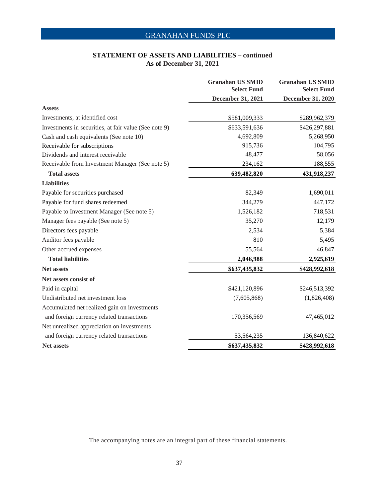## **STATEMENT OF ASSETS AND LIABILITIES – continued As of December 31, 2021**

|                                                       | <b>Granahan US SMID</b><br><b>Select Fund</b> | <b>Granahan US SMID</b><br><b>Select Fund</b> |
|-------------------------------------------------------|-----------------------------------------------|-----------------------------------------------|
|                                                       | December 31, 2021                             | December 31, 2020                             |
| <b>Assets</b>                                         |                                               |                                               |
| Investments, at identified cost                       | \$581,009,333                                 | \$289,962,379                                 |
| Investments in securities, at fair value (See note 9) | \$633,591,636                                 | \$426,297,881                                 |
| Cash and cash equivalents (See note 10)               | 4,692,809                                     | 5,268,950                                     |
| Receivable for subscriptions                          | 915,736                                       | 104,795                                       |
| Dividends and interest receivable                     | 48,477                                        | 58,056                                        |
| Receivable from Investment Manager (See note 5)       | 234,162                                       | 188,555                                       |
| <b>Total assets</b>                                   | 639,482,820                                   | 431,918,237                                   |
| <b>Liabilities</b>                                    |                                               |                                               |
| Payable for securities purchased                      | 82,349                                        | 1,690,011                                     |
| Payable for fund shares redeemed                      | 344,279                                       | 447,172                                       |
| Payable to Investment Manager (See note 5)            | 1,526,182                                     | 718,531                                       |
| Manager fees payable (See note 5)                     | 35,270                                        | 12,179                                        |
| Directors fees payable                                | 2,534                                         | 5,384                                         |
| Auditor fees payable                                  | 810                                           | 5,495                                         |
| Other accrued expenses                                | 55,564                                        | 46,847                                        |
| <b>Total liabilities</b>                              | 2,046,988                                     | 2,925,619                                     |
| Net assets                                            | \$637,435,832                                 | \$428,992,618                                 |
| Net assets consist of                                 |                                               |                                               |
| Paid in capital                                       | \$421,120,896                                 | \$246,513,392                                 |
| Undistributed net investment loss                     | (7,605,868)                                   | (1,826,408)                                   |
| Accumulated net realized gain on investments          |                                               |                                               |
| and foreign currency related transactions             | 170,356,569                                   | 47,465,012                                    |
| Net unrealized appreciation on investments            |                                               |                                               |
| and foreign currency related transactions             | 53,564,235                                    | 136,840,622                                   |
| <b>Net assets</b>                                     | \$637,435,832                                 | \$428,992,618                                 |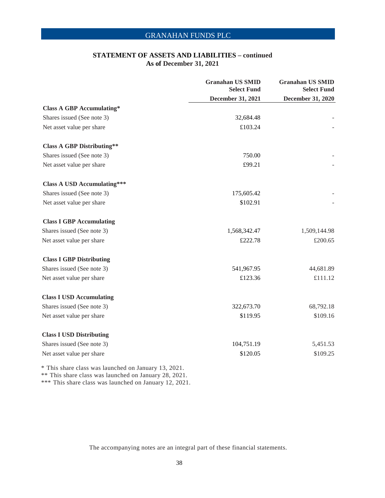## **STATEMENT OF ASSETS AND LIABILITIES – continued As of December 31, 2021**

|                                                      | <b>Granahan US SMID</b><br><b>Select Fund</b> | <b>Granahan US SMID</b><br><b>Select Fund</b> |
|------------------------------------------------------|-----------------------------------------------|-----------------------------------------------|
|                                                      | December 31, 2021                             | December 31, 2020                             |
| <b>Class A GBP Accumulating*</b>                     |                                               |                                               |
| Shares issued (See note 3)                           | 32,684.48                                     |                                               |
| Net asset value per share                            | £103.24                                       |                                               |
| <b>Class A GBP Distributing**</b>                    |                                               |                                               |
| Shares issued (See note 3)                           | 750.00                                        |                                               |
| Net asset value per share                            | £99.21                                        |                                               |
| <b>Class A USD Accumulating***</b>                   |                                               |                                               |
| Shares issued (See note 3)                           | 175,605.42                                    |                                               |
| Net asset value per share                            | \$102.91                                      |                                               |
| <b>Class I GBP Accumulating</b>                      |                                               |                                               |
| Shares issued (See note 3)                           | 1,568,342.47                                  | 1,509,144.98                                  |
| Net asset value per share                            | £222.78                                       | £200.65                                       |
| <b>Class I GBP Distributing</b>                      |                                               |                                               |
| Shares issued (See note 3)                           | 541,967.95                                    | 44,681.89                                     |
| Net asset value per share                            | £123.36                                       | £111.12                                       |
| <b>Class I USD Accumulating</b>                      |                                               |                                               |
| Shares issued (See note 3)                           | 322,673.70                                    | 68,792.18                                     |
| Net asset value per share                            | \$119.95                                      | \$109.16                                      |
| <b>Class I USD Distributing</b>                      |                                               |                                               |
| Shares issued (See note 3)                           | 104,751.19                                    | 5,451.53                                      |
| Net asset value per share                            | \$120.05                                      | \$109.25                                      |
| * This share class was launched on January 13, 2021. |                                               |                                               |

\*\* This share class was launched on January 28, 2021.

\*\*\* This share class was launched on January 12, 2021.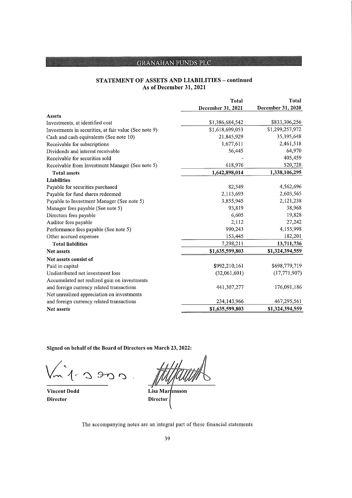#### STATEMENT OF ASSETS AND LIABILITIES - continued As of December 31, 2021

|                                                       | <b>Total</b>      | <b>Total</b>      |
|-------------------------------------------------------|-------------------|-------------------|
|                                                       | December 31, 2021 | December 31, 2020 |
| <b>Assets</b>                                         |                   |                   |
| Investments, at identified cost                       | \$1,386,684,542   | \$833,306,256     |
| Investments in securities, at fair value (See note 9) | \$1,618,699,053   | \$1,299,257,972   |
| Cash and cash equivalents (See note 10)               | 21,845,929        | 35,395,648        |
| Receivable for subscriptions                          | 1,677,611         | 2,461,518         |
| Dividends and interest receivable                     | 56,445            | 64,970            |
| Receivable for securities sold                        |                   | 405,459           |
| Receivable from Investment Manager (See note 5)       | 618,976           | 520,728           |
| <b>Total assets</b>                                   | 1,642,898,014     | 1,338,106,295     |
| <b>Liabilities</b>                                    |                   |                   |
| Payable for securities purchased                      | 82,349            | 4,562,696         |
| Payable for fund shares redeemed                      | 2,113,693         | 2,603,565         |
| Payable to Investment Manager (See note 5)            | 3,855,945         | 2,121,238         |
| Manager fees payable (See note 5)                     | 93,819            | 38,968            |
| Directors fees payable                                | 6,605             | 19,828            |
| Auditor fees payable                                  | 2,112             | 27,242            |
| Performance fees payable (See note 5)                 | 990,243           | 4,155,998         |
| Other accrued expenses                                | 153,445           | 182,201           |
| <b>Total liabilities</b>                              | 7,298,211         | 13,711,736        |
| Net assets                                            | \$1,635,599,803   | \$1,324,394,559   |
| Net assets consist of                                 |                   |                   |
| Paid in capital                                       | \$992,210,161     | \$698,779,719     |
| Undistributed net investment loss                     | (32,061,601)      | (17, 771, 907)    |
| Accumulated net realized gain on investments          |                   |                   |
| and foreign currency related transactions             | 441,307,277       | 176,091,186       |
| Net unrealized appreciation on investments            |                   |                   |
| and foreign currency related transactions             | 234, 143, 966     | 467,295,561       |
| <b>Net assets</b>                                     | \$1,635,599,803   | \$1,324,394,559   |

Signed on behalf of the Board of Directors on March 23, 2022:

 $1 - 097$ 

**Vincent Dodd Director** 

Lisa Martensson Director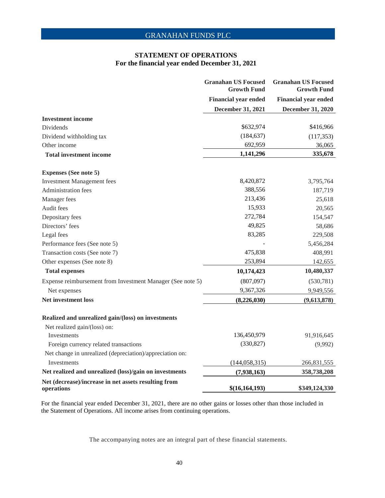## **STATEMENT OF OPERATIONS For the financial year ended December 31, 2021**

|                                                                    | <b>Granahan US Focused</b><br><b>Growth Fund</b> | <b>Granahan US Focused</b><br><b>Growth Fund</b> |
|--------------------------------------------------------------------|--------------------------------------------------|--------------------------------------------------|
|                                                                    | <b>Financial year ended</b>                      | <b>Financial year ended</b>                      |
|                                                                    | <b>December 31, 2021</b>                         | <b>December 31, 2020</b>                         |
| <b>Investment</b> income                                           |                                                  |                                                  |
| Dividends                                                          | \$632,974                                        | \$416,966                                        |
| Dividend withholding tax                                           | (184, 637)                                       | (117, 353)                                       |
| Other income                                                       | 692,959                                          | 36,065                                           |
| <b>Total investment income</b>                                     | 1,141,296                                        | 335,678                                          |
| <b>Expenses (See note 5)</b>                                       |                                                  |                                                  |
| <b>Investment Management fees</b>                                  | 8,420,872                                        | 3,795,764                                        |
| Administration fees                                                | 388,556                                          | 187,719                                          |
| Manager fees                                                       | 213,436                                          | 25,618                                           |
| Audit fees                                                         | 15,933                                           | 20,565                                           |
| Depositary fees                                                    | 272,784                                          | 154,547                                          |
| Directors' fees                                                    | 49,825                                           | 58,686                                           |
| Legal fees                                                         | 83,285                                           | 229,508                                          |
| Performance fees (See note 5)                                      |                                                  | 5,456,284                                        |
| Transaction costs (See note 7)                                     | 475,838                                          | 408,991                                          |
| Other expenses (See note 8)                                        | 253,894                                          | 142,655                                          |
| <b>Total expenses</b>                                              | 10,174,423                                       | 10,480,337                                       |
| Expense reimbursement from Investment Manager (See note 5)         | (807,097)                                        | (530, 781)                                       |
| Net expenses                                                       | 9,367,326                                        | 9,949,556                                        |
| <b>Net investment loss</b>                                         | (8,226,030)                                      | (9,613,878)                                      |
| Realized and unrealized gain/(loss) on investments                 |                                                  |                                                  |
| Net realized gain/(loss) on:                                       |                                                  |                                                  |
| Investments                                                        | 136,450,979                                      | 91,916,645                                       |
| Foreign currency related transactions                              | (330, 827)                                       | (9,992)                                          |
| Net change in unrealized (depreciation)/appreciation on:           |                                                  |                                                  |
| Investments                                                        | (144, 058, 315)                                  | 266,831,555                                      |
| Net realized and unrealized (loss)/gain on investments             | (7,938,163)                                      | 358,738,208                                      |
| Net (decrease)/increase in net assets resulting from<br>operations | \$(16,164,193)                                   | \$349,124,330                                    |

For the financial year ended December 31, 2021, there are no other gains or losses other than those included in the Statement of Operations. All income arises from continuing operations.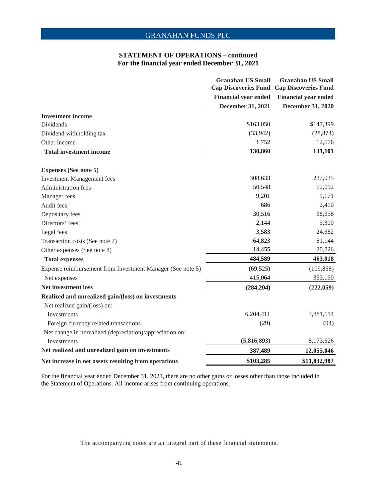## **STATEMENT OF OPERATIONS – continued For the financial year ended December 31, 2021**

|                                                            | <b>Granahan US Small</b><br><b>Cap Discoveries Fund</b> | <b>Granahan US Small</b><br><b>Cap Discoveries Fund</b> |
|------------------------------------------------------------|---------------------------------------------------------|---------------------------------------------------------|
|                                                            | <b>Financial year ended</b>                             | <b>Financial year ended</b>                             |
|                                                            | December 31, 2021                                       | December 31, 2020                                       |
| <b>Investment</b> income                                   |                                                         |                                                         |
| Dividends                                                  | \$163,050                                               | \$147,399                                               |
| Dividend withholding tax                                   | (33, 942)                                               | (28, 874)                                               |
| Other income                                               | 1,752                                                   | 12,576                                                  |
| <b>Total investment income</b>                             | 130,860                                                 | 131,101                                                 |
| <b>Expenses (See note 5)</b>                               |                                                         |                                                         |
| <b>Investment Management fees</b>                          | 308,633                                                 | 237,035                                                 |
| Administration fees                                        | 50,548                                                  | 52,092                                                  |
| Manager fees                                               | 9,201                                                   | 1,171                                                   |
| Audit fees                                                 | 686                                                     | 2,410                                                   |
| Depositary fees                                            | 30,516                                                  | 38,358                                                  |
| Directors' fees                                            | 2,144                                                   | 5,300                                                   |
| Legal fees                                                 | 3,583                                                   | 24,682                                                  |
| Transaction costs (See note 7)                             | 64,823                                                  | 81,144                                                  |
| Other expenses (See note 8)                                | 14,455                                                  | 20,826                                                  |
| <b>Total expenses</b>                                      | 484,589                                                 | 463,018                                                 |
| Expense reimbursement from Investment Manager (See note 5) | (69, 525)                                               | (109, 858)                                              |
| Net expenses                                               | 415,064                                                 | 353,160                                                 |
| <b>Net investment loss</b>                                 | (284, 204)                                              | (222,059)                                               |
| Realized and unrealized gain/(loss) on investments         |                                                         |                                                         |
| Net realized gain/(loss) on:                               |                                                         |                                                         |
| Investments                                                | 6,204,411                                               | 3,881,514                                               |
| Foreign currency related transactions                      | (29)                                                    | (94)                                                    |
| Net change in unrealized (depreciation)/appreciation on:   |                                                         |                                                         |
| Investments                                                | (5,816,893)                                             | 8,173,626                                               |
| Net realized and unrealized gain on investments            | 387,489                                                 | 12,055,046                                              |
| Net increase in net assets resulting from operations       | \$103,285                                               | \$11,832,987                                            |

For the financial year ended December 31, 2021, there are no other gains or losses other than those included in the Statement of Operations. All income arises from continuing operations.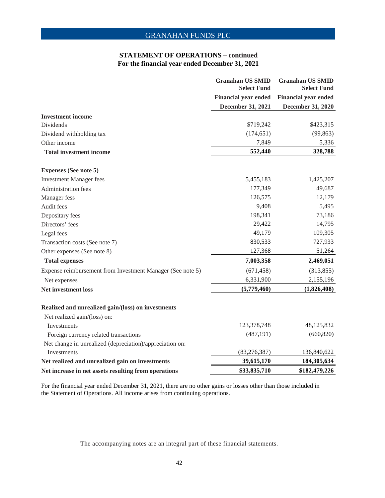## **STATEMENT OF OPERATIONS – continued For the financial year ended December 31, 2021**

|                                                            | <b>Granahan US SMID</b><br><b>Select Fund</b><br><b>Financial year ended</b> | <b>Granahan US SMID</b><br><b>Select Fund</b><br><b>Financial year ended</b> |
|------------------------------------------------------------|------------------------------------------------------------------------------|------------------------------------------------------------------------------|
|                                                            |                                                                              |                                                                              |
|                                                            | <b>December 31, 2021</b>                                                     | December 31, 2020                                                            |
| <b>Investment</b> income                                   |                                                                              |                                                                              |
| Dividends                                                  | \$719,242                                                                    | \$423,315                                                                    |
| Dividend withholding tax                                   | (174, 651)                                                                   | (99, 863)                                                                    |
| Other income                                               | 7,849                                                                        | 5,336                                                                        |
| <b>Total investment income</b>                             | 552,440                                                                      | 328,788                                                                      |
| <b>Expenses (See note 5)</b>                               |                                                                              |                                                                              |
| <b>Investment Manager fees</b>                             | 5,455,183                                                                    | 1,425,207                                                                    |
| <b>Administration fees</b>                                 | 177,349                                                                      | 49,687                                                                       |
| Manager fess                                               | 126,575                                                                      | 12,179                                                                       |
| Audit fees                                                 | 9,408                                                                        | 5,495                                                                        |
| Depositary fees                                            | 198,341                                                                      | 73,186                                                                       |
| Directors' fees                                            | 29,422                                                                       | 14,795                                                                       |
| Legal fees                                                 | 49,179                                                                       | 109,305                                                                      |
| Transaction costs (See note 7)                             | 830,533                                                                      | 727,933                                                                      |
| Other expenses (See note 8)                                | 127,368                                                                      | 51,264                                                                       |
| <b>Total expenses</b>                                      | 7,003,358                                                                    | 2,469,051                                                                    |
| Expense reimbursement from Investment Manager (See note 5) | (671, 458)                                                                   | (313, 855)                                                                   |
| Net expenses                                               | 6,331,900                                                                    | 2,155,196                                                                    |
| <b>Net investment loss</b>                                 | (5,779,460)                                                                  | (1,826,408)                                                                  |
| Realized and unrealized gain/(loss) on investments         |                                                                              |                                                                              |
| Net realized gain/(loss) on:                               |                                                                              |                                                                              |
| Investments                                                | 123,378,748                                                                  | 48,125,832                                                                   |
| Foreign currency related transactions                      | (487, 191)                                                                   | (660, 820)                                                                   |
| Net change in unrealized (depreciation)/appreciation on:   |                                                                              |                                                                              |
| Investments                                                | (83, 276, 387)                                                               | 136,840,622                                                                  |
| Net realized and unrealized gain on investments            | 39,615,170                                                                   | 184,305,634                                                                  |
| Net increase in net assets resulting from operations       | \$33,835,710                                                                 | \$182,479,226                                                                |

For the financial year ended December 31, 2021, there are no other gains or losses other than those included in the Statement of Operations. All income arises from continuing operations.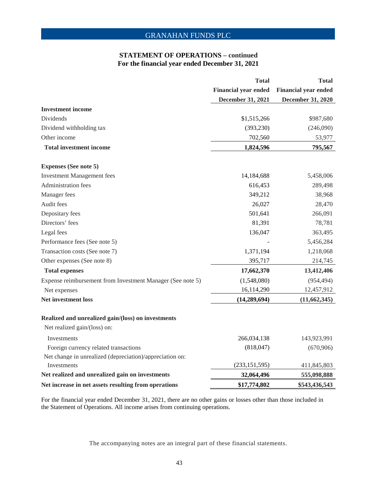## **STATEMENT OF OPERATIONS – continued For the financial year ended December 31, 2021**

|                                                            | <b>Total</b>                | <b>Total</b>                |
|------------------------------------------------------------|-----------------------------|-----------------------------|
|                                                            | <b>Financial year ended</b> | <b>Financial year ended</b> |
|                                                            | <b>December 31, 2021</b>    | December 31, 2020           |
| <b>Investment</b> income                                   |                             |                             |
| Dividends                                                  | \$1,515,266                 | \$987,680                   |
| Dividend withholding tax                                   | (393, 230)                  | (246,090)                   |
| Other income                                               | 702,560                     | 53,977                      |
| <b>Total investment income</b>                             | 1,824,596                   | 795,567                     |
| <b>Expenses (See note 5)</b>                               |                             |                             |
| <b>Investment Management fees</b>                          | 14,184,688                  | 5,458,006                   |
| Administration fees                                        | 616,453                     | 289,498                     |
| Manager fees                                               | 349,212                     | 38,968                      |
| Audit fees                                                 | 26,027                      | 28,470                      |
| Depositary fees                                            | 501,641                     | 266,091                     |
| Directors' fees                                            | 81,391                      | 78,781                      |
| Legal fees                                                 | 136,047                     | 363,495                     |
| Performance fees (See note 5)                              |                             | 5,456,284                   |
| Transaction costs (See note 7)                             | 1,371,194                   | 1,218,068                   |
| Other expenses (See note 8)                                | 395,717                     | 214,745                     |
| <b>Total expenses</b>                                      | 17,662,370                  | 13,412,406                  |
| Expense reimbursement from Investment Manager (See note 5) | (1,548,080)                 | (954, 494)                  |
| Net expenses                                               | 16,114,290                  | 12,457,912                  |
| <b>Net investment loss</b>                                 | (14, 289, 694)              | (11, 662, 345)              |
| Realized and unrealized gain/(loss) on investments         |                             |                             |
| Net realized gain/(loss) on:                               |                             |                             |
| Investments                                                | 266,034,138                 | 143,923,991                 |
| Foreign currency related transactions                      | (818, 047)                  | (670,906)                   |
| Net change in unrealized (depreciation)/appreciation on:   |                             |                             |
| Investments                                                | (233, 151, 595)             | 411,845,803                 |
| Net realized and unrealized gain on investments            | 32,064,496                  | 555,098,888                 |
| Net increase in net assets resulting from operations       | \$17,774,802                | \$543,436,543               |

For the financial year ended December 31, 2021, there are no other gains or losses other than those included in the Statement of Operations. All income arises from continuing operations.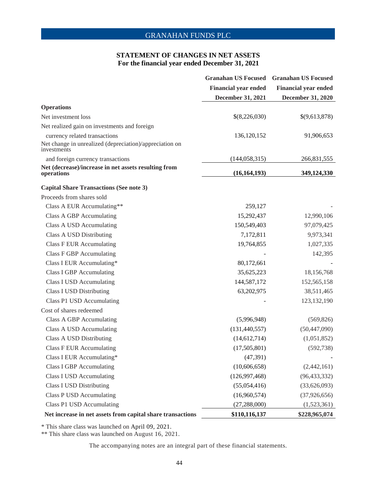## **STATEMENT OF CHANGES IN NET ASSETS For the financial year ended December 31, 2021**

|                                                                        | <b>Granahan US Focused</b><br><b>Financial year ended</b> | <b>Granahan US Focused</b><br><b>Financial year ended</b> |
|------------------------------------------------------------------------|-----------------------------------------------------------|-----------------------------------------------------------|
|                                                                        |                                                           |                                                           |
|                                                                        | December 31, 2021                                         | December 31, 2020                                         |
| <b>Operations</b>                                                      |                                                           |                                                           |
| Net investment loss                                                    | \$(8,226,030)                                             | \$(9,613,878)                                             |
| Net realized gain on investments and foreign                           |                                                           |                                                           |
| currency related transactions                                          | 136,120,152                                               | 91,906,653                                                |
| Net change in unrealized (depreciation)/appreciation on<br>investments |                                                           |                                                           |
| and foreign currency transactions                                      | (144, 058, 315)                                           | 266,831,555                                               |
| Net (decrease)/increase in net assets resulting from<br>operations     | (16, 164, 193)                                            | 349,124,330                                               |
| <b>Capital Share Transactions (See note 3)</b>                         |                                                           |                                                           |
| Proceeds from shares sold                                              |                                                           |                                                           |
| Class A EUR Accumulating**                                             | 259,127                                                   |                                                           |
| Class A GBP Accumulating                                               | 15,292,437                                                | 12,990,106                                                |
| Class A USD Accumulating                                               | 150,549,403                                               | 97,079,425                                                |
| Class A USD Distributing                                               | 7,172,811                                                 | 9,973,341                                                 |
| <b>Class F EUR Accumulating</b>                                        | 19,764,855                                                | 1,027,335                                                 |
| Class F GBP Accumulating                                               |                                                           | 142,395                                                   |
| Class I EUR Accumulating*                                              | 80,172,661                                                |                                                           |
| <b>Class I GBP</b> Accumulating                                        | 35,625,223                                                | 18,156,768                                                |
| <b>Class I USD Accumulating</b>                                        | 144,587,172                                               | 152,565,158                                               |
| <b>Class I USD Distributing</b>                                        | 63,202,975                                                | 38,511,465                                                |
| Class P1 USD Accumulating                                              |                                                           | 123, 132, 190                                             |
| Cost of shares redeemed                                                |                                                           |                                                           |
| Class A GBP Accumulating                                               | (5,996,948)                                               | (569, 826)                                                |
| Class A USD Accumulating                                               | (131, 440, 557)                                           | (50, 447, 090)                                            |
| Class A USD Distributing                                               | (14,612,714)                                              | (1,051,852)                                               |
| <b>Class F EUR Accumulating</b>                                        | (17,505,801)                                              | (592, 738)                                                |
| Class I EUR Accumulating*                                              | (47,391)                                                  |                                                           |
| <b>Class I GBP</b> Accumulating                                        | (10,606,658)                                              | (2,442,161)                                               |
| <b>Class I USD Accumulating</b>                                        | (126,997,468)                                             | (96, 433, 332)                                            |
| <b>Class I USD Distributing</b>                                        | (55,054,416)                                              | (33,626,093)                                              |
| Class P USD Accumulating                                               | (16,960,574)                                              | (37, 926, 656)                                            |
| Class P1 USD Accumulating                                              | (27, 288, 000)                                            | (1,523,361)                                               |
| Net increase in net assets from capital share transactions             | \$110,116,137                                             | \$228,965,074                                             |

\* This share class was launched on April 09, 2021.

\*\* This share class was launched on August 16, 2021.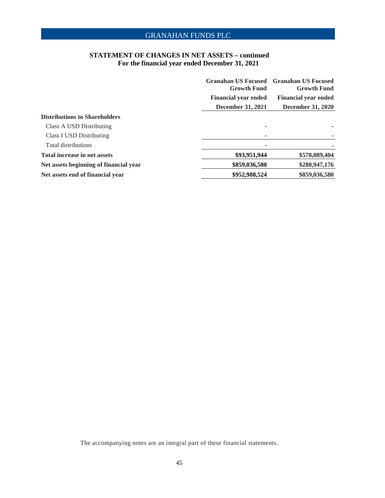# **STATEMENT OF CHANGES IN NET ASSETS – continued For the financial year ended December 31, 2021**

|                                        | <b>Granahan US Focused</b><br><b>Growth Fund</b> | <b>Granahan US Focused</b><br><b>Growth Fund</b> |
|----------------------------------------|--------------------------------------------------|--------------------------------------------------|
|                                        | <b>Financial year ended</b>                      | <b>Financial year ended</b>                      |
|                                        | <b>December 31, 2021</b>                         | <b>December 31, 2020</b>                         |
| <b>Distributions to Shareholders</b>   |                                                  |                                                  |
| Class A USD Distributing               |                                                  |                                                  |
| Class I USD Distributing               |                                                  |                                                  |
| Total distributions                    |                                                  |                                                  |
| <b>Total increase in net assets</b>    | \$93,951,944                                     | \$578,089,404                                    |
| Net assets beginning of financial year | \$859,036,580                                    | \$280,947,176                                    |
| Net assets end of financial year       | \$952,988,524                                    | \$859,036,580                                    |
|                                        |                                                  |                                                  |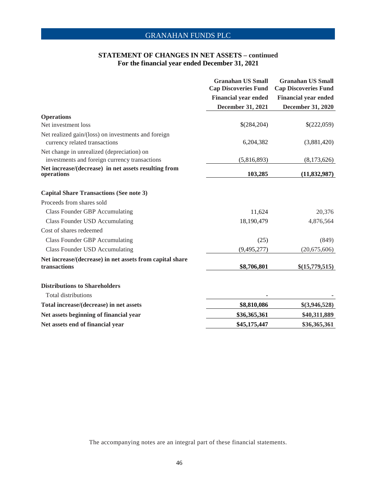# **STATEMENT OF CHANGES IN NET ASSETS – continued For the financial year ended December 31, 2021**

|                                                                                             | <b>Granahan US Small</b><br><b>Cap Discoveries Fund</b> | <b>Granahan US Small</b><br><b>Cap Discoveries Fund</b> |
|---------------------------------------------------------------------------------------------|---------------------------------------------------------|---------------------------------------------------------|
|                                                                                             | <b>Financial year ended</b>                             | <b>Financial year ended</b>                             |
|                                                                                             | December 31, 2021                                       | <b>December 31, 2020</b>                                |
| <b>Operations</b>                                                                           |                                                         |                                                         |
| Net investment loss                                                                         | \$(284,204)                                             | \$(222,059)                                             |
| Net realized gain/(loss) on investments and foreign<br>currency related transactions        | 6,204,382                                               | (3,881,420)                                             |
| Net change in unrealized (depreciation) on<br>investments and foreign currency transactions | (5,816,893)                                             | (8,173,626)                                             |
| Net increase/(decrease) in net assets resulting from<br>operations                          | 103,285                                                 | (11, 832, 987)                                          |
| <b>Capital Share Transactions (See note 3)</b>                                              |                                                         |                                                         |
| Proceeds from shares sold                                                                   |                                                         |                                                         |
| <b>Class Founder GBP Accumulating</b>                                                       | 11,624                                                  | 20,376                                                  |
| <b>Class Founder USD Accumulating</b>                                                       | 18,190,479                                              | 4,876,564                                               |
| Cost of shares redeemed                                                                     |                                                         |                                                         |
| <b>Class Founder GBP Accumulating</b>                                                       | (25)                                                    | (849)                                                   |
| <b>Class Founder USD Accumulating</b>                                                       | (9, 495, 277)                                           | (20,675,606)                                            |
| Net increase/(decrease) in net assets from capital share<br>transactions                    | \$8,706,801                                             | \$(15,779,515)                                          |
| <b>Distributions to Shareholders</b>                                                        |                                                         |                                                         |
| <b>Total distributions</b>                                                                  |                                                         |                                                         |
| Total increase/(decrease) in net assets                                                     | \$8,810,086                                             | \$(3,946,528)                                           |
| Net assets beginning of financial year                                                      | \$36,365,361                                            | \$40,311,889                                            |
| Net assets end of financial year                                                            | \$45,175,447                                            | \$36,365,361                                            |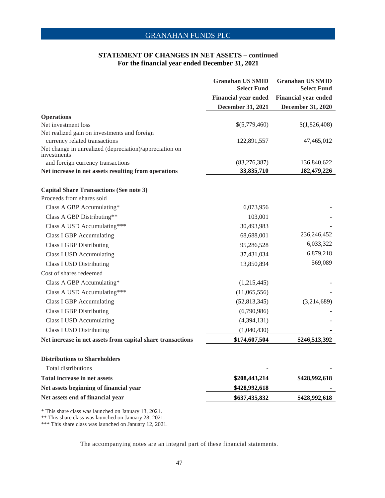## **STATEMENT OF CHANGES IN NET ASSETS – continued For the financial year ended December 31, 2021**

| <b>Operations</b><br>Net investment loss<br>Net realized gain on investments and foreign<br>currency related transactions<br>Net change in unrealized (depreciation)/appreciation on<br>investments<br>and foreign currency transactions<br>Net increase in net assets resulting from operations<br><b>Capital Share Transactions (See note 3)</b><br>Proceeds from shares sold<br>Class A GBP Accumulating*<br>Class A GBP Distributing**<br>Class A USD Accumulating***<br><b>Class I GBP</b> Accumulating<br><b>Class I GBP Distributing</b> | <b>Financial year ended</b><br><b>December 31, 2021</b><br>\$(5,779,460)<br>122,891,557 | <b>Financial year ended</b><br>December 31, 2020<br>\$(1,826,408) |
|-------------------------------------------------------------------------------------------------------------------------------------------------------------------------------------------------------------------------------------------------------------------------------------------------------------------------------------------------------------------------------------------------------------------------------------------------------------------------------------------------------------------------------------------------|-----------------------------------------------------------------------------------------|-------------------------------------------------------------------|
|                                                                                                                                                                                                                                                                                                                                                                                                                                                                                                                                                 |                                                                                         |                                                                   |
|                                                                                                                                                                                                                                                                                                                                                                                                                                                                                                                                                 |                                                                                         |                                                                   |
|                                                                                                                                                                                                                                                                                                                                                                                                                                                                                                                                                 |                                                                                         |                                                                   |
|                                                                                                                                                                                                                                                                                                                                                                                                                                                                                                                                                 |                                                                                         |                                                                   |
|                                                                                                                                                                                                                                                                                                                                                                                                                                                                                                                                                 |                                                                                         |                                                                   |
|                                                                                                                                                                                                                                                                                                                                                                                                                                                                                                                                                 |                                                                                         | 47,465,012                                                        |
|                                                                                                                                                                                                                                                                                                                                                                                                                                                                                                                                                 |                                                                                         |                                                                   |
|                                                                                                                                                                                                                                                                                                                                                                                                                                                                                                                                                 | (83, 276, 387)                                                                          | 136,840,622                                                       |
|                                                                                                                                                                                                                                                                                                                                                                                                                                                                                                                                                 | 33,835,710                                                                              | 182,479,226                                                       |
|                                                                                                                                                                                                                                                                                                                                                                                                                                                                                                                                                 |                                                                                         |                                                                   |
|                                                                                                                                                                                                                                                                                                                                                                                                                                                                                                                                                 |                                                                                         |                                                                   |
|                                                                                                                                                                                                                                                                                                                                                                                                                                                                                                                                                 | 6,073,956                                                                               |                                                                   |
|                                                                                                                                                                                                                                                                                                                                                                                                                                                                                                                                                 | 103,001                                                                                 |                                                                   |
|                                                                                                                                                                                                                                                                                                                                                                                                                                                                                                                                                 | 30,493,983                                                                              |                                                                   |
|                                                                                                                                                                                                                                                                                                                                                                                                                                                                                                                                                 | 68,688,001                                                                              | 236, 246, 452                                                     |
|                                                                                                                                                                                                                                                                                                                                                                                                                                                                                                                                                 | 95,286,528                                                                              | 6,033,322                                                         |
| <b>Class I USD Accumulating</b>                                                                                                                                                                                                                                                                                                                                                                                                                                                                                                                 | 37,431,034                                                                              | 6,879,218                                                         |
| <b>Class I USD Distributing</b>                                                                                                                                                                                                                                                                                                                                                                                                                                                                                                                 | 13,850,894                                                                              | 569,089                                                           |
| Cost of shares redeemed                                                                                                                                                                                                                                                                                                                                                                                                                                                                                                                         |                                                                                         |                                                                   |
| Class A GBP Accumulating*                                                                                                                                                                                                                                                                                                                                                                                                                                                                                                                       | (1,215,445)                                                                             |                                                                   |
| Class A USD Accumulating***                                                                                                                                                                                                                                                                                                                                                                                                                                                                                                                     | (11,065,556)                                                                            |                                                                   |
| <b>Class I GBP</b> Accumulating                                                                                                                                                                                                                                                                                                                                                                                                                                                                                                                 | (52, 813, 345)                                                                          | (3,214,689)                                                       |
| <b>Class I GBP Distributing</b>                                                                                                                                                                                                                                                                                                                                                                                                                                                                                                                 | (6,790,986)                                                                             |                                                                   |
| Class I USD Accumulating                                                                                                                                                                                                                                                                                                                                                                                                                                                                                                                        | (4,394,131)                                                                             |                                                                   |
| <b>Class I USD Distributing</b>                                                                                                                                                                                                                                                                                                                                                                                                                                                                                                                 | (1,040,430)                                                                             |                                                                   |
| Net increase in net assets from capital share transactions                                                                                                                                                                                                                                                                                                                                                                                                                                                                                      | \$174,607,504                                                                           | \$246,513,392                                                     |
|                                                                                                                                                                                                                                                                                                                                                                                                                                                                                                                                                 |                                                                                         |                                                                   |
| <b>Distributions to Shareholders</b>                                                                                                                                                                                                                                                                                                                                                                                                                                                                                                            |                                                                                         |                                                                   |
| Total distributions                                                                                                                                                                                                                                                                                                                                                                                                                                                                                                                             |                                                                                         |                                                                   |
| <b>Total increase in net assets</b>                                                                                                                                                                                                                                                                                                                                                                                                                                                                                                             | \$208,443,214                                                                           | \$428,992,618                                                     |
| Net assets beginning of financial year                                                                                                                                                                                                                                                                                                                                                                                                                                                                                                          | \$428,992,618                                                                           |                                                                   |
| Net assets end of financial year                                                                                                                                                                                                                                                                                                                                                                                                                                                                                                                | \$637,435,832                                                                           | \$428,992,618                                                     |

\* This share class was launched on January 13, 2021.

\*\* This share class was launched on January 28, 2021.

\*\*\* This share class was launched on January 12, 2021.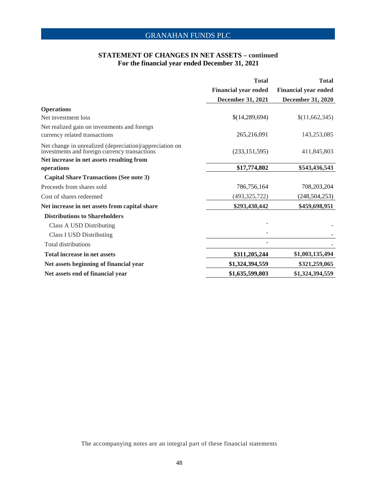# **STATEMENT OF CHANGES IN NET ASSETS – continued For the financial year ended December 31, 2021**

|                                                                                                          | <b>Total</b>                | <b>Total</b>                |
|----------------------------------------------------------------------------------------------------------|-----------------------------|-----------------------------|
|                                                                                                          | <b>Financial year ended</b> | <b>Financial year ended</b> |
|                                                                                                          | December 31, 2021           | <b>December 31, 2020</b>    |
| <b>Operations</b>                                                                                        |                             |                             |
| Net investment loss                                                                                      | \$(14,289,694)              | \$(11,662,345)              |
| Net realized gain on investments and foreign                                                             |                             |                             |
| currency related transactions                                                                            | 265,216,091                 | 143,253,085                 |
| Net change in unrealized (depreciation)/appreciation on<br>investments and foreign currency transactions | (233, 151, 595)             | 411,845,803                 |
| Net increase in net assets resulting from                                                                |                             |                             |
| operations                                                                                               | \$17,774,802                | \$543,436,543               |
| <b>Capital Share Transactions (See note 3)</b>                                                           |                             |                             |
| Proceeds from shares sold                                                                                | 786,756,164                 | 708,203,204                 |
| Cost of shares redeemed                                                                                  | (493, 325, 722)             | (248, 504, 253)             |
| Net increase in net assets from capital share                                                            | \$293,430,442               | \$459,698,951               |
| <b>Distributions to Shareholders</b>                                                                     |                             |                             |
| Class A USD Distributing                                                                                 |                             |                             |
| <b>Class I USD Distributing</b>                                                                          |                             |                             |
| <b>Total distributions</b>                                                                               |                             |                             |
| <b>Total increase in net assets</b>                                                                      | \$311,205,244               | \$1,003,135,494             |
| Net assets beginning of financial year                                                                   | \$1,324,394,559             | \$321,259,065               |
| Net assets end of financial year                                                                         | \$1,635,599,803             | \$1,324,394,559             |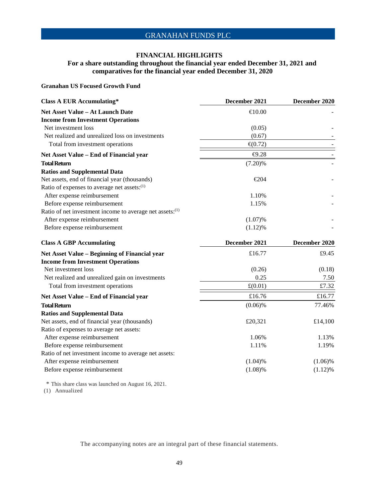#### **FINANCIAL HIGHLIGHTS**

# **For a share outstanding throughout the financial year ended December 31, 2021 and comparatives for the financial year ended December 31, 2020**

#### **Granahan US Focused Growth Fund**

| <b>Class A EUR Accumulating*</b>                                     | December 2021    | December 2020 |
|----------------------------------------------------------------------|------------------|---------------|
| <b>Net Asset Value - At Launch Date</b>                              | $\bigoplus$ 0.00 |               |
| <b>Income from Investment Operations</b>                             |                  |               |
| Net investment loss                                                  | (0.05)           |               |
| Net realized and unrealized loss on investments                      | (0.67)           |               |
| Total from investment operations                                     | $\Theta(0.72)$   |               |
| Net Asset Value – End of Financial year                              | $\bigoplus .28$  |               |
| <b>Total Return</b>                                                  | $(7.20)\%$       |               |
| <b>Ratios and Supplemental Data</b>                                  |                  |               |
| Net assets, end of financial year (thousands)                        | $\epsilon$ 204   |               |
| Ratio of expenses to average net assets: <sup>(1)</sup>              |                  |               |
| After expense reimbursement                                          | 1.10%            |               |
| Before expense reimbursement                                         | 1.15%            |               |
| Ratio of net investment income to average net assets: <sup>(1)</sup> |                  |               |
| After expense reimbursement                                          | (1.07)%          |               |
| Before expense reimbursement                                         | (1.12)%          |               |
| <b>Class A GBP Accumulating</b>                                      | December 2021    | December 2020 |
| Net Asset Value - Beginning of Financial year                        | £16.77           | £9.45         |
| <b>Income from Investment Operations</b>                             |                  |               |
| Net investment loss                                                  | (0.26)           | (0.18)        |
| Net realized and unrealized gain on investments                      | 0.25             | 7.50          |
| Total from investment operations                                     | £(0.01)          | £7.32         |
| Net Asset Value - End of Financial year                              | £16.76           | £16.77        |
| <b>Total Return</b>                                                  | (0.06)%          | 77.46%        |
| <b>Ratios and Supplemental Data</b>                                  |                  |               |
| Net assets, end of financial year (thousands)                        | £20,321          | £14,100       |
| Ratio of expenses to average net assets:                             |                  |               |
| After expense reimbursement                                          | 1.06%            | 1.13%         |
| Before expense reimbursement                                         | 1.11%            | 1.19%         |
| Ratio of net investment income to average net assets:                |                  |               |
| After expense reimbursement                                          | (1.04)%          | $(1.06)\%$    |
| Before expense reimbursement                                         | $(1.08)\%$       | (1.12)%       |
|                                                                      |                  |               |

\* This share class was launched on August 16, 2021.

(1) Annualized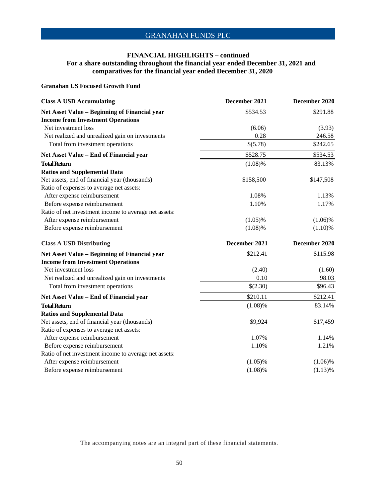## **FINANCIAL HIGHLIGHTS – continued For a share outstanding throughout the financial year ended December 31, 2021 and comparatives for the financial year ended December 31, 2020**

#### **Granahan US Focused Growth Fund**

| <b>Class A USD Accumulating</b>                       | December 2021 | December 2020 |
|-------------------------------------------------------|---------------|---------------|
| Net Asset Value - Beginning of Financial year         | \$534.53      | \$291.88      |
| <b>Income from Investment Operations</b>              |               |               |
| Net investment loss                                   | (6.06)        | (3.93)        |
| Net realized and unrealized gain on investments       | 0.28          | 246.58        |
| Total from investment operations                      | \$(5.78)      | \$242.65      |
| Net Asset Value - End of Financial year               | \$528.75      | \$534.53      |
| <b>Total Return</b>                                   | $(1.08)\%$    | 83.13%        |
| <b>Ratios and Supplemental Data</b>                   |               |               |
| Net assets, end of financial year (thousands)         | \$158,500     | \$147,508     |
| Ratio of expenses to average net assets:              |               |               |
| After expense reimbursement                           | 1.08%         | 1.13%         |
| Before expense reimbursement                          | 1.10%         | 1.17%         |
| Ratio of net investment income to average net assets: |               |               |
| After expense reimbursement                           | $(1.05)\%$    | $(1.06)\%$    |
| Before expense reimbursement                          | $(1.08)\%$    | $(1.10)\%$    |
| <b>Class A USD Distributing</b>                       | December 2021 | December 2020 |
| Net Asset Value - Beginning of Financial year         | \$212.41      | \$115.98      |
| <b>Income from Investment Operations</b>              |               |               |
| Net investment loss                                   | (2.40)        | (1.60)        |
| Net realized and unrealized gain on investments       | 0.10          | 98.03         |
| Total from investment operations                      | \$(2.30)      | \$96.43       |
| Net Asset Value - End of Financial year               | \$210.11      | \$212.41      |
| <b>Total Return</b>                                   | $(1.08)\%$    | 83.14%        |
| <b>Ratios and Supplemental Data</b>                   |               |               |
| Net assets, end of financial year (thousands)         | \$9,924       | \$17,459      |
| Ratio of expenses to average net assets:              |               |               |
| After expense reimbursement                           | 1.07%         | 1.14%         |
| Before expense reimbursement                          | 1.10%         | 1.21%         |
| Ratio of net investment income to average net assets: |               |               |
| After expense reimbursement                           | $(1.05)\%$    | $(1.06)\%$    |
| Before expense reimbursement                          | (1.08)%       | (1.13)%       |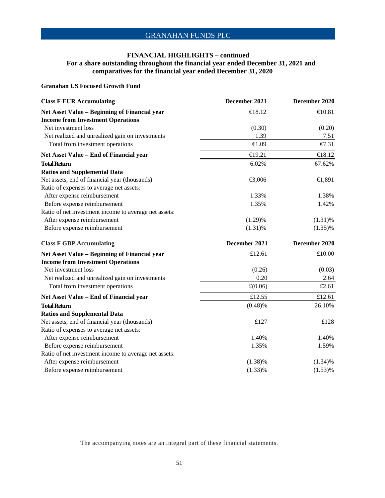## **FINANCIAL HIGHLIGHTS – continued For a share outstanding throughout the financial year ended December 31, 2021 and comparatives for the financial year ended December 31, 2020**

#### **Granahan US Focused Growth Fund**

| <b>Class F EUR Accumulating</b>                       | December 2021 | December 2020 |
|-------------------------------------------------------|---------------|---------------|
| Net Asset Value - Beginning of Financial year         | €18.12        | €10.81        |
| <b>Income from Investment Operations</b>              |               |               |
| Net investment loss                                   | (0.30)        | (0.20)        |
| Net realized and unrealized gain on investments       | 1.39          | 7.51          |
| Total from investment operations                      | €1.09         | €7.31         |
| Net Asset Value - End of Financial year               | €19.21        | €18.12        |
| <b>Total Return</b>                                   | 6.02%         | 67.62%        |
| <b>Ratios and Supplemental Data</b>                   |               |               |
| Net assets, end of financial year (thousands)         | €3,006        | €1,891        |
| Ratio of expenses to average net assets:              |               |               |
| After expense reimbursement                           | 1.33%         | 1.38%         |
| Before expense reimbursement                          | 1.35%         | 1.42%         |
| Ratio of net investment income to average net assets: |               |               |
| After expense reimbursement                           | (1.29)%       | $(1.31)\%$    |
| Before expense reimbursement                          | $(1.31)\%$    | $(1.35)\%$    |
| <b>Class F GBP Accumulating</b>                       | December 2021 | December 2020 |
| Net Asset Value - Beginning of Financial year         | £12.61        | £10.00        |
| <b>Income from Investment Operations</b>              |               |               |
| Net investment loss                                   | (0.26)        | (0.03)        |
| Net realized and unrealized gain on investments       | 0.20          | 2.64          |
| Total from investment operations                      | £(0.06)       | £2.61         |
| Net Asset Value - End of Financial year               | £12.55        | £12.61        |
| <b>Total Return</b>                                   | (0.48)%       | 26.10%        |
| <b>Ratios and Supplemental Data</b>                   |               |               |
| Net assets, end of financial year (thousands)         | £127          | £128          |
|                                                       |               |               |
| Ratio of expenses to average net assets:              |               |               |
| After expense reimbursement                           | 1.40%         | 1.40%         |
| Before expense reimbursement                          | 1.35%         | 1.59%         |
| Ratio of net investment income to average net assets: |               |               |
| After expense reimbursement                           | $(1.38)\%$    | $(1.34)\%$    |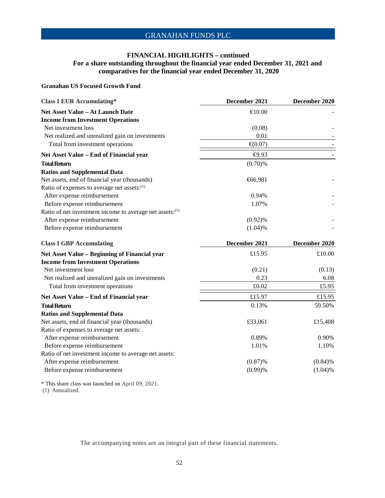## **FINANCIAL HIGHLIGHTS – continued For a share outstanding throughout the financial year ended December 31, 2021 and comparatives for the financial year ended December 31, 2020**

#### **Granahan US Focused Growth Fund**

| <b>Class I EUR Accumulating*</b>                            | December 2021 | December 2020 |
|-------------------------------------------------------------|---------------|---------------|
| Net Asset Value - At Launch Date                            | €10.00        |               |
| <b>Income from Investment Operations</b>                    |               |               |
| Net investment loss                                         | (0.08)        |               |
| Net realized and unrealized gain on investments             | 0.01          |               |
| Total from investment operations                            | € $(0.07)$    |               |
| Net Asset Value – End of Financial year                     | €9.93         |               |
| <b>Total Return</b>                                         | (0.70)%       |               |
| <b>Ratios and Supplemental Data</b>                         |               |               |
| Net assets, end of financial year (thousands)               | €66,981       |               |
| Ratio of expenses to average net assets: <sup>(1)</sup>     |               |               |
| After expense reimbursement                                 | 0.94%         |               |
| Before expense reimbursement                                | 1.07%         |               |
| Ratio of net investment income to average net assets: $(1)$ |               |               |
| After expense reimbursement                                 | (0.92)%       |               |
| Before expense reimbursement                                | (1.04)%       |               |
| <b>Class I GBP Accumulating</b>                             | December 2021 | December 2020 |
| Net Asset Value - Beginning of Financial year               | £15.95        | £10.00        |
| <b>Income from Investment Operations</b>                    |               |               |
| Net investment loss                                         | (0.21)        | (0.13)        |
| Net realized and unrealized gain on investments             | 0.23          | 6.08          |
| Total from investment operations                            | £0.02         | £5.95         |
| Net Asset Value - End of Financial year                     | £15.97        | £15.95        |
| <b>Total Return</b>                                         | 0.13%         | 59.50%        |
| <b>Ratios and Supplemental Data</b>                         |               |               |
| Net assets, end of financial year (thousands)               | £33,061       | £15,408       |
| Ratio of expenses to average net assets:                    |               |               |
| After expense reimbursement                                 | 0.89%         | 0.90%         |
| Before expense reimbursement                                | 1.01%         | 1.10%         |
| Ratio of net investment income to average net assets:       |               |               |
| After expense reimbursement                                 | (0.87)%       | (0.84)%       |
| Before expense reimbursement                                | (0.99)%       | (1.04)%       |
| $*$ This sharp along was lowerhod on April 00, 2021         |               |               |

This share class was launched on April 09, 2021. (1) Annualized.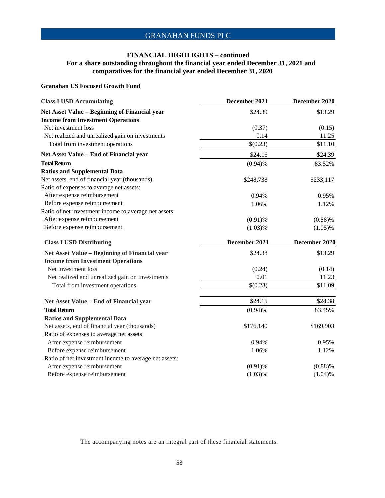## **FINANCIAL HIGHLIGHTS – continued For a share outstanding throughout the financial year ended December 31, 2021 and comparatives for the financial year ended December 31, 2020**

#### **Granahan US Focused Growth Fund**

| <b>Class I USD Accumulating</b>                       | December 2021 | December 2020 |
|-------------------------------------------------------|---------------|---------------|
| Net Asset Value - Beginning of Financial year         | \$24.39       | \$13.29       |
| <b>Income from Investment Operations</b>              |               |               |
| Net investment loss                                   | (0.37)        | (0.15)        |
| Net realized and unrealized gain on investments       | 0.14          | 11.25         |
| Total from investment operations                      | \$(0.23)      | \$11.10       |
| Net Asset Value - End of Financial year               | \$24.16       | \$24.39       |
| <b>Total Return</b>                                   | (0.94)%       | 83.52%        |
| <b>Ratios and Supplemental Data</b>                   |               |               |
| Net assets, end of financial year (thousands)         | \$248,738     | \$233,117     |
| Ratio of expenses to average net assets:              |               |               |
| After expense reimbursement                           | 0.94%         | 0.95%         |
| Before expense reimbursement                          | 1.06%         | 1.12%         |
| Ratio of net investment income to average net assets: |               |               |
| After expense reimbursement                           | $(0.91)$ %    | (0.88)%       |
| Before expense reimbursement                          | (1.03)%       | $(1.05)\%$    |
| <b>Class I USD Distributing</b>                       | December 2021 | December 2020 |
| Net Asset Value - Beginning of Financial year         | \$24.38       | \$13.29       |
| <b>Income from Investment Operations</b>              |               |               |
| Net investment loss                                   | (0.24)        | (0.14)        |
| Net realized and unrealized gain on investments       | 0.01          | 11.23         |
| Total from investment operations                      | \$(0.23)      | \$11.09       |
| Net Asset Value - End of Financial year               | \$24.15       | \$24.38       |
| <b>Total Return</b>                                   | (0.94)%       | 83.45%        |
| <b>Ratios and Supplemental Data</b>                   |               |               |
| Net assets, end of financial year (thousands)         | \$176,140     | \$169,903     |
| Ratio of expenses to average net assets:              |               |               |
| After expense reimbursement                           | 0.94%         | 0.95%         |
| Before expense reimbursement                          | 1.06%         | 1.12%         |
| Ratio of net investment income to average net assets: |               |               |
|                                                       |               |               |
| After expense reimbursement                           | $(0.91)$ %    | (0.88)%       |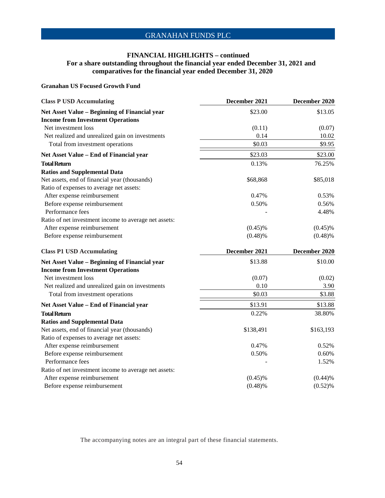## **FINANCIAL HIGHLIGHTS – continued For a share outstanding throughout the financial year ended December 31, 2021 and comparatives for the financial year ended December 31, 2020**

#### **Granahan US Focused Growth Fund**

| <b>Class P USD Accumulating</b>                       | December 2021 | December 2020      |
|-------------------------------------------------------|---------------|--------------------|
| Net Asset Value - Beginning of Financial year         | \$23.00       | \$13.05            |
| <b>Income from Investment Operations</b>              |               |                    |
| Net investment loss                                   | (0.11)        | (0.07)             |
| Net realized and unrealized gain on investments       | 0.14          | 10.02              |
| Total from investment operations                      | \$0.03        | \$9.95             |
| Net Asset Value - End of Financial year               | \$23.03       | \$23.00            |
| <b>Total Return</b>                                   | 0.13%         | 76.25%             |
| <b>Ratios and Supplemental Data</b>                   |               |                    |
| Net assets, end of financial year (thousands)         | \$68,868      | \$85,018           |
| Ratio of expenses to average net assets:              |               |                    |
| After expense reimbursement                           | 0.47%         | 0.53%              |
| Before expense reimbursement                          | 0.50%         | 0.56%              |
| Performance fees                                      |               | 4.48%              |
| Ratio of net investment income to average net assets: |               |                    |
| After expense reimbursement                           | $(0.45)$ %    | $(0.45)\%$         |
| Before expense reimbursement                          | (0.48)%       | (0.48)%            |
| <b>Class P1 USD Accumulating</b>                      | December 2021 | December 2020      |
| Net Asset Value - Beginning of Financial year         | \$13.88       | \$10.00            |
| <b>Income from Investment Operations</b>              |               |                    |
| Net investment loss                                   | (0.07)        | (0.02)             |
| Net realized and unrealized gain on investments       | 0.10          | 3.90               |
| Total from investment operations                      | \$0.03        | \$3.88             |
| Net Asset Value - End of Financial year               |               |                    |
|                                                       | \$13.91       | \$13.88            |
| <b>Total Return</b>                                   | 0.22%         | 38.80%             |
| <b>Ratios and Supplemental Data</b>                   |               |                    |
| Net assets, end of financial year (thousands)         | \$138,491     | \$163,193          |
| Ratio of expenses to average net assets:              |               |                    |
| After expense reimbursement                           | 0.47%         | 0.52%              |
| Before expense reimbursement                          | 0.50%         | 0.60%              |
| Performance fees                                      |               | 1.52%              |
| Ratio of net investment income to average net assets: |               |                    |
| After expense reimbursement                           | $(0.45)\%$    | (0.44)%<br>(0.52)% |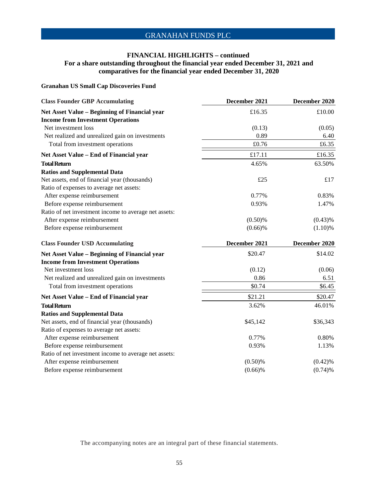## **FINANCIAL HIGHLIGHTS – continued For a share outstanding throughout the financial year ended December 31, 2021 and comparatives for the financial year ended December 31, 2020**

#### **Granahan US Small Cap Discoveries Fund**

| <b>Class Founder GBP Accumulating</b>                 | December 2021 | December 2020 |
|-------------------------------------------------------|---------------|---------------|
| Net Asset Value - Beginning of Financial year         | £16.35        | £10.00        |
| <b>Income from Investment Operations</b>              |               |               |
| Net investment loss                                   | (0.13)        | (0.05)        |
| Net realized and unrealized gain on investments       | 0.89          | 6.40          |
| Total from investment operations                      | £0.76         | £6.35         |
| Net Asset Value - End of Financial year               | £17.11        | £16.35        |
| <b>Total Return</b>                                   | 4.65%         | 63.50%        |
| <b>Ratios and Supplemental Data</b>                   |               |               |
| Net assets, end of financial year (thousands)         | £25           | £17           |
| Ratio of expenses to average net assets:              |               |               |
| After expense reimbursement                           | 0.77%         | 0.83%         |
| Before expense reimbursement                          | 0.93%         | 1.47%         |
| Ratio of net investment income to average net assets: |               |               |
| After expense reimbursement                           | (0.50)%       | $(0.43)$ %    |
| Before expense reimbursement                          | (0.66)%       | (1.10)%       |
| <b>Class Founder USD Accumulating</b>                 | December 2021 | December 2020 |
| Net Asset Value - Beginning of Financial year         | \$20.47       | \$14.02       |
| <b>Income from Investment Operations</b>              |               |               |
| Net investment loss                                   | (0.12)        | (0.06)        |
| Net realized and unrealized gain on investments       | 0.86          | 6.51          |
| Total from investment operations                      | \$0.74        | \$6.45        |
| Net Asset Value - End of Financial year               | \$21.21       | \$20.47       |
| <b>Total Return</b>                                   | 3.62%         | 46.01%        |
| <b>Ratios and Supplemental Data</b>                   |               |               |
| Net assets, end of financial year (thousands)         | \$45,142      | \$36,343      |
| Ratio of expenses to average net assets:              |               |               |
| After expense reimbursement                           | 0.77%         | 0.80%         |
| Before expense reimbursement                          | 0.93%         | 1.13%         |
| Ratio of net investment income to average net assets: |               |               |
| After expense reimbursement                           |               | $(0.42)\%$    |
|                                                       | (0.50)%       |               |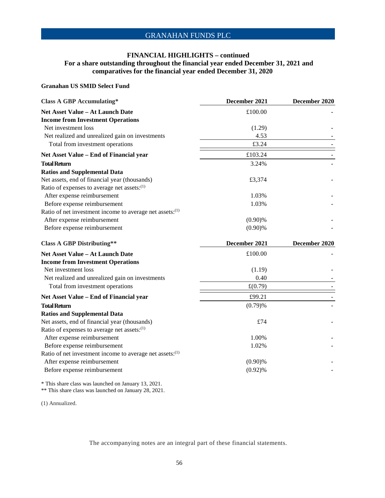## **FINANCIAL HIGHLIGHTS – continued For a share outstanding throughout the financial year ended December 31, 2021 and comparatives for the financial year ended December 31, 2020**

#### **Granahan US SMID Select Fund**

| <b>Class A GBP Accumulating*</b>                                     | December 2021 | December 2020 |
|----------------------------------------------------------------------|---------------|---------------|
| Net Asset Value - At Launch Date                                     | £100.00       |               |
| <b>Income from Investment Operations</b>                             |               |               |
| Net investment loss                                                  | (1.29)        |               |
| Net realized and unrealized gain on investments                      | 4.53          |               |
| Total from investment operations                                     | £3.24         |               |
| Net Asset Value - End of Financial year                              | £103.24       |               |
| <b>Total Return</b>                                                  | 3.24%         |               |
| <b>Ratios and Supplemental Data</b>                                  |               |               |
| Net assets, end of financial year (thousands)                        | £3,374        |               |
| Ratio of expenses to average net assets: <sup>(1)</sup>              |               |               |
| After expense reimbursement                                          | 1.03%         |               |
| Before expense reimbursement                                         | 1.03%         |               |
| Ratio of net investment income to average net assets: <sup>(1)</sup> |               |               |
| After expense reimbursement                                          | $(0.90)$ %    |               |
| Before expense reimbursement                                         | $(0.90)$ %    |               |
| <b>Class A GBP Distributing**</b>                                    | December 2021 | December 2020 |
| <b>Net Asset Value - At Launch Date</b>                              | £100.00       |               |
| <b>Income from Investment Operations</b>                             |               |               |
| Net investment loss                                                  | (1.19)        |               |
| Net realized and unrealized gain on investments                      | 0.40          |               |
| Total from investment operations                                     | £(0.79)       |               |
| Net Asset Value - End of Financial year                              | £99.21        |               |
| <b>Total Return</b>                                                  | (0.79)%       |               |
| <b>Ratios and Supplemental Data</b>                                  |               |               |
| Net assets, end of financial year (thousands)                        | £74           |               |
| Ratio of expenses to average net assets: <sup>(1)</sup>              |               |               |
| After expense reimbursement                                          | 1.00%         |               |
| Before expense reimbursement                                         | 1.02%         |               |
| Ratio of net investment income to average net assets: <sup>(1)</sup> |               |               |
| After expense reimbursement                                          | $(0.90)$ %    |               |
| Before expense reimbursement                                         | $(0.92)$ %    |               |
| * This share class was launched on January 13, 2021.                 |               |               |

\*\* This share class was launched on January 28, 2021.

(1) Annualized.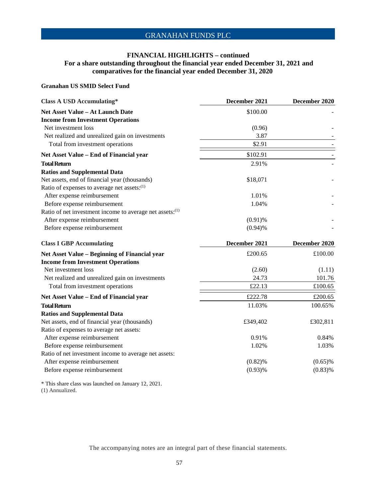## **FINANCIAL HIGHLIGHTS – continued For a share outstanding throughout the financial year ended December 31, 2021 and comparatives for the financial year ended December 31, 2020**

#### **Granahan US SMID Select Fund**

| <b>Class A USD Accumulating*</b>                         | December 2021 | December 2020 |
|----------------------------------------------------------|---------------|---------------|
| Net Asset Value - At Launch Date                         | \$100.00      |               |
| <b>Income from Investment Operations</b>                 |               |               |
| Net investment loss                                      | (0.96)        |               |
| Net realized and unrealized gain on investments          | 3.87          |               |
| Total from investment operations                         | \$2.91        |               |
| Net Asset Value - End of Financial year                  | \$102.91      |               |
| <b>Total Return</b>                                      | 2.91%         |               |
| <b>Ratios and Supplemental Data</b>                      |               |               |
| Net assets, end of financial year (thousands)            | \$18,071      |               |
| Ratio of expenses to average net assets:(1)              |               |               |
| After expense reimbursement                              | 1.01%         |               |
| Before expense reimbursement                             | 1.04%         |               |
| Ratio of net investment income to average net assets:(1) |               |               |
| After expense reimbursement                              | $(0.91)$ %    |               |
| Before expense reimbursement                             | (0.94)%       |               |
| <b>Class I GBP Accumulating</b>                          | December 2021 | December 2020 |
| Net Asset Value - Beginning of Financial year            | £200.65       | £100.00       |
| <b>Income from Investment Operations</b>                 |               |               |
| Net investment loss                                      | (2.60)        | (1.11)        |
| Net realized and unrealized gain on investments          | 24.73         | 101.76        |
| Total from investment operations                         | £22.13        | £100.65       |
| Net Asset Value - End of Financial year                  | £222.78       | £200.65       |
| <b>Total Return</b>                                      | 11.03%        | 100.65%       |
| <b>Ratios and Supplemental Data</b>                      |               |               |
| Net assets, end of financial year (thousands)            | £349,402      | £302,811      |
| Ratio of expenses to average net assets:                 |               |               |
| After expense reimbursement                              | 0.91%         | 0.84%         |
| Before expense reimbursement                             | 1.02%         | 1.03%         |
| Ratio of net investment income to average net assets:    |               |               |
| After expense reimbursement                              | $(0.82)\%$    | $(0.65)\%$    |
| Before expense reimbursement                             | $(0.93)$ %    | (0.83)%       |
|                                                          |               |               |

\* This share class was launched on January 12, 2021. (1) Annualized.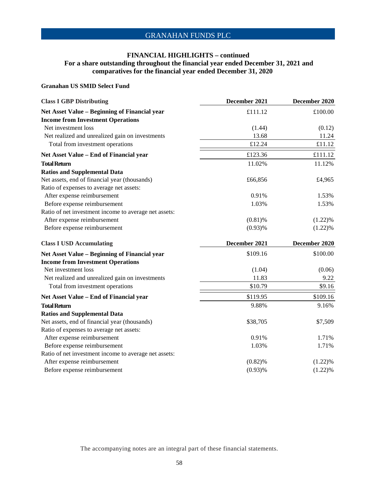## **FINANCIAL HIGHLIGHTS – continued For a share outstanding throughout the financial year ended December 31, 2021 and comparatives for the financial year ended December 31, 2020**

#### **Granahan US SMID Select Fund**

| <b>Class I GBP Distributing</b>                       | December 2021 | December 2020 |
|-------------------------------------------------------|---------------|---------------|
| Net Asset Value - Beginning of Financial year         | £111.12       | £100.00       |
| <b>Income from Investment Operations</b>              |               |               |
| Net investment loss                                   | (1.44)        | (0.12)        |
| Net realized and unrealized gain on investments       | 13.68         | 11.24         |
| Total from investment operations                      | £12.24        | £11.12        |
| Net Asset Value - End of Financial year               | £123.36       | £111.12       |
| <b>Total Return</b>                                   | 11.02%        | 11.12%        |
| <b>Ratios and Supplemental Data</b>                   |               |               |
| Net assets, end of financial year (thousands)         | £66,856       | £4,965        |
| Ratio of expenses to average net assets:              |               |               |
| After expense reimbursement                           | 0.91%         | 1.53%         |
| Before expense reimbursement                          | 1.03%         | 1.53%         |
| Ratio of net investment income to average net assets: |               |               |
| After expense reimbursement                           | $(0.81)$ %    | $(1.22)\%$    |
| Before expense reimbursement                          | $(0.93)$ %    | (1.22)%       |
| <b>Class I USD Accumulating</b>                       | December 2021 | December 2020 |
| Net Asset Value - Beginning of Financial year         | \$109.16      | \$100.00      |
| <b>Income from Investment Operations</b>              |               |               |
| Net investment loss                                   | (1.04)        | (0.06)        |
| Net realized and unrealized gain on investments       | 11.83         | 9.22          |
| Total from investment operations                      | \$10.79       | \$9.16        |
| Net Asset Value - End of Financial year               | \$119.95      | \$109.16      |
| <b>Total Return</b>                                   | 9.88%         | 9.16%         |
| <b>Ratios and Supplemental Data</b>                   |               |               |
| Net assets, end of financial year (thousands)         | \$38,705      | \$7,509       |
| Ratio of expenses to average net assets:              |               |               |
| After expense reimbursement                           | 0.91%         | 1.71%         |
| Before expense reimbursement                          | 1.03%         | 1.71%         |
| Ratio of net investment income to average net assets: |               |               |
| After expense reimbursement                           | (0.82)%       | $(1.22)\%$    |
| Before expense reimbursement                          | $(0.93)$ %    | (1.22)%       |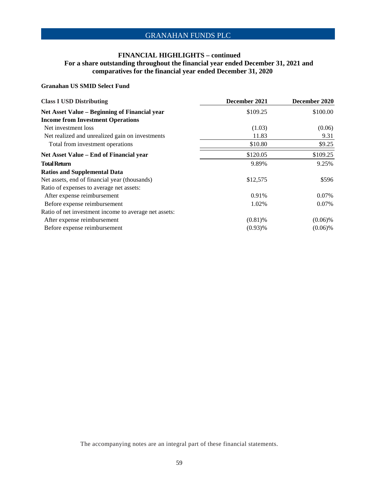# **FINANCIAL HIGHLIGHTS – continued For a share outstanding throughout the financial year ended December 31, 2021 and comparatives for the financial year ended December 31, 2020**

#### **Granahan US SMID Select Fund**

| <b>Class I USD Distributing</b>                       | December 2021 | December 2020 |
|-------------------------------------------------------|---------------|---------------|
| Net Asset Value – Beginning of Financial year         | \$109.25      | \$100.00      |
| <b>Income from Investment Operations</b>              |               |               |
| Net investment loss                                   | (1.03)        | (0.06)        |
| Net realized and unrealized gain on investments       | 11.83         | 9.31          |
| Total from investment operations                      | \$10.80       | \$9.25        |
| Net Asset Value - End of Financial year               | \$120.05      | \$109.25      |
| <b>Total Return</b>                                   | 9.89%         | 9.25%         |
| <b>Ratios and Supplemental Data</b>                   |               |               |
| Net assets, end of financial year (thousands)         | \$12,575      | \$596         |
| Ratio of expenses to average net assets:              |               |               |
| After expense reimbursement                           | 0.91%         | 0.07%         |
| Before expense reimbursement                          | 1.02%         | 0.07%         |
| Ratio of net investment income to average net assets: |               |               |
| After expense reimbursement                           | $(0.81)$ %    | $(0.06)\%$    |
| Before expense reimbursement                          | $(0.93)$ %    | $(0.06)\%$    |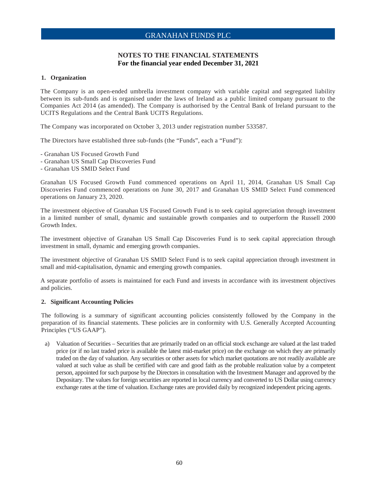### **NOTES TO THE FINANCIAL STATEMENTS For the financial year ended December 31, 2021**

#### **1. Organization**

The Company is an open-ended umbrella investment company with variable capital and segregated liability between its sub-funds and is organised under the laws of Ireland as a public limited company pursuant to the Companies Act 2014 (as amended). The Company is authorised by the Central Bank of Ireland pursuant to the UCITS Regulations and the Central Bank UCITS Regulations.

The Company was incorporated on October 3, 2013 under registration number 533587.

The Directors have established three sub-funds (the "Funds", each a "Fund"):

- Granahan US Focused Growth Fund
- Granahan US Small Cap Discoveries Fund
- Granahan US SMID Select Fund

Granahan US Focused Growth Fund commenced operations on April 11, 2014, Granahan US Small Cap Discoveries Fund commenced operations on June 30, 2017 and Granahan US SMID Select Fund commenced operations on January 23, 2020.

The investment objective of Granahan US Focused Growth Fund is to seek capital appreciation through investment in a limited number of small, dynamic and sustainable growth companies and to outperform the Russell 2000 Growth Index.

The investment objective of Granahan US Small Cap Discoveries Fund is to seek capital appreciation through investment in small, dynamic and emerging growth companies.

The investment objective of Granahan US SMID Select Fund is to seek capital appreciation through investment in small and mid-capitalisation, dynamic and emerging growth companies.

A separate portfolio of assets is maintained for each Fund and invests in accordance with its investment objectives and policies.

#### **2. Significant Accounting Policies**

The following is a summary of significant accounting policies consistently followed by the Company in the preparation of its financial statements. These policies are in conformity with U.S. Generally Accepted Accounting Principles ("US GAAP").

a) Valuation of Securities – Securities that are primarily traded on an official stock exchange are valued at the last traded price (or if no last traded price is available the latest mid-market price) on the exchange on which they are primarily traded on the day of valuation. Any securities or other assets for which market quotations are not readily available are valued at such value as shall be certified with care and good faith as the probable realization value by a competent person, appointed for such purpose by the Directors in consultation with the Investment Manager and approved by the Depositary. The values for foreign securities are reported in local currency and converted to US Dollar using currency exchange rates at the time of valuation. Exchange rates are provided daily by recognized independent pricing agents.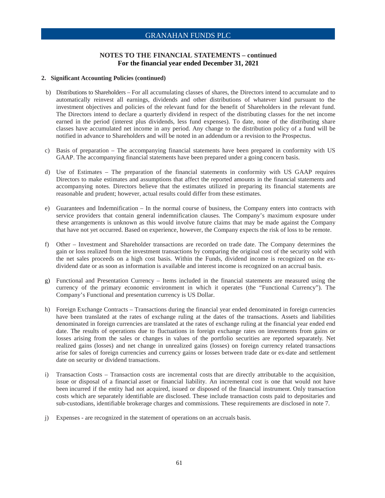### **NOTES TO THE FINANCIAL STATEMENTS – continued For the financial year ended December 31, 2021**

#### **2. Significant Accounting Policies (continued)**

- b) Distributions to Shareholders For all accumulating classes of shares, the Directors intend to accumulate and to automatically reinvest all earnings, dividends and other distributions of whatever kind pursuant to the investment objectives and policies of the relevant fund for the benefit of Shareholders in the relevant fund. The Directors intend to declare a quarterly dividend in respect of the distributing classes for the net income earned in the period (interest plus dividends, less fund expenses). To date, none of the distributing share classes have accumulated net income in any period. Any change to the distribution policy of a fund will be notified in advance to Shareholders and will be noted in an addendum or a revision to the Prospectus.
- c) Basis of preparation The accompanying financial statements have been prepared in conformity with US GAAP. The accompanying financial statements have been prepared under a going concern basis.
- d) Use of Estimates The preparation of the financial statements in conformity with US GAAP requires Directors to make estimates and assumptions that affect the reported amounts in the financial statements and accompanying notes. Directors believe that the estimates utilized in preparing its financial statements are reasonable and prudent; however, actual results could differ from these estimates.
- e) Guarantees and Indemnification In the normal course of business, the Company enters into contracts with service providers that contain general indemnification clauses. The Company's maximum exposure under these arrangements is unknown as this would involve future claims that may be made against the Company that have not yet occurred. Based on experience, however, the Company expects the risk of loss to be remote.
- f) Other Investment and Shareholder transactions are recorded on trade date. The Company determines the gain or loss realized from the investment transactions by comparing the original cost of the security sold with the net sales proceeds on a high cost basis. Within the Funds, dividend income is recognized on the exdividend date or as soon as information is available and interest income is recognized on an accrual basis.
- g) Functional and Presentation Currency Items included in the financial statements are measured using the currency of the primary economic environment in which it operates (the "Functional Currency"). The Company's Functional and presentation currency is US Dollar.
- h) Foreign Exchange Contracts Transactions during the financial year ended denominated in foreign currencies have been translated at the rates of exchange ruling at the dates of the transactions. Assets and liabilities denominated in foreign currencies are translated at the rates of exchange ruling at the financial year ended end date. The results of operations due to fluctuations in foreign exchange rates on investments from gains or losses arising from the sales or changes in values of the portfolio securities are reported separately. Net realized gains (losses) and net change in unrealized gains (losses) on foreign currency related transactions arise for sales of foreign currencies and currency gains or losses between trade date or ex-date and settlement date on security or dividend transactions.
- i) Transaction Costs Transaction costs are incremental costs that are directly attributable to the acquisition, issue or disposal of a financial asset or financial liability. An incremental cost is one that would not have been incurred if the entity had not acquired, issued or disposed of the financial instrument. Only transaction costs which are separately identifiable are disclosed. These include transaction costs paid to depositaries and sub-custodians, identifiable brokerage charges and commissions. These requirements are disclosed in note 7.
- j) Expenses are recognized in the statement of operations on an accruals basis.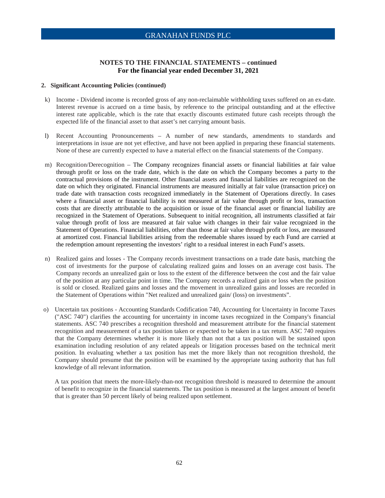#### **NOTES TO THE FINANCIAL STATEMENTS – continued For the financial year ended December 31, 2021**

#### **2. Significant Accounting Policies (continued)**

- k) Income Dividend income is recorded gross of any non-reclaimable withholding taxes suffered on an ex-date. Interest revenue is accrued on a time basis, by reference to the principal outstanding and at the effective interest rate applicable, which is the rate that exactly discounts estimated future cash receipts through the expected life of the financial asset to that asset's net carrying amount basis.
- l) Recent Accounting Pronouncements A number of new standards, amendments to standards and interpretations in issue are not yet effective, and have not been applied in preparing these financial statements. None of these are currently expected to have a material effect on the financial statements of the Company.
- m) Recognition/Derecognition The Company recognizes financial assets or financial liabilities at fair value through profit or loss on the trade date, which is the date on which the Company becomes a party to the contractual provisions of the instrument. Other financial assets and financial liabilities are recognized on the date on which they originated. Financial instruments are measured initially at fair value (transaction price) on trade date with transaction costs recognized immediately in the Statement of Operations directly. In cases where a financial asset or financial liability is not measured at fair value through profit or loss, transaction costs that are directly attributable to the acquisition or issue of the financial asset or financial liability are recognized in the Statement of Operations. Subsequent to initial recognition, all instruments classified at fair value through profit of loss are measured at fair value with changes in their fair value recognized in the Statement of Operations. Financial liabilities, other than those at fair value through profit or loss, are measured at amortized cost. Financial liabilities arising from the redeemable shares issued by each Fund are carried at the redemption amount representing the investors' right to a residual interest in each Fund's assets.
- n) Realized gains and losses The Company records investment transactions on a trade date basis, matching the cost of investments for the purpose of calculating realized gains and losses on an average cost basis. The Company records an unrealized gain or loss to the extent of the difference between the cost and the fair value of the position at any particular point in time. The Company records a realized gain or loss when the position is sold or closed. Realized gains and losses and the movement in unrealized gains and losses are recorded in the Statement of Operations within "Net realized and unrealized gain/ (loss) on investments".
- o) Uncertain tax positions Accounting Standards Codification 740, Accounting for Uncertainty in Income Taxes ("ASC 740") clarifies the accounting for uncertainty in income taxes recognized in the Company's financial statements. ASC 740 prescribes a recognition threshold and measurement attribute for the financial statement recognition and measurement of a tax position taken or expected to be taken in a tax return. ASC 740 requires that the Company determines whether it is more likely than not that a tax position will be sustained upon examination including resolution of any related appeals or litigation processes based on the technical merit position. In evaluating whether a tax position has met the more likely than not recognition threshold, the Company should presume that the position will be examined by the appropriate taxing authority that has full knowledge of all relevant information.

A tax position that meets the more-likely-than-not recognition threshold is measured to determine the amount of benefit to recognize in the financial statements. The tax position is measured at the largest amount of benefit that is greater than 50 percent likely of being realized upon settlement.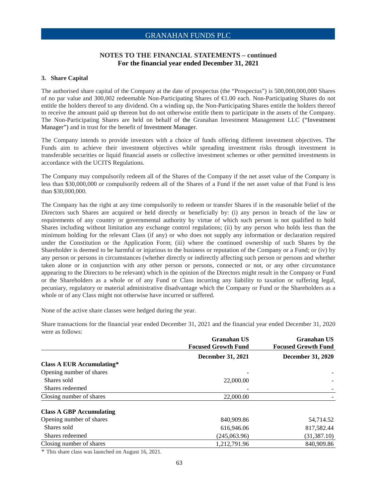### **NOTES TO THE FINANCIAL STATEMENTS – continued For the financial year ended December 31, 2021**

#### **3. Share Capital**

The authorised share capital of the Company at the date of prospectus (the "Prospectus") is 500,000,000,000 Shares of no par value and 300,002 redeemable Non-Participating Shares of €1.00 each. Non-Participating Shares do not entitle the holders thereof to any dividend. On a winding up, the Non-Participating Shares entitle the holders thereof to receive the amount paid up thereon but do not otherwise entitle them to participate in the assets of the Company. The Non-Participating Shares are held on behalf of the Granahan Investment Management LLC ("Investment Manager") and in trust for the benefit of Investment Manager.

The Company intends to provide investors with a choice of funds offering different investment objectives. The Funds aim to achieve their investment objectives while spreading investment risks through investment in transferable securities or liquid financial assets or collective investment schemes or other permitted investments in accordance with the UCITS Regulations.

The Company may compulsorily redeem all of the Shares of the Company if the net asset value of the Company is less than \$30,000,000 or compulsorily redeem all of the Shares of a Fund if the net asset value of that Fund is less than \$30,000,000.

The Company has the right at any time compulsorily to redeem or transfer Shares if in the reasonable belief of the Directors such Shares are acquired or held directly or beneficially by: (i) any person in breach of the law or requirements of any country or governmental authority by virtue of which such person is not qualified to hold Shares including without limitation any exchange control regulations; (ii) by any person who holds less than the minimum holding for the relevant Class (if any) or who does not supply any information or declaration required under the Constitution or the Application Form; (iii) where the continued ownership of such Shares by the Shareholder is deemed to be harmful or injurious to the business or reputation of the Company or a Fund; or (iv) by any person or persons in circumstances (whether directly or indirectly affecting such person or persons and whether taken alone or in conjunction with any other person or persons, connected or not, or any other circumstance appearing to the Directors to be relevant) which in the opinion of the Directors might result in the Company or Fund or the Shareholders as a whole or of any Fund or Class incurring any liability to taxation or suffering legal, pecuniary, regulatory or material administrative disadvantage which the Company or Fund or the Shareholders as a whole or of any Class might not otherwise have incurred or suffered.

None of the active share classes were hedged during the year.

Share transactions for the financial year ended December 31, 2021 and the financial year ended December 31, 2020 were as follows:

|                                  | Granahan US<br><b>Focused Growth Fund</b> | Granahan US<br><b>Focused Growth Fund</b> |
|----------------------------------|-------------------------------------------|-------------------------------------------|
|                                  | December 31, 2021                         | <b>December 31, 2020</b>                  |
| <b>Class A EUR Accumulating*</b> |                                           |                                           |
| Opening number of shares         |                                           |                                           |
| Shares sold                      | 22,000.00                                 |                                           |
| Shares redeemed                  |                                           |                                           |
| Closing number of shares         | 22,000.00                                 |                                           |
| <b>Class A GBP Accumulating</b>  |                                           |                                           |
| Opening number of shares         | 840,909.86                                | 54,714.52                                 |
| Shares sold                      | 616,946.06                                | 817,582.44                                |
| Shares redeemed                  | (245,063.96)                              | (31, 387.10)                              |
| Closing number of shares         | 1,212,791.96                              | 840,909.86                                |

\* This share class was launched on August 16, 2021.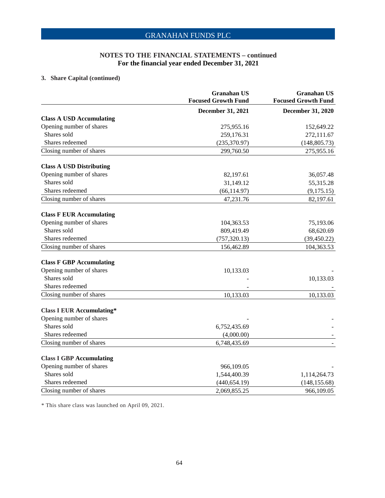# **NOTES TO THE FINANCIAL STATEMENTS – continued For the financial year ended December 31, 2021**

# **3. Share Capital (continued)**

|                                  | <b>Granahan US</b>         | <b>Granahan US</b>         |
|----------------------------------|----------------------------|----------------------------|
|                                  | <b>Focused Growth Fund</b> | <b>Focused Growth Fund</b> |
|                                  | <b>December 31, 2021</b>   | <b>December 31, 2020</b>   |
| <b>Class A USD Accumulating</b>  |                            |                            |
| Opening number of shares         | 275,955.16                 | 152,649.22                 |
| Shares sold                      | 259,176.31                 | 272,111.67                 |
| Shares redeemed                  | (235, 370.97)              | (148, 805.73)              |
| Closing number of shares         | 299,760.50                 | 275,955.16                 |
| <b>Class A USD Distributing</b>  |                            |                            |
| Opening number of shares         | 82,197.61                  | 36,057.48                  |
| Shares sold                      | 31,149.12                  | 55,315.28                  |
| Shares redeemed                  | (66, 114.97)               | (9,175.15)                 |
| Closing number of shares         | 47,231.76                  | 82,197.61                  |
| <b>Class F EUR Accumulating</b>  |                            |                            |
| Opening number of shares         | 104,363.53                 | 75,193.06                  |
| Shares sold                      | 809,419.49                 | 68,620.69                  |
| Shares redeemed                  | (757, 320.13)              | (39, 450.22)               |
| Closing number of shares         | 156,462.89                 | 104,363.53                 |
| <b>Class F GBP Accumulating</b>  |                            |                            |
| Opening number of shares         | 10,133.03                  |                            |
| Shares sold                      |                            | 10,133.03                  |
| Shares redeemed                  |                            |                            |
| Closing number of shares         | 10,133.03                  | 10,133.03                  |
| <b>Class I EUR Accumulating*</b> |                            |                            |
| Opening number of shares         |                            |                            |
| Shares sold                      | 6,752,435.69               |                            |
| Shares redeemed                  | (4,000.00)                 |                            |
| Closing number of shares         | 6,748,435.69               |                            |
| <b>Class I GBP Accumulating</b>  |                            |                            |
| Opening number of shares         | 966,109.05                 |                            |
| Shares sold                      | 1,544,400.39               | 1,114,264.73               |
| Shares redeemed                  | (440, 654.19)              | (148, 155.68)              |
| Closing number of shares         | 2,069,855.25               | 966,109.05                 |

\* This share class was launched on April 09, 2021.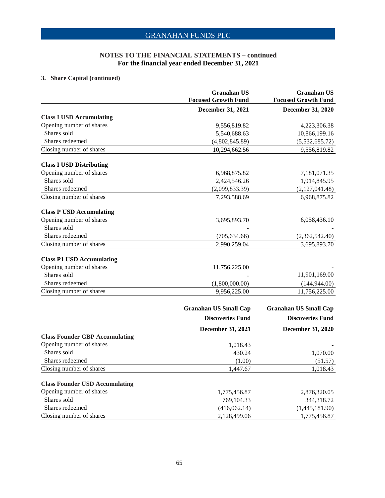## **NOTES TO THE FINANCIAL STATEMENTS – continued For the financial year ended December 31, 2021**

### **3. Share Capital (continued)**

|                                       | <b>Granahan US</b><br><b>Focused Growth Fund</b> | <b>Granahan US</b><br><b>Focused Growth Fund</b> |
|---------------------------------------|--------------------------------------------------|--------------------------------------------------|
|                                       | December 31, 2021                                | December 31, 2020                                |
| <b>Class I USD Accumulating</b>       |                                                  |                                                  |
| Opening number of shares              | 9,556,819.82                                     | 4,223,306.38                                     |
| Shares sold                           | 5,540,688.63                                     | 10,866,199.16                                    |
| Shares redeemed                       | (4,802,845.89)                                   | (5,532,685.72)                                   |
| Closing number of shares              | 10,294,662.56                                    | 9,556,819.82                                     |
| <b>Class I USD Distributing</b>       |                                                  |                                                  |
| Opening number of shares              | 6,968,875.82                                     | 7,181,071.35                                     |
| Shares sold                           | 2,424,546.26                                     | 1,914,845.95                                     |
| Shares redeemed                       | (2,099,833.39)                                   | (2,127,041.48)                                   |
| Closing number of shares              | 7,293,588.69                                     | 6,968,875.82                                     |
| <b>Class P USD Accumulating</b>       |                                                  |                                                  |
| Opening number of shares              | 3,695,893.70                                     | 6,058,436.10                                     |
| Shares sold                           |                                                  |                                                  |
| Shares redeemed                       | (705, 634.66)                                    | (2,362,542.40)                                   |
| Closing number of shares              | 2,990,259.04                                     | 3,695,893.70                                     |
| <b>Class P1 USD Accumulating</b>      |                                                  |                                                  |
| Opening number of shares              | 11,756,225.00                                    |                                                  |
| Shares sold                           |                                                  | 11,901,169.00                                    |
| Shares redeemed                       | (1,800,000.00)                                   | (144, 944.00)                                    |
| Closing number of shares              | 9,956,225.00                                     | 11,756,225.00                                    |
|                                       | <b>Granahan US Small Cap</b>                     | <b>Granahan US Small Cap</b>                     |
|                                       | <b>Discoveries Fund</b>                          | <b>Discoveries Fund</b>                          |
|                                       | <b>December 31, 2021</b>                         | December 31, 2020                                |
| <b>Class Founder GBP Accumulating</b> |                                                  |                                                  |
| Opening number of shares              | 1,018.43                                         |                                                  |
| Shares sold                           | 430.24                                           | 1,070.00                                         |
| Shares redeemed                       | (1.00)                                           | (51.57)                                          |
| Closing number of shares              | 1,447.67                                         | 1,018.43                                         |
| <b>Class Founder USD Accumulating</b> |                                                  |                                                  |

Opening number of shares 1,775,456.87 2,876,320.05 Shares sold 344,318.72 Shares redeemed (416,062.14) (1,445,181.90) Closing number of shares 2,128,499.06 1,775,456.87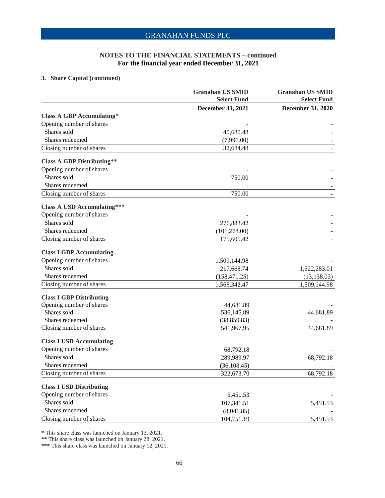## **NOTES TO THE FINANCIAL STATEMENTS – continued For the financial year ended December 31, 2021**

#### **3. Share Capital (continued)**

|                                    | <b>Granahan US SMID</b><br><b>Select Fund</b> | <b>Granahan US SMID</b><br><b>Select Fund</b> |
|------------------------------------|-----------------------------------------------|-----------------------------------------------|
|                                    | <b>December 31, 2021</b>                      | December 31, 2020                             |
| <b>Class A GBP Accumulating*</b>   |                                               |                                               |
| Opening number of shares           |                                               |                                               |
| Shares sold                        | 40,680.48                                     |                                               |
| Shares redeemed                    | (7,996.00)                                    |                                               |
| Closing number of shares           | 32,684.48                                     |                                               |
| <b>Class A GBP Distributing**</b>  |                                               |                                               |
| Opening number of shares           |                                               |                                               |
| Shares sold                        | 750.00                                        |                                               |
| Shares redeemed                    |                                               |                                               |
| Closing number of shares           | 750.00                                        |                                               |
| <b>Class A USD Accumulating***</b> |                                               |                                               |
| Opening number of shares           |                                               |                                               |
| Shares sold                        | 276,883.42                                    |                                               |
| Shares redeemed                    | (101, 278.00)                                 |                                               |
| Closing number of shares           | 175,605.42                                    |                                               |
| <b>Class I GBP Accumulating</b>    |                                               |                                               |
| Opening number of shares           | 1,509,144.98                                  |                                               |
| Shares sold                        | 217,668.74                                    | 1,522,283.01                                  |
| Shares redeemed                    | (158, 471.25)                                 | (13, 138.03)                                  |
| Closing number of shares           | 1,568,342.47                                  | 1,509,144.98                                  |
| <b>Class I GBP Distributing</b>    |                                               |                                               |
| Opening number of shares           | 44,681.89                                     |                                               |
| Shares sold                        | 536,145.89                                    | 44,681,89                                     |
| Shares redeemed                    | (38, 859.83)                                  |                                               |
| Closing number of shares           | 541,967.95                                    | 44,681.89                                     |
| <b>Class I USD Accumulating</b>    |                                               |                                               |
| Opening number of shares           | 68,792.18                                     |                                               |
| Shares sold                        | 289,989.97                                    | 68,792.18                                     |
| Shares redeemed                    | (36, 108.45)                                  |                                               |
| Closing number of shares           | 322,673.70                                    | 68,792.18                                     |
| <b>Class I USD Distributing</b>    |                                               |                                               |
| Opening number of shares           | 5,451.53                                      |                                               |
| Shares sold                        | 107,341.51                                    | 5,451.53                                      |
| Shares redeemed                    | (8,041.85)                                    |                                               |
| Closing number of shares           | 104,751.19                                    | 5,451.53                                      |

**\*** This share class was launched on January 13, 2021.

**\*\*** This share class was launched on January 28, 2021.

**\*\*\*** This share class was launched on January 12, 2021.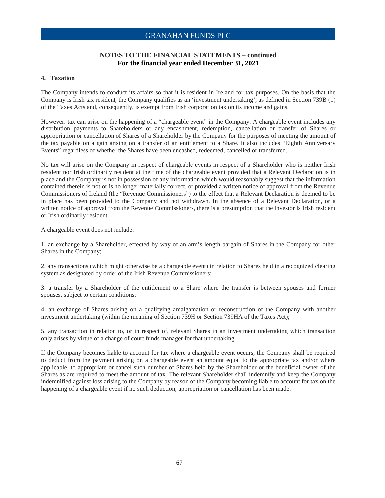### **NOTES TO THE FINANCIAL STATEMENTS – continued For the financial year ended December 31, 2021**

#### **4. Taxation**

The Company intends to conduct its affairs so that it is resident in Ireland for tax purposes. On the basis that the Company is Irish tax resident, the Company qualifies as an 'investment undertaking', as defined in Section 739B (1) of the Taxes Acts and, consequently, is exempt from Irish corporation tax on its income and gains.

However, tax can arise on the happening of a "chargeable event" in the Company. A chargeable event includes any distribution payments to Shareholders or any encashment, redemption, cancellation or transfer of Shares or appropriation or cancellation of Shares of a Shareholder by the Company for the purposes of meeting the amount of the tax payable on a gain arising on a transfer of an entitlement to a Share. It also includes "Eighth Anniversary Events" regardless of whether the Shares have been encashed, redeemed, cancelled or transferred.

No tax will arise on the Company in respect of chargeable events in respect of a Shareholder who is neither Irish resident nor Irish ordinarily resident at the time of the chargeable event provided that a Relevant Declaration is in place and the Company is not in possession of any information which would reasonably suggest that the information contained therein is not or is no longer materially correct, or provided a written notice of approval from the Revenue Commissioners of Ireland (the "Revenue Commissioners") to the effect that a Relevant Declaration is deemed to be in place has been provided to the Company and not withdrawn. In the absence of a Relevant Declaration, or a written notice of approval from the Revenue Commissioners, there is a presumption that the investor is Irish resident or Irish ordinarily resident.

A chargeable event does not include:

1. an exchange by a Shareholder, effected by way of an arm's length bargain of Shares in the Company for other Shares in the Company;

2. any transactions (which might otherwise be a chargeable event) in relation to Shares held in a recognized clearing system as designated by order of the Irish Revenue Commissioners;

3. a transfer by a Shareholder of the entitlement to a Share where the transfer is between spouses and former spouses, subject to certain conditions;

4. an exchange of Shares arising on a qualifying amalgamation or reconstruction of the Company with another investment undertaking (within the meaning of Section 739H or Section 739HA of the Taxes Act);

5. any transaction in relation to, or in respect of, relevant Shares in an investment undertaking which transaction only arises by virtue of a change of court funds manager for that undertaking.

If the Company becomes liable to account for tax where a chargeable event occurs, the Company shall be required to deduct from the payment arising on a chargeable event an amount equal to the appropriate tax and/or where applicable, to appropriate or cancel such number of Shares held by the Shareholder or the beneficial owner of the Shares as are required to meet the amount of tax. The relevant Shareholder shall indemnify and keep the Company indemnified against loss arising to the Company by reason of the Company becoming liable to account for tax on the happening of a chargeable event if no such deduction, appropriation or cancellation has been made.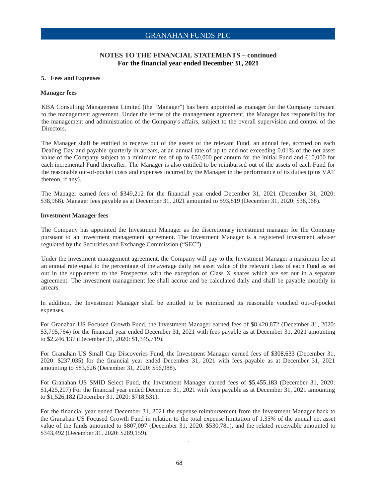### **NOTES TO THE FINANCIAL STATEMENTS – continued For the financial year ended December 31, 2021**

#### **5. Fees and Expenses**

#### **Manager fees**

KBA Consulting Management Limited (the "Manager") has been appointed as manager for the Company pursuant to the management agreement. Under the terms of the management agreement, the Manager has responsibility for the management and administration of the Company's affairs, subject to the overall supervision and control of the Directors.

The Manager shall be entitled to receive out of the assets of the relevant Fund, an annual fee, accrued on each Dealing Day and payable quarterly in arrears, at an annual rate of up to and not exceeding 0.01% of the net asset value of the Company subject to a minimum fee of up to  $\epsilon$ 50,000 per annum for the initial Fund and  $\epsilon$ 10,000 for each incremental Fund thereafter. The Manager is also entitled to be reimbursed out of the assets of each Fund for the reasonable out-of-pocket costs and expenses incurred by the Manager in the performance of its duties (plus VAT thereon, if any).

The Manager earned fees of \$349,212 for the financial year ended December 31, 2021 (December 31, 2020: \$38,968). Manager fees payable as at December 31, 2021 amounted to \$93,819 (December 31, 2020: \$38,968).

#### **Investment Manager fees**

The Company has appointed the Investment Manager as the discretionary investment manager for the Company pursuant to an investment management agreement. The Investment Manager is a registered investment adviser regulated by the Securities and Exchange Commission ("SEC").

Under the investment management agreement, the Company will pay to the Investment Manager a maximum fee at an annual rate equal to the percentage of the average daily net asset value of the relevant class of each Fund as set out in the supplement to the Prospectus with the exception of Class X shares which are set out in a separate agreement. The investment management fee shall accrue and be calculated daily and shall be payable monthly in arrears.

In addition, the Investment Manager shall be entitled to be reimbursed its reasonable vouched out-of-pocket expenses.

For Granahan US Focused Growth Fund, the Investment Manager earned fees of \$8,420,872 (December 31, 2020: \$3,795,764) for the financial year ended December 31, 2021 with fees payable as at December 31, 2021 amounting to \$2,246,137 (December 31, 2020: \$1,345,719).

For Granahan US Small Cap Discoveries Fund, the Investment Manager earned fees of \$308,633 (December 31, 2020: \$237,035) for the financial year ended December 31, 2021 with fees payable as at December 31, 2021 amounting to \$83,626 (December 31, 2020: \$56,988).

For Granahan US SMID Select Fund, the Investment Manager earned fees of \$5,455,183 (December 31, 2020: \$1,425,207) For the financial year ended December 31, 2021 with fees payable as at December 31, 2021 amounting to \$1,526,182 (December 31, 2020: \$718,531).

For the financial year ended December 31, 2021 the expense reimbursement from the Investment Manager back to the Granahan US Focused Growth Fund in relation to the total expense limitation of 1.35% of the annual net asset value of the funds amounted to \$807,097 (December 31, 2020: \$530,781), and the related receivable amounted to \$343,492 (December 31, 2020: \$289,159).

.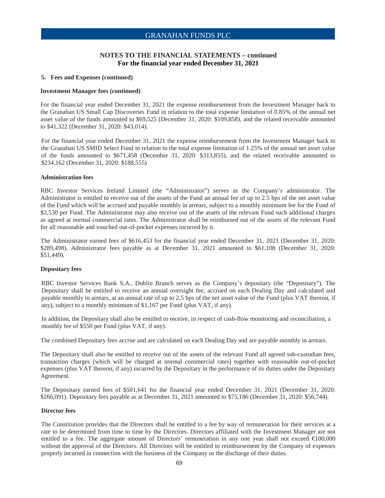### **NOTES TO THE FINANCIAL STATEMENTS – continued For the financial year ended December 31, 2021**

#### **5. Fees and Expenses (continued)**

#### **Investment Manager fees (continued)**

For the financial year ended December 31, 2021 the expense reimbursement from the Investment Manager back to the Granahan US Small Cap Discoveries Fund in relation to the total expense limitation of 0.85% of the annual net asset value of the funds amounted to \$69,525 (December 31, 2020: \$109,858), and the related receivable amounted to \$41,322 (December 31, 2020: \$43,014).

For the financial year ended December 31, 2021 the expense reimbursement from the Investment Manager back to the Granahan US SMID Select Fund in relation to the total expense limitation of 1.25% of the annual net asset value of the funds amounted to \$671,458 (December 31, 2020: \$313,855), and the related receivable amounted to \$234,162 (December 31, 2020: \$188,555)

#### **Administration fees**

RBC Investor Services Ireland Limited (the "Administrator") serves as the Company's administrator. The Administrator is entitled to receive out of the assets of the Fund an annual fee of up to 2.5 bps of the net asset value of the Fund which will be accrued and payable monthly in arrears, subject to a monthly minimum fee for the Fund of \$2,530 per Fund. The Administrator may also receive out of the assets of the relevant Fund such additional charges as agreed at normal commercial rates. The Administrator shall be reimbursed out of the assets of the relevant Fund for all reasonable and vouched out-of-pocket expenses incurred by it.

The Administrator earned fees of \$616,453 for the financial year ended December 31, 2021 (December 31, 2020: \$289,498). Administrator fees payable as at December 31, 2021 amounted to \$61,108 (December 31, 2020: \$51,449).

#### **Depositary fees**

RBC Investor Services Bank S.A., Dublin Branch serves as the Company's depositary (the "Depositary"). The Depositary shall be entitled to receive an annual oversight fee, accrued on each Dealing Day and calculated and payable monthly in arrears, at an annual rate of up to 2.5 bps of the net asset value of the Fund (plus VAT thereon, if any), subject to a monthly minimum of \$1,167 per Fund (plus VAT, if any).

In addition, the Depositary shall also be entitled to receive, in respect of cash-flow monitoring and reconciliation, a monthly fee of \$550 per Fund (plus VAT, if any).

The combined Depositary fees accrue and are calculated on each Dealing Day and are payable monthly in arrears.

The Depositary shall also be entitled to receive out of the assets of the relevant Fund all agreed sub-custodian fees, transaction charges (which will be charged at normal commercial rates) together with reasonable out-of-pocket expenses (plus VAT thereon, if any) incurred by the Depositary in the performance of its duties under the Depositary Agreement.

The Depositary earned fees of \$501,641 for the financial year ended December 31, 2021 (December 31, 2020: \$266,091). Depositary fees payable as at December 31, 2021 amounted to \$75,186 (December 31, 2020: \$56,744).

#### **Director fees**

The Constitution provides that the Directors shall be entitled to a fee by way of remuneration for their services at a rate to be determined from time to time by the Directors. Directors affiliated with the Investment Manager are not entitled to a fee. The aggregate amount of Directors' remuneration in any one year shall not exceed €100,000 without the approval of the Directors. All Directors will be entitled to reimbursement by the Company of expenses properly incurred in connection with the business of the Company or the discharge of their duties.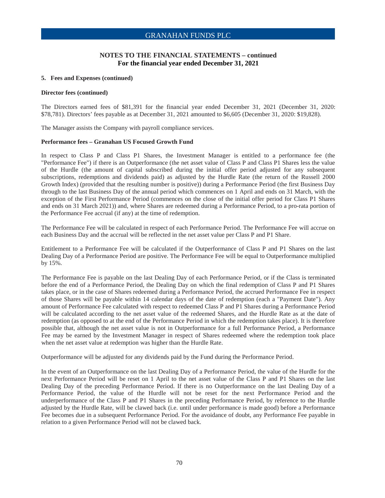### **NOTES TO THE FINANCIAL STATEMENTS – continued For the financial year ended December 31, 2021**

#### **5. Fees and Expenses (continued)**

#### **Director fees (continued)**

The Directors earned fees of \$81,391 for the financial year ended December 31, 2021 (December 31, 2020: \$78,781). Directors' fees payable as at December 31, 2021 amounted to \$6,605 (December 31, 2020: \$19,828).

The Manager assists the Company with payroll compliance services.

#### **Performance fees – Granahan US Focused Growth Fund**

In respect to Class P and Class P1 Shares, the Investment Manager is entitled to a performance fee (the "Performance Fee") if there is an Outperformance (the net asset value of Class P and Class P1 Shares less the value of the Hurdle (the amount of capital subscribed during the initial offer period adjusted for any subsequent subscriptions, redemptions and dividends paid) as adjusted by the Hurdle Rate (the return of the Russell 2000 Growth Index) (provided that the resulting number is positive)) during a Performance Period (the first Business Day through to the last Business Day of the annual period which commences on 1 April and ends on 31 March, with the exception of the First Performance Period (commences on the close of the initial offer period for Class P1 Shares and ends on 31 March 2021)) and, where Shares are redeemed during a Performance Period, to a pro-rata portion of the Performance Fee accrual (if any) at the time of redemption.

The Performance Fee will be calculated in respect of each Performance Period. The Performance Fee will accrue on each Business Day and the accrual will be reflected in the net asset value per Class P and P1 Share.

Entitlement to a Performance Fee will be calculated if the Outperformance of Class P and P1 Shares on the last Dealing Day of a Performance Period are positive. The Performance Fee will be equal to Outperformance multiplied by 15%.

The Performance Fee is payable on the last Dealing Day of each Performance Period, or if the Class is terminated before the end of a Performance Period, the Dealing Day on which the final redemption of Class P and P1 Shares takes place, or in the case of Shares redeemed during a Performance Period, the accrued Performance Fee in respect of those Shares will be payable within 14 calendar days of the date of redemption (each a "Payment Date"). Any amount of Performance Fee calculated with respect to redeemed Class P and P1 Shares during a Performance Period will be calculated according to the net asset value of the redeemed Shares, and the Hurdle Rate as at the date of redemption (as opposed to at the end of the Performance Period in which the redemption takes place). It is therefore possible that, although the net asset value is not in Outperformance for a full Performance Period, a Performance Fee may be earned by the Investment Manager in respect of Shares redeemed where the redemption took place when the net asset value at redemption was higher than the Hurdle Rate.

Outperformance will be adjusted for any dividends paid by the Fund during the Performance Period.

In the event of an Outperformance on the last Dealing Day of a Performance Period, the value of the Hurdle for the next Performance Period will be reset on 1 April to the net asset value of the Class P and P1 Shares on the last Dealing Day of the preceding Performance Period. If there is no Outperformance on the last Dealing Day of a Performance Period, the value of the Hurdle will not be reset for the next Performance Period and the underperformance of the Class P and P1 Shares in the preceding Performance Period, by reference to the Hurdle adjusted by the Hurdle Rate, will be clawed back (i.e. until under performance is made good) before a Performance Fee becomes due in a subsequent Performance Period. For the avoidance of doubt, any Performance Fee payable in relation to a given Performance Period will not be clawed back.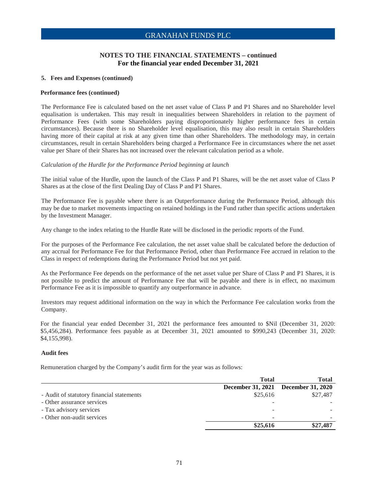### **NOTES TO THE FINANCIAL STATEMENTS – continued For the financial year ended December 31, 2021**

#### **5. Fees and Expenses (continued)**

#### **Performance fees (continued)**

The Performance Fee is calculated based on the net asset value of Class P and P1 Shares and no Shareholder level equalisation is undertaken. This may result in inequalities between Shareholders in relation to the payment of Performance Fees (with some Shareholders paying disproportionately higher performance fees in certain circumstances). Because there is no Shareholder level equalisation, this may also result in certain Shareholders having more of their capital at risk at any given time than other Shareholders. The methodology may, in certain circumstances, result in certain Shareholders being charged a Performance Fee in circumstances where the net asset value per Share of their Shares has not increased over the relevant calculation period as a whole.

#### *Calculation of the Hurdle for the Performance Period beginning at launch*

The initial value of the Hurdle, upon the launch of the Class P and P1 Shares, will be the net asset value of Class P Shares as at the close of the first Dealing Day of Class P and P1 Shares.

The Performance Fee is payable where there is an Outperformance during the Performance Period, although this may be due to market movements impacting on retained holdings in the Fund rather than specific actions undertaken by the Investment Manager.

Any change to the index relating to the Hurdle Rate will be disclosed in the periodic reports of the Fund.

For the purposes of the Performance Fee calculation, the net asset value shall be calculated before the deduction of any accrual for Performance Fee for that Performance Period, other than Performance Fee accrued in relation to the Class in respect of redemptions during the Performance Period but not yet paid.

As the Performance Fee depends on the performance of the net asset value per Share of Class P and P1 Shares, it is not possible to predict the amount of Performance Fee that will be payable and there is in effect, no maximum Performance Fee as it is impossible to quantify any outperformance in advance.

Investors may request additional information on the way in which the Performance Fee calculation works from the Company.

For the financial year ended December 31, 2021 the performance fees amounted to \$Nil (December 31, 2020: \$5,456,284). Performance fees payable as at December 31, 2021 amounted to \$990,243 (December 31, 2020: \$4,155,998).

#### **Audit fees**

Remuneration charged by the Company's audit firm for the year was as follows:

|                                           | <b>Total</b> | Total                               |
|-------------------------------------------|--------------|-------------------------------------|
|                                           |              | December 31, 2021 December 31, 2020 |
| - Audit of statutory financial statements | \$25,616     | \$27,487                            |
| - Other assurance services                |              |                                     |
| - Tax advisory services                   |              |                                     |
| - Other non-audit services                |              |                                     |
|                                           | \$25,616     | \$27,487                            |
|                                           |              |                                     |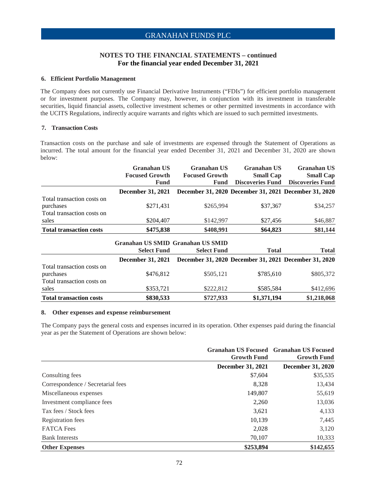### **NOTES TO THE FINANCIAL STATEMENTS – continued For the financial year ended December 31, 2021**

#### **6. Efficient Portfolio Management**

The Company does not currently use Financial Derivative Instruments ("FDIs") for efficient portfolio management or for investment purposes. The Company may, however, in conjunction with its investment in transferable securities, liquid financial assets, collective investment schemes or other permitted investments in accordance with the UCITS Regulations, indirectly acquire warrants and rights which are issued to such permitted investments.

#### **7. Transaction Costs**

Transaction costs on the purchase and sale of investments are expensed through the Statement of Operations as incurred. The total amount for the financial year ended December 31, 2021 and December 31, 2020 are shown below:

|                                | Granahan US                       | <b>Granahan US</b>    | <b>Granahan US</b>      | <b>Granahan US</b>                                    |
|--------------------------------|-----------------------------------|-----------------------|-------------------------|-------------------------------------------------------|
|                                | <b>Focused Growth</b>             | <b>Focused Growth</b> | <b>Small Cap</b>        | <b>Small Cap</b>                                      |
|                                | Fund                              | Fund                  | <b>Discoveries Fund</b> | <b>Discoveries Fund</b>                               |
|                                | December 31, 2021                 |                       |                         | December 31, 2020 December 31, 2021 December 31, 2020 |
| Total transaction costs on     |                                   |                       |                         |                                                       |
| purchases                      | \$271,431                         | \$265,994             | \$37,367                | \$34,257                                              |
| Total transaction costs on     |                                   |                       |                         |                                                       |
| sales                          | \$204,407                         | \$142,997             | \$27,456                | \$46,887                                              |
| <b>Total transaction costs</b> | \$475,838                         | \$408,991             | \$64,823                | \$81,144                                              |
|                                | Granahan US SMID Granahan US SMID |                       |                         |                                                       |
|                                | <b>Select Fund</b>                | <b>Select Fund</b>    | <b>Total</b>            | <b>Total</b>                                          |
|                                | December 31, 2021                 |                       |                         | December 31, 2020 December 31, 2021 December 31, 2020 |
| Total transaction costs on     |                                   |                       |                         |                                                       |
| purchases                      | \$476,812                         | \$505,121             | \$785,610               | \$805,372                                             |
| Total transaction costs on     |                                   |                       |                         |                                                       |
| sales                          | \$353,721                         | \$222,812             | \$585,584               | \$412,696                                             |
| <b>Total transaction costs</b> | \$830,533                         | \$727,933             | \$1,371,194             | \$1,218,068                                           |

#### **8. Other expenses and expense reimbursement**

The Company pays the general costs and expenses incurred in its operation. Other expenses paid during the financial year as per the Statement of Operations are shown below:

|                                   | <b>Growth Fund</b> | <b>Granahan US Focused Granahan US Focused</b><br><b>Growth Fund</b> |
|-----------------------------------|--------------------|----------------------------------------------------------------------|
|                                   | December 31, 2021  | December 31, 2020                                                    |
| Consulting fees                   | \$7,604            | \$35,535                                                             |
| Correspondence / Secretarial fees | 8.328              | 13,434                                                               |
| Miscellaneous expenses            | 149,807            | 55,619                                                               |
| Investment compliance fees        | 2,260              | 13,036                                                               |
| Tax fees / Stock fees             | 3,621              | 4,133                                                                |
| <b>Registration</b> fees          | 10.139             | 7,445                                                                |
| <b>FATCA</b> Fees                 | 2,028              | 3,120                                                                |
| <b>Bank Interests</b>             | 70,107             | 10,333                                                               |
| <b>Other Expenses</b>             | \$253,894          | \$142,655                                                            |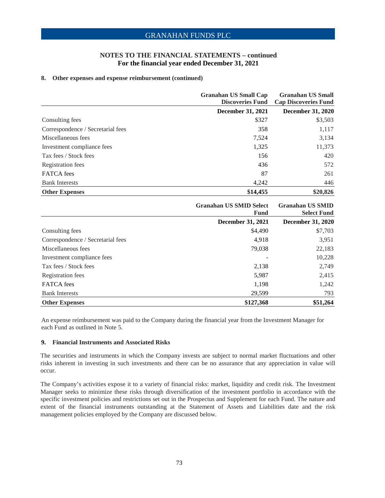#### **NOTES TO THE FINANCIAL STATEMENTS – continued For the financial year ended December 31, 2021**

#### **8. Other expenses and expense reimbursement (continued)**

|                                   | <b>Granahan US Small Cap</b><br><b>Discoveries Fund</b> | <b>Granahan US Small</b><br><b>Cap Discoveries Fund</b> |
|-----------------------------------|---------------------------------------------------------|---------------------------------------------------------|
|                                   | December 31, 2021                                       | December 31, 2020                                       |
| Consulting fees                   | \$327                                                   | \$3,503                                                 |
| Correspondence / Secretarial fees | 358                                                     | 1,117                                                   |
| Miscellaneous fees                | 7,524                                                   | 3,134                                                   |
| Investment compliance fees        | 1,325                                                   | 11,373                                                  |
| Tax fees / Stock fees             | 156                                                     | 420                                                     |
| Registration fees                 | 436                                                     | 572                                                     |
| <b>FATCA</b> fees                 | 87                                                      | 261                                                     |
| <b>Bank Interests</b>             | 4,242                                                   | 446                                                     |
| <b>Other Expenses</b>             | \$14,455                                                | \$20,826                                                |

|                                   | <b>Granahan US SMID Select</b><br>Fund | <b>Granahan US SMID</b><br><b>Select Fund</b> |
|-----------------------------------|----------------------------------------|-----------------------------------------------|
|                                   | <b>December 31, 2021</b>               | <b>December 31, 2020</b>                      |
| Consulting fees                   | \$4,490                                | \$7,703                                       |
| Correspondence / Secretarial fees | 4,918                                  | 3,951                                         |
| Miscellaneous fees                | 79,038                                 | 22,183                                        |
| Investment compliance fees        |                                        | 10,228                                        |
| Tax fees / Stock fees             | 2,138                                  | 2,749                                         |
| Registration fees                 | 5,987                                  | 2,415                                         |
| <b>FATCA</b> fees                 | 1,198                                  | 1,242                                         |
| <b>Bank Interests</b>             | 29,599                                 | 793                                           |
| <b>Other Expenses</b>             | \$127,368                              | \$51,264                                      |

An expense reimbursement was paid to the Company during the financial year from the Investment Manager for each Fund as outlined in Note 5.

#### **9. Financial Instruments and Associated Risks**

The securities and instruments in which the Company invests are subject to normal market fluctuations and other risks inherent in investing in such investments and there can be no assurance that any appreciation in value will occur.

The Company's activities expose it to a variety of financial risks: market, liquidity and credit risk. The Investment Manager seeks to minimize these risks through diversification of the investment portfolio in accordance with the specific investment policies and restrictions set out in the Prospectus and Supplement for each Fund. The nature and extent of the financial instruments outstanding at the Statement of Assets and Liabilities date and the risk management policies employed by the Company are discussed below.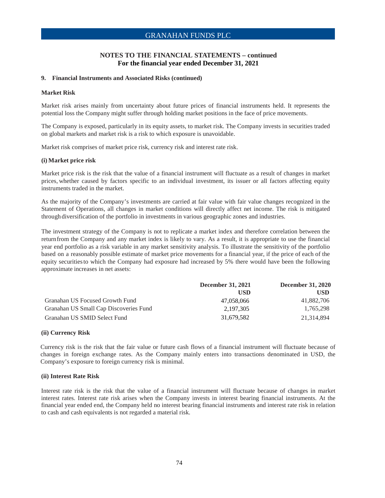### **NOTES TO THE FINANCIAL STATEMENTS – continued For the financial year ended December 31, 2021**

#### **9. Financial Instruments and Associated Risks (continued)**

#### **Market Risk**

Market risk arises mainly from uncertainty about future prices of financial instruments held. It represents the potential loss the Company might suffer through holding market positions in the face of price movements.

The Company is exposed, particularly in its equity assets, to market risk. The Company invests in securities traded on global markets and market risk is a risk to which exposure is unavoidable.

Market risk comprises of market price risk, currency risk and interest rate risk.

#### **(i) Market price risk**

Market price risk is the risk that the value of a financial instrument will fluctuate as a result of changes in market prices, whether caused by factors specific to an individual investment, its issuer or all factors affecting equity instruments traded in the market.

As the majority of the Company's investments are carried at fair value with fair value changes recognized in the Statement of Operations, all changes in market conditions will directly affect net income. The risk is mitigated through diversification of the portfolio in investments in various geographic zones and industries.

The investment strategy of the Company is not to replicate a market index and therefore correlation between the return from the Company and any market index is likely to vary. As a result, it is appropriate to use the financial year end portfolio as a risk variable in any market sensitivity analysis. To illustrate the sensitivity of the portfolio based on a reasonably possible estimate of market price movements for a financial year, if the price of each of the equity securities to which the Company had exposure had increased by 5% there would have been the following approximate increases in net assets:

|                                        | <b>December 31, 2021</b> | <b>December 31, 2020</b> |
|----------------------------------------|--------------------------|--------------------------|
|                                        | <b>USD</b>               | <b>USD</b>               |
| Granahan US Focused Growth Fund        | 47,058,066               | 41.882.706               |
| Granahan US Small Cap Discoveries Fund | 2.197.305                | 1.765.298                |
| Granahan US SMID Select Fund           | 31.679.582               | 21.314.894               |

#### **(ii) Currency Risk**

Currency risk is the risk that the fair value or future cash flows of a financial instrument will fluctuate because of changes in foreign exchange rates. As the Company mainly enters into transactions denominated in USD, the Company's exposure to foreign currency risk is minimal.

#### **(ii) Interest Rate Risk**

Interest rate risk is the risk that the value of a financial instrument will fluctuate because of changes in market interest rates. Interest rate risk arises when the Company invests in interest bearing financial instruments. At the financial year ended end, the Company held no interest bearing financial instruments and interest rate risk in relation to cash and cash equivalents is not regarded a material risk.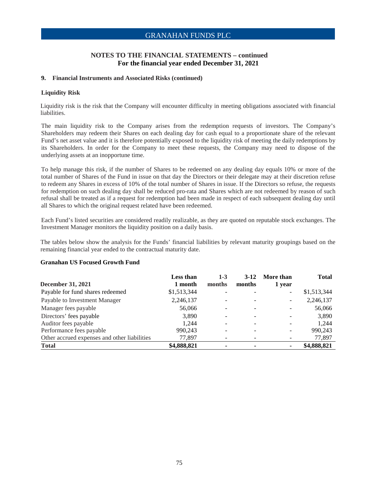### **NOTES TO THE FINANCIAL STATEMENTS – continued For the financial year ended December 31, 2021**

#### **9. Financial Instruments and Associated Risks (continued)**

#### **Liquidity Risk**

Liquidity risk is the risk that the Company will encounter difficulty in meeting obligations associated with financial liabilities.

The main liquidity risk to the Company arises from the redemption requests of investors. The Company's Shareholders may redeem their Shares on each dealing day for cash equal to a proportionate share of the relevant Fund's net asset value and it is therefore potentially exposed to the liquidity risk of meeting the daily redemptions by its Shareholders. In order for the Company to meet these requests, the Company may need to dispose of the underlying assets at an inopportune time.

To help manage this risk, if the number of Shares to be redeemed on any dealing day equals 10% or more of the total number of Shares of the Fund in issue on that day the Directors or their delegate may at their discretion refuse to redeem any Shares in excess of 10% of the total number of Shares in issue. If the Directors so refuse, the requests for redemption on such dealing day shall be reduced pro-rata and Shares which are not redeemed by reason of such refusal shall be treated as if a request for redemption had been made in respect of each subsequent dealing day until all Shares to which the original request related have been redeemed.

Each Fund's listed securities are considered readily realizable, as they are quoted on reputable stock exchanges. The Investment Manager monitors the liquidity position on a daily basis.

The tables below show the analysis for the Funds' financial liabilities by relevant maturity groupings based on the remaining financial year ended to the contractual maturity date.

#### **Granahan US Focused Growth Fund**

|                                              | Less than   | $1 - 3$ | $3-12$                       | More than       | <b>Total</b> |
|----------------------------------------------|-------------|---------|------------------------------|-----------------|--------------|
| December 31, 2021                            | 1 month     | months  | months                       | 1 year          |              |
| Payable for fund shares redeemed             | \$1,513,344 |         |                              | ٠               | \$1,513,344  |
| Payable to Investment Manager                | 2,246,137   |         |                              | $\overline{a}$  | 2,246,137    |
| Manager fees payable                         | 56,066      |         | $\overline{\phantom{a}}$     | ۰               | 56,066       |
| Directors' fees payable                      | 3,890       |         | $\overline{\phantom{0}}$     | ۰               | 3,890        |
| Auditor fees payable                         | 1,244       |         | -                            | $\qquad \qquad$ | 1,244        |
| Performance fees payable                     | 990.243     |         | $\overline{\phantom{0}}$     | -               | 990,243      |
| Other accrued expenses and other liabilities | 77,897      |         | $\qquad \qquad \blacksquare$ |                 | 77,897       |
| <b>Total</b>                                 | \$4,888,821 |         | ٠                            |                 | \$4,888,821  |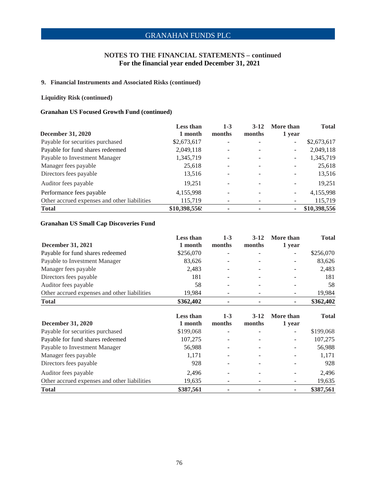## **NOTES TO THE FINANCIAL STATEMENTS – continued For the financial year ended December 31, 2021**

### **9. Financial Instruments and Associated Risks (continued)**

### **Liquidity Risk (continued)**

### **Granahan US Focused Growth Fund (continued)**

|                                              | <b>Less than</b> | $1 - 3$                  | $3-12$ | More than                    | <b>Total</b> |
|----------------------------------------------|------------------|--------------------------|--------|------------------------------|--------------|
| December 31, 2020                            | 1 month          | months                   | months | 1 year                       |              |
| Payable for securities purchased             | \$2,673,617      |                          |        | $\overline{\phantom{0}}$     | \$2,673,617  |
| Payable for fund shares redeemed             | 2,049,118        | -                        |        | $\overline{\phantom{a}}$     | 2,049,118    |
| Payable to Investment Manager                | 1,345,719        | $\overline{\phantom{m}}$ |        | $\overline{\phantom{a}}$     | 1,345,719    |
| Manager fees payable                         | 25,618           | ۰                        |        |                              | 25,618       |
| Directors fees payable                       | 13,516           | ۰                        |        | $\qquad \qquad \blacksquare$ | 13,516       |
| Auditor fees payable                         | 19,251           | $\overline{\phantom{a}}$ |        | $\overline{\phantom{a}}$     | 19,251       |
| Performance fees payable                     | 4,155,998        | $\overline{\phantom{a}}$ |        | $\overline{\phantom{a}}$     | 4,155,998    |
| Other accrued expenses and other liabilities | 115,719          | ۰                        |        |                              | 115,719      |
| <b>Total</b>                                 | \$10,398,556.    | ٠                        |        | ٠                            | \$10,398,556 |

### **Granahan US Small Cap Discoveries Fund**

| <b>December 31, 2021</b>                     | <b>Less than</b><br>1 month | $1-3$<br>months | $3 - 12$<br>months       | More than<br>1 year | <b>Total</b> |
|----------------------------------------------|-----------------------------|-----------------|--------------------------|---------------------|--------------|
| Payable for fund shares redeemed             | \$256,070                   |                 | -                        | -                   | \$256,070    |
| Payable to Investment Manager                | 83,626                      |                 | $\overline{\phantom{a}}$ | -                   | 83,626       |
| Manager fees payable                         | 2,483                       |                 |                          |                     | 2,483        |
| Directors fees payable                       | 181                         |                 |                          |                     | 181          |
| Auditor fees payable                         | 58                          |                 |                          |                     | 58           |
| Other accrued expenses and other liabilities | 19,984                      |                 |                          |                     | 19,984       |
| <b>Total</b>                                 | \$362,402                   | ٠               | ۰                        | ۰                   | \$362,402    |
| <b>December 31, 2020</b>                     | <b>Less than</b><br>1 month | $1-3$<br>months | $3-12$<br>months         | More than<br>1 year | <b>Total</b> |
| Payable for securities purchased             | \$199,068                   |                 | -                        | -                   | \$199,068    |
| Payable for fund shares redeemed             | 107,275                     |                 |                          | -                   | 107,275      |
| Payable to Investment Manager                | 56,988                      |                 |                          |                     | 56,988       |
| Manager fees payable                         | 1,171                       |                 |                          |                     | 1,171        |
| Directors fees payable                       | 928                         |                 | -                        |                     | 928          |
| Auditor fees payable                         | 2,496                       |                 |                          |                     | 2,496        |
| Other accrued expenses and other liabilities | 19,635                      |                 |                          |                     | 19,635       |
| <b>Total</b>                                 | \$387,561                   |                 | -                        | ۰                   | \$387,561    |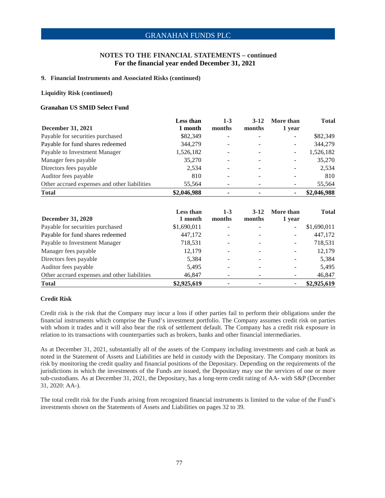### **NOTES TO THE FINANCIAL STATEMENTS – continued For the financial year ended December 31, 2021**

#### **9. Financial Instruments and Associated Risks (continued)**

**Liquidity Risk (continued)** 

#### **Granahan US SMID Select Fund**

|                                              | Less than   | $1 - 3$                  | $3-12$ | More than                | <b>Total</b> |
|----------------------------------------------|-------------|--------------------------|--------|--------------------------|--------------|
| <b>December 31, 2021</b>                     | 1 month     | months                   | months | 1 year                   |              |
| Payable for securities purchased             | \$82,349    |                          |        |                          | \$82,349     |
| Payable for fund shares redeemed             | 344,279     |                          |        | $\overline{\phantom{a}}$ | 344,279      |
| Payable to Investment Manager                | 1,526,182   | $\overline{\phantom{0}}$ | -      | -                        | 1,526,182    |
| Manager fees payable                         | 35,270      |                          |        |                          | 35,270       |
| Directors fees payable                       | 2,534       | -                        |        |                          | 2,534        |
| Auditor fees payable                         | 810         |                          |        |                          | 810          |
| Other accrued expenses and other liabilities | 55,564      |                          |        |                          | 55,564       |
| <b>Total</b>                                 | \$2,046,988 |                          |        |                          | \$2,046,988  |

|                                              | <b>Less than</b> | $1 - 3$ | $3-12$                   | More than                | <b>Total</b> |
|----------------------------------------------|------------------|---------|--------------------------|--------------------------|--------------|
| <b>December 31, 2020</b>                     | 1 month          | months  | months                   | 1 year                   |              |
| Payable for securities purchased             | \$1,690,011      |         |                          | $\overline{\phantom{a}}$ | \$1,690,011  |
| Payable for fund shares redeemed             | 447,172          |         | $\overline{\phantom{a}}$ | $\overline{\phantom{a}}$ | 447,172      |
| Payable to Investment Manager                | 718,531          |         | $\overline{\phantom{a}}$ | $\overline{\phantom{a}}$ | 718,531      |
| Manager fees payable                         | 12,179           |         | $\overline{\phantom{0}}$ | $\overline{\phantom{a}}$ | 12,179       |
| Directors fees payable                       | 5,384            |         | ۰                        | -                        | 5,384        |
| Auditor fees payable                         | 5,495            |         | -                        | $\overline{\phantom{0}}$ | 5,495        |
| Other accrued expenses and other liabilities | 46,847           |         |                          |                          | 46,847       |
| <b>Total</b>                                 | \$2,925,619      |         |                          | ۰                        | \$2,925,619  |

#### **Credit Risk**

Credit risk is the risk that the Company may incur a loss if other parties fail to perform their obligations under the financial instruments which comprise the Fund's investment portfolio. The Company assumes credit risk on parties with whom it trades and it will also bear the risk of settlement default. The Company has a credit risk exposure in relation to its transactions with counterparties such as brokers, banks and other financial intermediaries.

As at December 31, 2021, substantially all of the assets of the Company including investments and cash at bank as noted in the Statement of Assets and Liabilities are held in custody with the Depositary. The Company monitors its risk by monitoring the credit quality and financial positions of the Depositary. Depending on the requirements of the jurisdictions in which the investments of the Funds are issued, the Depositary may use the services of one or more sub-custodians. As at December 31, 2021, the Depositary, has a long-term credit rating of AA- with S&P (December 31, 2020: AA-).

The total credit risk for the Funds arising from recognized financial instruments is limited to the value of the Fund's investments shown on the Statements of Assets and Liabilities on pages 32 to 39.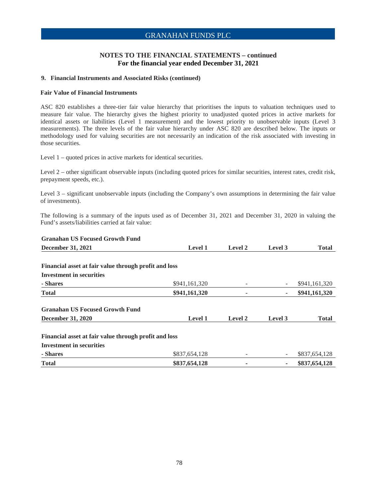### **NOTES TO THE FINANCIAL STATEMENTS – continued For the financial year ended December 31, 2021**

#### **9. Financial Instruments and Associated Risks (continued)**

#### **Fair Value of Financial Instruments**

ASC 820 establishes a three-tier fair value hierarchy that prioritises the inputs to valuation techniques used to measure fair value. The hierarchy gives the highest priority to unadjusted quoted prices in active markets for identical assets or liabilities (Level 1 measurement) and the lowest priority to unobservable inputs (Level 3 measurements). The three levels of the fair value hierarchy under ASC 820 are described below. The inputs or methodology used for valuing securities are not necessarily an indication of the risk associated with investing in those securities.

Level 1 – quoted prices in active markets for identical securities.

Level 2 – other significant observable inputs (including quoted prices for similar securities, interest rates, credit risk, prepayment speeds, etc.).

Level 3 – significant unobservable inputs (including the Company's own assumptions in determining the fair value of investments).

The following is a summary of the inputs used as of December 31, 2021 and December 31, 2020 in valuing the Fund's assets/liabilities carried at fair value:

### **Granahan US Focused Growth Fund**

| <b>December 31, 2021</b>                                           | <b>Level 1</b> | Level 2         | Level 3                  | <b>Total</b>  |
|--------------------------------------------------------------------|----------------|-----------------|--------------------------|---------------|
|                                                                    |                |                 |                          |               |
| Financial asset at fair value through profit and loss              |                |                 |                          |               |
| <b>Investment in securities</b>                                    |                |                 |                          |               |
| - Shares                                                           | \$941,161,320  | $\qquad \qquad$ | $\overline{\phantom{a}}$ | \$941,161,320 |
| <b>Total</b>                                                       | \$941,161,320  | ۰               | ۰                        | \$941,161,320 |
| <b>Granahan US Focused Growth Fund</b><br><b>December 31, 2020</b> | Level 1        | <b>Level 2</b>  | Level 3                  | <b>Total</b>  |
| Financial asset at fair value through profit and loss              |                |                 |                          |               |
| <b>Investment in securities</b>                                    |                |                 |                          |               |
| - Shares                                                           | \$837,654,128  | -               | $\overline{\phantom{a}}$ | \$837,654,128 |
| <b>Total</b>                                                       | \$837,654,128  |                 | ٠                        | \$837,654,128 |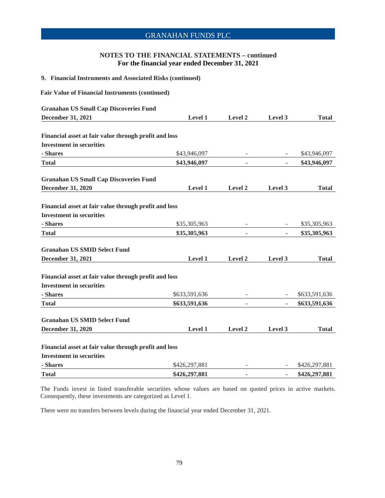## **NOTES TO THE FINANCIAL STATEMENTS – continued For the financial year ended December 31, 2021**

#### **9. Financial Instruments and Associated Risks (continued)**

**Fair Value of Financial Instruments (continued)** 

| <b>Granahan US Small Cap Discoveries Fund</b>         |               |                          |                          |               |
|-------------------------------------------------------|---------------|--------------------------|--------------------------|---------------|
| <b>December 31, 2021</b>                              | Level 1       | Level 2                  | Level 3                  | <b>Total</b>  |
|                                                       |               |                          |                          |               |
| Financial asset at fair value through profit and loss |               |                          |                          |               |
| <b>Investment in securities</b>                       |               |                          |                          |               |
| - Shares                                              | \$43,946,097  |                          |                          | \$43,946,097  |
| <b>Total</b>                                          | \$43,946,097  |                          |                          | \$43,946,097  |
| <b>Granahan US Small Cap Discoveries Fund</b>         |               |                          |                          |               |
| <b>December 31, 2020</b>                              | Level 1       | Level 2                  | Level 3                  | <b>Total</b>  |
|                                                       |               |                          |                          |               |
| Financial asset at fair value through profit and loss |               |                          |                          |               |
| <b>Investment in securities</b>                       |               |                          |                          |               |
| - Shares                                              | \$35,305,963  |                          |                          | \$35,305,963  |
| <b>Total</b>                                          | \$35,305,963  | $\blacksquare$           |                          | \$35,305,963  |
| <b>Granahan US SMID Select Fund</b>                   |               |                          |                          |               |
| <b>December 31, 2021</b>                              | Level 1       | <b>Level 2</b>           | Level 3                  | <b>Total</b>  |
|                                                       |               |                          |                          |               |
| Financial asset at fair value through profit and loss |               |                          |                          |               |
| <b>Investment in securities</b>                       |               |                          |                          |               |
| - Shares                                              | \$633,591,636 |                          |                          | \$633,591,636 |
| <b>Total</b>                                          | \$633,591,636 |                          |                          | \$633,591,636 |
| <b>Granahan US SMID Select Fund</b>                   |               |                          |                          |               |
| <b>December 31, 2020</b>                              | Level 1       | Level 2                  | Level 3                  | <b>Total</b>  |
|                                                       |               |                          |                          |               |
| Financial asset at fair value through profit and loss |               |                          |                          |               |
| <b>Investment in securities</b>                       |               |                          |                          |               |
| - Shares                                              | \$426,297,881 | $\overline{\phantom{a}}$ | $\overline{\phantom{a}}$ | \$426,297,881 |
| <b>Total</b>                                          | \$426,297,881 | ٠                        | $\blacksquare$           | \$426,297,881 |
|                                                       |               |                          |                          |               |

The Funds invest in listed transferable securities whose values are based on quoted prices in active markets. Consequently, these investments are categorized as Level 1.

There were no transfers between levels during the financial year ended December 31, 2021.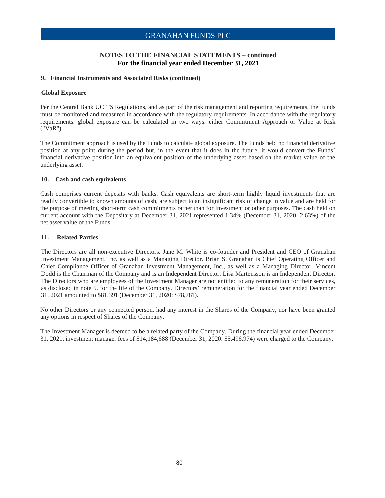### **NOTES TO THE FINANCIAL STATEMENTS – continued For the financial year ended December 31, 2021**

#### **9. Financial Instruments and Associated Risks (continued)**

#### **Global Exposure**

Per the Central Bank UCITS Regulations, and as part of the risk management and reporting requirements, the Funds must be monitored and measured in accordance with the regulatory requirements. In accordance with the regulatory requirements, global exposure can be calculated in two ways, either Commitment Approach or Value at Risk ("VaR").

The Commitment approach is used by the Funds to calculate global exposure. The Funds held no financial derivative position at any point during the period but, in the event that it does in the future, it would convert the Funds' financial derivative position into an equivalent position of the underlying asset based on the market value of the underlying asset.

#### **10. Cash and cash equivalents**

Cash comprises current deposits with banks. Cash equivalents are short-term highly liquid investments that are readily convertible to known amounts of cash, are subject to an insignificant risk of change in value and are held for the purpose of meeting short-term cash commitments rather than for investment or other purposes. The cash held on current account with the Depositary at December 31, 2021 represented 1.34% (December 31, 2020: 2.63%) of the net asset value of the Funds.

#### **11. Related Parties**

The Directors are all non-executive Directors. Jane M. White is co-founder and President and CEO of Granahan Investment Management, Inc. as well as a Managing Director. Brian S. Granahan is Chief Operating Officer and Chief Compliance Officer of Granahan Investment Management, Inc., as well as a Managing Director. Vincent Dodd is the Chairman of the Company and is an Independent Director. Lisa Martensson is an Independent Director. The Directors who are employees of the Investment Manager are not entitled to any remuneration for their services, as disclosed in note 5, for the life of the Company. Directors' remuneration for the financial year ended December 31, 2021 amounted to \$81,391 (December 31, 2020: \$78,781).

No other Directors or any connected person, had any interest in the Shares of the Company, nor have been granted any options in respect of Shares of the Company.

The Investment Manager is deemed to be a related party of the Company. During the financial year ended December 31, 2021, investment manager fees of \$14,184,688 (December 31, 2020: \$5,496,974) were charged to the Company.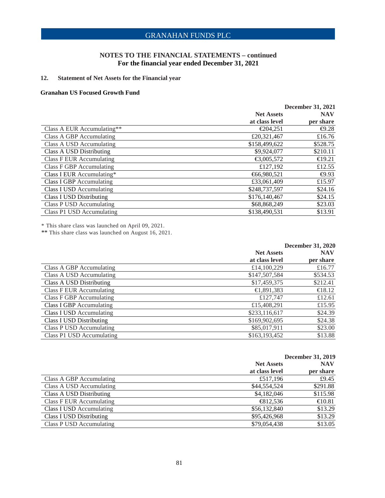# **NOTES TO THE FINANCIAL STATEMENTS – continued For the financial year ended December 31, 2021**

# **12. Statement of Net Assets for the Financial year**

#### **Granahan US Focused Growth Fund**

|                                 | <b>December 31, 2021</b> |                                   |  |
|---------------------------------|--------------------------|-----------------------------------|--|
|                                 | <b>Net Assets</b>        | <b>NAV</b>                        |  |
|                                 | at class level           | per share                         |  |
| Class A EUR Accumulating**      | €204,251                 | $\textcolor{blue}{\epsilon}$ 9.28 |  |
| Class A GBP Accumulating        | £20,321,467              | £16.76                            |  |
| Class A USD Accumulating        | \$158,499,622            | \$528.75                          |  |
| Class A USD Distributing        | \$9,924,077              | \$210.11                          |  |
| Class F EUR Accumulating        | €3,005,572               | €19.21                            |  |
| Class F GBP Accumulating        | £127.192                 | £12.55                            |  |
| Class I EUR Accumulating*       | €66,980,521              | $\epsilon$ 9.93                   |  |
| Class I GBP Accumulating        | £33,061,409              | £15.97                            |  |
| Class I USD Accumulating        | \$248,737,597            | \$24.16                           |  |
| <b>Class I USD Distributing</b> | \$176,140,467            | \$24.15                           |  |
| Class P USD Accumulating        | \$68,868,249             | \$23.03                           |  |
| Class P1 USD Accumulating       | \$138,490,531            | \$13.91                           |  |

\* This share class was launched on April 09, 2021.

\*\* This share class was launched on August 16, 2021.

|                           | <b>December 31, 2020</b> |            |  |
|---------------------------|--------------------------|------------|--|
|                           | <b>Net Assets</b>        | <b>NAV</b> |  |
|                           | at class level           | per share  |  |
| Class A GBP Accumulating  | £14,100,229              | £16.77     |  |
| Class A USD Accumulating  | \$147,507,584            | \$534.53   |  |
| Class A USD Distributing  | \$17,459,375             | \$212.41   |  |
| Class F EUR Accumulating  | €1,891,383               | €18.12     |  |
| Class F GBP Accumulating  | £127,747                 | £12.61     |  |
| Class I GBP Accumulating  | £15,408,291              | £15.95     |  |
| Class I USD Accumulating  | \$233,116,617            | \$24.39    |  |
| Class I USD Distributing  | \$169,902,695            | \$24.38    |  |
| Class P USD Accumulating  | \$85,017,911             | \$23.00    |  |
| Class P1 USD Accumulating | \$163,193,452            | \$13.88    |  |

|                          | <b>December 31, 2019</b> |            |  |
|--------------------------|--------------------------|------------|--|
|                          | <b>Net Assets</b>        | <b>NAV</b> |  |
|                          | at class level           | per share  |  |
| Class A GBP Accumulating | £517,196                 | £9.45      |  |
| Class A USD Accumulating | \$44,554,524             | \$291.88   |  |
| Class A USD Distributing | \$4,182,046              | \$115.98   |  |
| Class F EUR Accumulating | €812.536                 | €10.81     |  |
| Class I USD Accumulating | \$56,132,840             | \$13.29    |  |
| Class I USD Distributing | \$95,426,968             | \$13.29    |  |
| Class P USD Accumulating | \$79,054,438             | \$13.05    |  |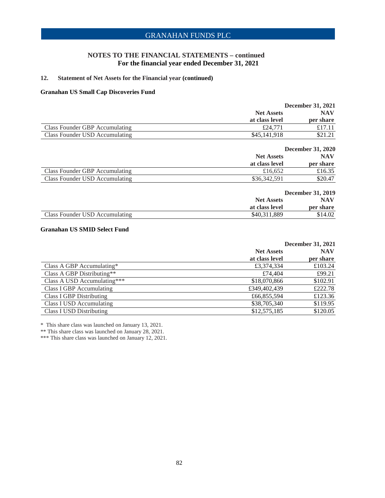## **NOTES TO THE FINANCIAL STATEMENTS – continued For the financial year ended December 31, 2021**

#### **12. Statement of Net Assets for the Financial year (continued)**

#### **Granahan US Small Cap Discoveries Fund**

|                   | December 31, 2021 |
|-------------------|-------------------|
| <b>Net Assets</b> | <b>NAV</b>        |
| at class level    | per share         |
| £24,771           | £17.11            |
| \$45,141,918      | \$21.21           |
|                   |                   |

|                                | <b>December 31, 2020</b> |            |
|--------------------------------|--------------------------|------------|
|                                | <b>Net Assets</b>        | <b>NAV</b> |
|                                | at class level           | per share  |
| Class Founder GBP Accumulating | £16,652                  | £16.35     |
| Class Founder USD Accumulating | \$36,342,591             | \$20.47    |

|                                | <b>December 31, 2019</b> |           |
|--------------------------------|--------------------------|-----------|
|                                | <b>Net Assets</b>        | NAV       |
|                                | at class level           | per share |
| Class Founder USD Accumulating | \$40,311,889             | \$14.02   |

### **Granahan US SMID Select Fund**

|                              | <b>December 31, 2021</b> |            |
|------------------------------|--------------------------|------------|
|                              | <b>Net Assets</b>        | <b>NAV</b> |
|                              | at class level           | per share  |
| Class A GBP Accumulating $*$ | £3,374,334               | £103.24    |
| Class A GBP Distributing**   | £74.404                  | £99.21     |
| Class A USD Accumulating***  | \$18,070,866             | \$102.91   |
| Class I GBP Accumulating     | £349,402,439             | £222.78    |
| Class I GBP Distributing     | £66,855,594              | £123.36    |
| Class I USD Accumulating     | \$38,705,340             | \$119.95   |
| Class I USD Distributing     | \$12,575,185             | \$120.05   |

\* This share class was launched on January 13, 2021.

\*\* This share class was launched on January 28, 2021.

\*\*\* This share class was launched on January 12, 2021.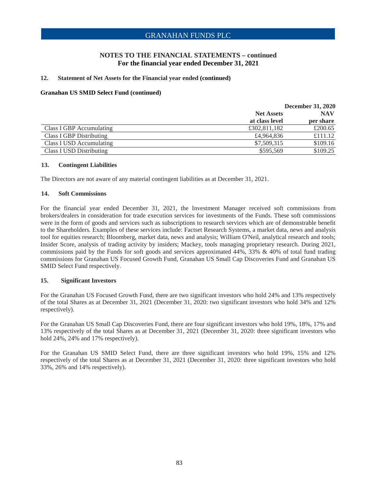### **NOTES TO THE FINANCIAL STATEMENTS – continued For the financial year ended December 31, 2021**

#### **12. Statement of Net Assets for the Financial year ended (continued)**

#### **Granahan US SMID Select Fund (continued)**

|                          | December 31, 2020 |            |
|--------------------------|-------------------|------------|
|                          | <b>Net Assets</b> | <b>NAV</b> |
|                          | at class level    | per share  |
| Class I GBP Accumulating | £302,811,182      | £200.65    |
| Class I GBP Distributing | £4,964,836        | £111.12    |
| Class I USD Accumulating | \$7,509,315       | \$109.16   |
| Class I USD Distributing | \$595,569         | \$109.25   |

#### **13. Contingent Liabilities**

The Directors are not aware of any material contingent liabilities as at December 31, 2021.

#### **14. Soft Commissions**

For the financial year ended December 31, 2021, the Investment Manager received soft commissions from brokers/dealers in consideration for trade execution services for investments of the Funds. These soft commissions were in the form of goods and services such as subscriptions to research services which are of demonstrable benefit to the Shareholders. Examples of these services include: Factset Research Systems, a market data, news and analysis tool for equities research; Bloomberg, market data, news and analysis; William O'Neil, analytical research and tools; Insider Score, analysis of trading activity by insiders; Mackey, tools managing proprietary research. During 2021, commissions paid by the Funds for soft goods and services approximated 44%, 33% & 40% of total fund trading commissions for Granahan US Focused Growth Fund, Granahan US Small Cap Discoveries Fund and Granahan US SMID Select Fund respectively.

#### **15. Significant Investors**

For the Granahan US Focused Growth Fund, there are two significant investors who hold 24% and 13% respectively of the total Shares as at December 31, 2021 (December 31, 2020: two significant investors who hold 34% and 12% respectively).

For the Granahan US Small Cap Discoveries Fund, there are four significant investors who hold 19%, 18%, 17% and 13% respectively of the total Shares as at December 31, 2021 (December 31, 2020: three significant investors who hold 24%, 24% and 17% respectively).

For the Granahan US SMID Select Fund, there are three significant investors who hold 19%, 15% and 12% respectively of the total Shares as at December 31, 2021 (December 31, 2020: three significant investors who hold 33%, 26% and 14% respectively).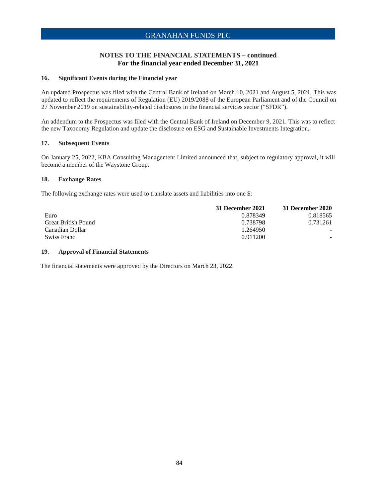### **NOTES TO THE FINANCIAL STATEMENTS – continued For the financial year ended December 31, 2021**

#### **16. Significant Events during the Financial year**

An updated Prospectus was filed with the Central Bank of Ireland on March 10, 2021 and August 5, 2021. This was updated to reflect the requirements of Regulation (EU) 2019/2088 of the European Parliament and of the Council on 27 November 2019 on sustainability-related disclosures in the financial services sector ("SFDR").

An addendum to the Prospectus was filed with the Central Bank of Ireland on December 9, 2021. This was to reflect the new Taxonomy Regulation and update the disclosure on ESG and Sustainable Investments Integration.

#### **17. Subsequent Events**

On January 25, 2022, KBA Consulting Management Limited announced that, subject to regulatory approval, it will become a member of the Waystone Group.

#### **18. Exchange Rates**

The following exchange rates were used to translate assets and liabilities into one \$:

|                     | 31 December 2021 | <b>31 December 2020</b> |
|---------------------|------------------|-------------------------|
| Euro                | 0.878349         | 0.818565                |
| Great British Pound | 0.738798         | 0.731261                |
| Canadian Dollar     | 1.264950         |                         |
| Swiss Franc         | 0.911200         |                         |

#### **19. Approval of Financial Statements**

The financial statements were approved by the Directors on March 23, 2022.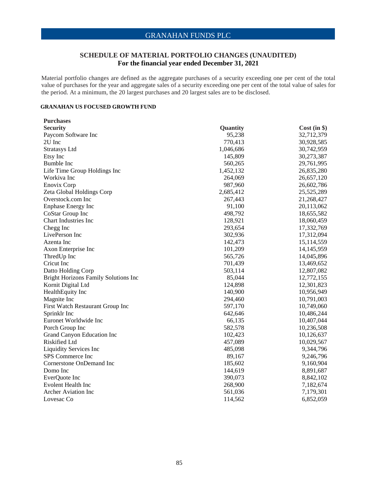## **SCHEDULE OF MATERIAL PORTFOLIO CHANGES (UNAUDITED) For the financial year ended December 31, 2021**

Material portfolio changes are defined as the aggregate purchases of a security exceeding one per cent of the total value of purchases for the year and aggregate sales of a security exceeding one per cent of the total value of sales for the period. At a minimum, the 20 largest purchases and 20 largest sales are to be disclosed.

#### **GRANAHAN US FOCUSED GROWTH FUND**

| <b>Purchases</b>                     |           |             |
|--------------------------------------|-----------|-------------|
| <b>Security</b>                      | Quantity  | Cost (in §) |
| Paycom Software Inc                  | 95,238    | 32,712,379  |
| 2U Inc                               | 770,413   | 30,928,585  |
| Stratasys Ltd                        | 1,046,686 | 30,742,959  |
| Etsy Inc                             | 145,809   | 30,273,387  |
| <b>Bumble Inc</b>                    | 560,265   | 29,761,995  |
| Life Time Group Holdings Inc         | 1,452,132 | 26,835,280  |
| Workiva Inc                          | 264,069   | 26,657,120  |
| Enovix Corp                          | 987,960   | 26,602,786  |
| Zeta Global Holdings Corp            | 2,685,412 | 25,525,289  |
| Overstock.com Inc                    | 267,443   | 21,268,427  |
| <b>Enphase Energy Inc</b>            | 91,100    | 20,113,062  |
| CoStar Group Inc                     | 498,792   | 18,655,582  |
| Chart Industries Inc                 | 128,921   | 18,060,459  |
| Chegg Inc                            | 293,654   | 17,332,769  |
| LivePerson Inc                       | 302,936   | 17,312,094  |
| Azenta Inc                           | 142,473   | 15,114,559  |
| Axon Enterprise Inc                  | 101,209   | 14,145,959  |
| ThredUp Inc                          | 565,726   | 14,045,896  |
| Cricut Inc                           | 701,439   | 13,469,652  |
| Datto Holding Corp                   | 503,114   | 12,807,082  |
| Bright Horizons Family Solutions Inc | 85,044    | 12,772,155  |
| Kornit Digital Ltd                   | 124,898   | 12,301,823  |
| HealthEquity Inc                     | 140,900   | 10,956,949  |
| Magnite Inc                          | 294,460   | 10,791,003  |
| First Watch Restaurant Group Inc     | 597,170   | 10,749,060  |
| Sprinklr Inc                         | 642,646   | 10,486,244  |
| Euronet Worldwide Inc                | 66,135    | 10,407,044  |
| Porch Group Inc                      | 582,578   | 10,236,508  |
| Grand Canyon Education Inc           | 102,423   | 10,126,637  |
| Riskified Ltd                        | 457,089   | 10,029,567  |
| <b>Liquidity Services Inc</b>        | 485,098   | 9,344,796   |
| SPS Commerce Inc                     | 89,167    | 9,246,796   |
| Cornerstone OnDemand Inc             | 185,602   | 9,160,904   |
| Domo Inc                             | 144,619   | 8,891,687   |
| EverQuote Inc                        | 390,073   | 8,842,102   |
| Evolent Health Inc                   | 268,900   | 7,182,674   |
| <b>Archer Aviation Inc</b>           | 561,036   | 7,179,301   |
| Lovesac Co                           | 114,562   | 6,852,059   |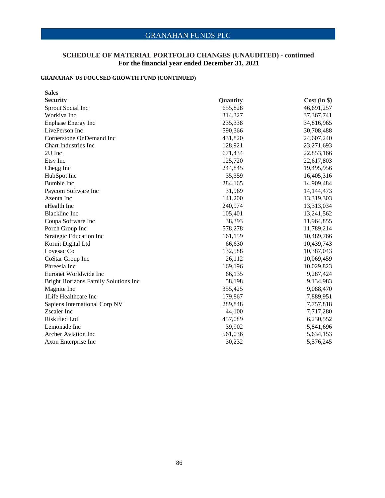# **SCHEDULE OF MATERIAL PORTFOLIO CHANGES (UNAUDITED) - continued For the financial year ended December 31, 2021**

# **GRANAHAN US FOCUSED GROWTH FUND (CONTINUED)**

| <b>Sales</b>                                |          |              |
|---------------------------------------------|----------|--------------|
| <b>Security</b>                             | Quantity | Cost (in §)  |
| Sprout Social Inc                           | 655,828  | 46,691,257   |
| Workiva Inc                                 | 314,327  | 37, 367, 741 |
| <b>Enphase Energy Inc</b>                   | 235,338  | 34,816,965   |
| LivePerson Inc                              | 590,366  | 30,708,488   |
| Cornerstone OnDemand Inc                    | 431,820  | 24,607,240   |
| <b>Chart Industries Inc</b>                 | 128,921  | 23,271,693   |
| 2U Inc                                      | 671,434  | 22,853,166   |
| Etsy Inc                                    | 125,720  | 22,617,803   |
| Chegg Inc                                   | 244,845  | 19,495,956   |
| HubSpot Inc                                 | 35,359   | 16,405,316   |
| <b>Bumble Inc</b>                           | 284,165  | 14,909,484   |
| Paycom Software Inc                         | 31,969   | 14, 144, 473 |
| Azenta Inc                                  | 141,200  | 13,319,303   |
| eHealth Inc                                 | 240,974  | 13,313,034   |
| <b>Blackline</b> Inc                        | 105,401  | 13,241,562   |
| Coupa Software Inc                          | 38,393   | 11,964,855   |
| Porch Group Inc                             | 578,278  | 11,789,214   |
| <b>Strategic Education Inc</b>              | 161,159  | 10,489,766   |
| Kornit Digital Ltd                          | 66,630   | 10,439,743   |
| Lovesac Co                                  | 132,588  | 10,387,043   |
| CoStar Group Inc                            | 26,112   | 10,069,459   |
| Phreesia Inc                                | 169,196  | 10,029,823   |
| Euronet Worldwide Inc                       | 66,135   | 9,287,424    |
| <b>Bright Horizons Family Solutions Inc</b> | 58,198   | 9,134,983    |
| Magnite Inc                                 | 355,425  | 9,088,470    |
| 1Life Healthcare Inc                        | 179,867  | 7,889,951    |
| Sapiens International Corp NV               | 289,848  | 7,757,818    |
| Zscaler Inc                                 | 44,100   | 7,717,280    |
| Riskified Ltd                               | 457,089  | 6,230,552    |
| Lemonade Inc                                | 39,902   | 5,841,696    |
| <b>Archer Aviation Inc</b>                  | 561,036  | 5,634,153    |
| Axon Enterprise Inc                         | 30,232   | 5,576,245    |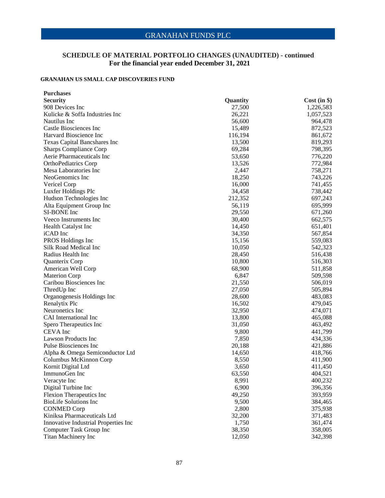# **SCHEDULE OF MATERIAL PORTFOLIO CHANGES (UNAUDITED) - continued For the financial year ended December 31, 2021**

#### **GRANAHAN US SMALL CAP DISCOVERIES FUND**

| <b>Purchases</b>                     |          |             |
|--------------------------------------|----------|-------------|
| <b>Security</b>                      | Quantity | Cost (in §) |
| 908 Devices Inc                      | 27,500   | 1,226,583   |
| Kulicke & Soffa Industries Inc       | 26,221   | 1,057,523   |
| Nautilus Inc                         | 56,600   | 964,478     |
| Castle Biosciences Inc.              | 15,489   | 872,523     |
| Harvard Bioscience Inc               | 116,194  | 861,672     |
| Texas Capital Bancshares Inc         | 13,500   | 819,293     |
| <b>Sharps Compliance Corp</b>        | 69,284   | 798,395     |
| Aerie Pharmaceuticals Inc            | 53,650   | 776,220     |
| <b>OrthoPediatrics Corp</b>          | 13,526   | 772,984     |
| Mesa Laboratories Inc                | 2,447    | 758,271     |
| NeoGenomics Inc                      | 18,250   | 743,226     |
| Vericel Corp                         | 16,000   | 741,455     |
| Luxfer Holdings Plc                  | 34,458   | 738,442     |
| Hudson Technologies Inc              | 212,352  | 697,243     |
| Alta Equipment Group Inc             | 56,119   | 695,999     |
| SI-BONE Inc                          | 29,550   | 671,260     |
| Veeco Instruments Inc                | 30,400   | 662,575     |
| Health Catalyst Inc                  | 14,450   | 651,401     |
| iCAD Inc                             | 34,350   | 567,854     |
| PROS Holdings Inc                    | 15,156   | 559,083     |
| Silk Road Medical Inc                | 10,050   | 542,323     |
| Radius Health Inc                    | 28,450   | 516,438     |
| Quanterix Corp                       | 10,800   | 516,303     |
| American Well Corp                   | 68,900   | 511,858     |
| <b>Materion Corp</b>                 | 6,847    | 509,598     |
| Caribou Biosciences Inc              | 21,550   | 506,019     |
| ThredUp Inc                          | 27,050   | 505,894     |
| Organogenesis Holdings Inc           | 28,600   | 483,083     |
| Renalytix Plc                        | 16,502   | 479,045     |
| Neuronetics Inc                      | 32,950   | 474,071     |
| CAI International Inc                | 13,800   | 465,088     |
| Spero Therapeutics Inc               | 31,050   | 463,492     |
| CEVA Inc                             | 9,800    | 441,799     |
| <b>Lawson Products Inc</b>           | 7,850    | 434,336     |
| Pulse Biosciences Inc                | 20,188   | 421,886     |
| Alpha & Omega Semiconductor Ltd      | 14,650   | 418,766     |
| Columbus McKinnon Corp               | 8,550    | 411,900     |
| Kornit Digital Ltd                   | 3,650    | 411,450     |
| ImmunoGen Inc                        | 63,550   | 404,521     |
| Veracyte Inc                         | 8,991    | 400,232     |
| Digital Turbine Inc                  | 6,900    | 396,356     |
| <b>Flexion Therapeutics Inc</b>      | 49,250   | 393,959     |
| <b>BioLife Solutions Inc</b>         | 9,500    | 384,465     |
| <b>CONMED Corp</b>                   | 2,800    | 375,938     |
| Kiniksa Pharmaceuticals Ltd          | 32,200   | 371,483     |
| Innovative Industrial Properties Inc | 1,750    | 361,474     |
| Computer Task Group Inc              | 38,350   | 358,005     |
| Titan Machinery Inc                  | 12,050   | 342,398     |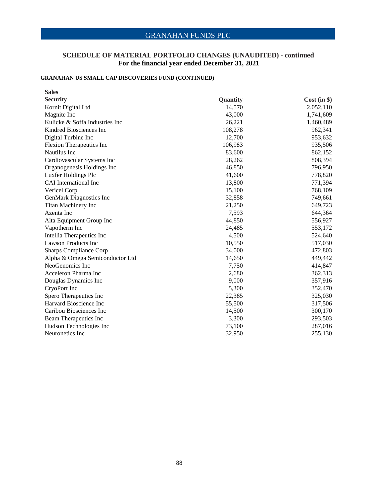# **SCHEDULE OF MATERIAL PORTFOLIO CHANGES (UNAUDITED) - continued For the financial year ended December 31, 2021**

# **GRANAHAN US SMALL CAP DISCOVERIES FUND (CONTINUED)**

| <b>Sales</b>                    |          |             |
|---------------------------------|----------|-------------|
| <b>Security</b>                 | Quantity | Cost (in §) |
| Kornit Digital Ltd              | 14,570   | 2,052,110   |
| Magnite Inc                     | 43,000   | 1,741,609   |
| Kulicke & Soffa Industries Inc  | 26,221   | 1,460,489   |
| Kindred Biosciences Inc         | 108,278  | 962,341     |
| Digital Turbine Inc             | 12,700   | 953,632     |
| Flexion Therapeutics Inc        | 106,983  | 935,506     |
| Nautilus Inc                    | 83,600   | 862,152     |
| Cardiovascular Systems Inc      | 28,262   | 808,394     |
| Organogenesis Holdings Inc      | 46,850   | 796,950     |
| Luxfer Holdings Plc             | 41,600   | 778,820     |
| CAI International Inc           | 13,800   | 771,394     |
| Vericel Corp                    | 15,100   | 768,109     |
| GenMark Diagnostics Inc         | 32,858   | 749,661     |
| <b>Titan Machinery Inc</b>      | 21,250   | 649,723     |
| Azenta Inc                      | 7,593    | 644,364     |
| Alta Equipment Group Inc        | 44,850   | 556,927     |
| Vapotherm Inc                   | 24,485   | 553,172     |
| Intellia Therapeutics Inc       | 4,500    | 524,640     |
| <b>Lawson Products Inc</b>      | 10,550   | 517,030     |
| <b>Sharps Compliance Corp</b>   | 34,000   | 472,803     |
| Alpha & Omega Semiconductor Ltd | 14,650   | 449,442     |
| NeoGenomics Inc                 | 7,750    | 414,847     |
| Acceleron Pharma Inc            | 2,680    | 362,313     |
| Douglas Dynamics Inc            | 9,000    | 357,916     |
| CryoPort Inc                    | 5,300    | 352,470     |
| Spero Therapeutics Inc          | 22,385   | 325,030     |
| Harvard Bioscience Inc          | 55,500   | 317,506     |
| Caribou Biosciences Inc         | 14,500   | 300,170     |
| <b>Beam Therapeutics Inc</b>    | 3,300    | 293,503     |
| Hudson Technologies Inc         | 73,100   | 287,016     |
| Neuronetics Inc                 | 32,950   | 255,130     |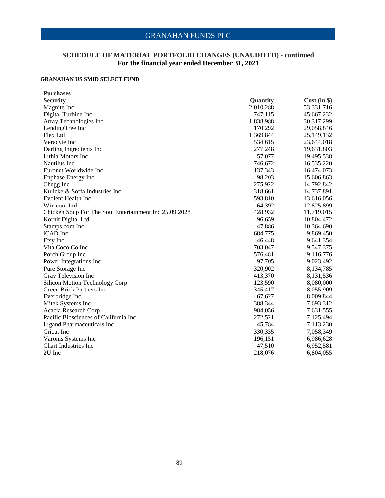# **SCHEDULE OF MATERIAL PORTFOLIO CHANGES (UNAUDITED) - continued For the financial year ended December 31, 2021**

#### **GRANAHAN US SMID SELECT FUND**

| <b>Purchases</b>                                       |           |             |
|--------------------------------------------------------|-----------|-------------|
| <b>Security</b>                                        | Quantity  | Cost (in §) |
| Magnite Inc                                            | 2,010,288 | 53,331,716  |
| Digital Turbine Inc                                    | 747,115   | 45,667,232  |
| Array Technologies Inc                                 | 1,838,988 | 30,317,299  |
| LendingTree Inc                                        | 170,292   | 29,058,846  |
| Flex Ltd                                               | 1,369,844 | 25,149,132  |
| Veracyte Inc                                           | 534,615   | 23,644,018  |
| Darling Ingredients Inc                                | 277,248   | 19,631,803  |
| Lithia Motors Inc                                      | 57,077    | 19,495,538  |
| Nautilus Inc                                           | 746,672   | 16,535,220  |
| Euronet Worldwide Inc                                  | 137,343   | 16,474,073  |
| <b>Enphase Energy Inc</b>                              | 98,203    | 15,606,863  |
| Chegg Inc                                              | 275,922   | 14,792,842  |
| Kulicke & Soffa Industries Inc                         | 318,661   | 14,737,891  |
| Evolent Health Inc                                     | 593,810   | 13,616,056  |
| Wix.com Ltd                                            | 64,392    | 12,825,899  |
| Chicken Soup For The Soul Entertainment Inc 25.09.2028 | 428,932   | 11,719,015  |
| Kornit Digital Ltd                                     | 96,659    | 10,804,472  |
| Stamps.com Inc                                         | 47,886    | 10,364,690  |
| iCAD Inc                                               | 684,775   | 9,869,450   |
| Etsy Inc                                               | 46,448    | 9,641,354   |
| Vita Coco Co Inc                                       | 703,047   | 9,547,375   |
| Porch Group Inc                                        | 576,481   | 9,116,776   |
| Power Integrations Inc                                 | 97,705    | 9,023,492   |
| Pure Storage Inc                                       | 320,902   | 8,134,785   |
| Gray Television Inc                                    | 413,370   | 8,131,536   |
| <b>Silicon Motion Technology Corp</b>                  | 123,590   | 8,080,000   |
| <b>Green Brick Partners Inc</b>                        | 345,417   | 8,055,909   |
| Everbridge Inc                                         | 67,627    | 8,009,844   |
| Mitek Systems Inc                                      | 388,344   | 7,693,312   |
| Acacia Research Corp                                   | 984,056   | 7,631,555   |
| Pacific Biosciences of California Inc                  | 272,521   | 7,125,494   |
| <b>Ligand Pharmaceuticals Inc</b>                      | 45,784    | 7,113,230   |
| Cricut Inc                                             | 330,335   | 7,058,349   |
| Varonis Systems Inc                                    | 196,151   | 6,986,628   |
| <b>Chart Industries Inc</b>                            | 47,510    | 6,952,581   |
| 2U Inc                                                 | 218,076   | 6,804,055   |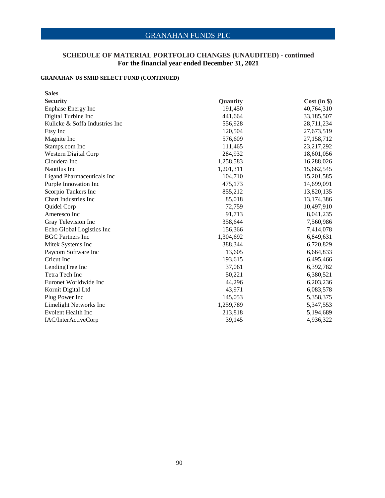# **SCHEDULE OF MATERIAL PORTFOLIO CHANGES (UNAUDITED) - continued For the financial year ended December 31, 2021**

# **GRANAHAN US SMID SELECT FUND (CONTINUED)**

| <b>Sales</b>                      |           |             |
|-----------------------------------|-----------|-------------|
| <b>Security</b>                   | Quantity  | Cost (in §) |
| <b>Enphase Energy Inc</b>         | 191,450   | 40,764,310  |
| Digital Turbine Inc               | 441,664   | 33,185,507  |
| Kulicke & Soffa Industries Inc    | 556,928   | 28,711,234  |
| Etsy Inc                          | 120,504   | 27,673,519  |
| Magnite Inc                       | 576,609   | 27,158,712  |
| Stamps.com Inc                    | 111,465   | 23,217,292  |
| <b>Western Digital Corp</b>       | 284,932   | 18,601,056  |
| Cloudera Inc                      | 1,258,583 | 16,288,026  |
| Nautilus Inc                      | 1,201,311 | 15,662,545  |
| <b>Ligand Pharmaceuticals Inc</b> | 104,710   | 15,201,585  |
| Purple Innovation Inc             | 475,173   | 14,699,091  |
| Scorpio Tankers Inc               | 855,212   | 13,820,135  |
| Chart Industries Inc              | 85,018    | 13,174,386  |
| Quidel Corp                       | 72,759    | 10,497,910  |
| Ameresco Inc                      | 91,713    | 8,041,235   |
| Gray Television Inc               | 358,644   | 7,560,986   |
| Echo Global Logistics Inc         | 156,366   | 7,414,078   |
| <b>BGC</b> Partners Inc           | 1,304,692 | 6,849,631   |
| Mitek Systems Inc                 | 388,344   | 6,720,829   |
| Paycom Software Inc               | 13,605    | 6,664,833   |
| Cricut Inc                        | 193,615   | 6,495,466   |
| LendingTree Inc                   | 37,061    | 6,392,782   |
| Tetra Tech Inc                    | 50,221    | 6,380,521   |
| Euronet Worldwide Inc             | 44,296    | 6,203,236   |
| Kornit Digital Ltd                | 43,971    | 6,083,578   |
| Plug Power Inc                    | 145,053   | 5,358,375   |
| Limelight Networks Inc            | 1,259,789 | 5,347,553   |
| Evolent Health Inc                | 213,818   | 5,194,689   |
| IAC/InterActiveCorp               | 39,145    | 4,936,322   |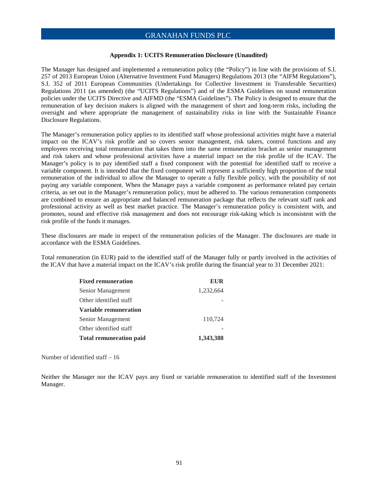#### **Appendix 1: UCITS Remuneration Disclosure (Unaudited)**

The Manager has designed and implemented a remuneration policy (the "Policy") in line with the provisions of S.I. 257 of 2013 European Union (Alternative Investment Fund Managers) Regulations 2013 (the "AIFM Regulations"), S.I. 352 of 2011 European Communities (Undertakings for Collective Investment in Transferable Securities) Regulations 2011 (as amended) (the "UCITS Regulations") and of the ESMA Guidelines on sound remuneration policies under the UCITS Directive and AIFMD (the "ESMA Guidelines"). The Policy is designed to ensure that the remuneration of key decision makers is aligned with the management of short and long-term risks, including the oversight and where appropriate the management of sustainability risks in line with the Sustainable Finance Disclosure Regulations.

The Manager's remuneration policy applies to its identified staff whose professional activities might have a material impact on the ICAV's risk profile and so covers senior management, risk takers, control functions and any employees receiving total remuneration that takes them into the same remuneration bracket as senior management and risk takers and whose professional activities have a material impact on the risk profile of the ICAV. The Manager's policy is to pay identified staff a fixed component with the potential for identified staff to receive a variable component. It is intended that the fixed component will represent a sufficiently high proportion of the total remuneration of the individual to allow the Manager to operate a fully flexible policy, with the possibility of not paying any variable component. When the Manager pays a variable component as performance related pay certain criteria, as set out in the Manager's remuneration policy, must be adhered to. The various remuneration components are combined to ensure an appropriate and balanced remuneration package that reflects the relevant staff rank and professional activity as well as best market practice. The Manager's remuneration policy is consistent with, and promotes, sound and effective risk management and does not encourage risk-taking which is inconsistent with the risk profile of the funds it manages.

These disclosures are made in respect of the remuneration policies of the Manager. The disclosures are made in accordance with the ESMA Guidelines.

Total remuneration (in EUR) paid to the identified staff of the Manager fully or partly involved in the activities of the ICAV that have a material impact on the ICAV's risk profile during the financial year to 31 December 2021:

| <b>Fixed remuneration</b>      | EUR       |
|--------------------------------|-----------|
| Senior Management              | 1,232,664 |
| Other identified staff         |           |
| <b>Variable remuneration</b>   |           |
| Senior Management              | 110,724   |
| Other identified staff         |           |
| <b>Total remuneration paid</b> | 1,343,388 |

Number of identified staff – 16

Neither the Manager nor the ICAV pays any fixed or variable remuneration to identified staff of the Investment Manager.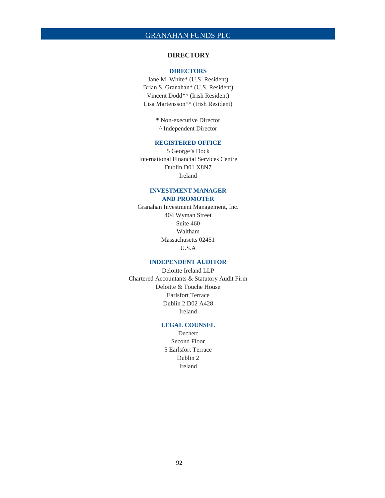### **DIRECTORY**

#### **DIRECTORS**

Jane M. White\* (U.S. Resident) Brian S. Granahan\* (U.S. Resident) Vincent Dodd\*^ (Irish Resident) Lisa Martensson\*^ (Irish Resident)

> \* Non-executive Director ^ Independent Director

#### **REGISTERED OFFICE**

5 George's Dock International Financial Services Centre Dublin D01 X8N7 Ireland

### **INVESTMENT MANAGER AND PROMOTER**

Granahan Investment Management, Inc. 404 Wyman Street Suite 460 Waltham Massachusetts 02451 U.S.A

#### **INDEPENDENT AUDITOR**

Deloitte Ireland LLP Chartered Accountants & Statutory Audit Firm Deloitte & Touche House Earlsfort Terrace Dublin 2 D02 A428 Ireland

#### **LEGAL COUNSEL**

Dechert Second Floor 5 Earlsfort Terrace Dublin 2 Ireland